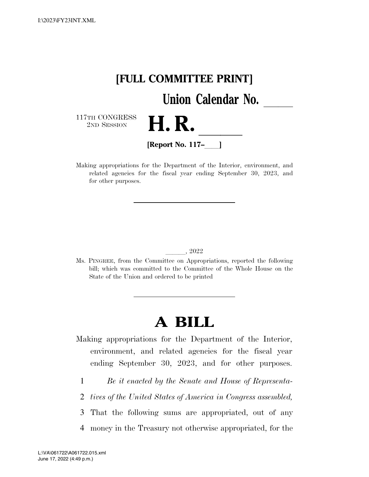

Making appropriations for the Department of the Interior, environment, and related agencies for the fiscal year ending September 30, 2023, and for other purposes.

#### lll, 2022

Ms. PINGREE, from the Committee on Appropriations, reported the following bill; which was committed to the Committee of the Whole House on the State of the Union and ordered to be printed

# **A BILL**

Making appropriations for the Department of the Interior, environment, and related agencies for the fiscal year ending September 30, 2023, and for other purposes.

- 1 *Be it enacted by the Senate and House of Representa-*
- 2 *tives of the United States of America in Congress assembled,*
- 3 That the following sums are appropriated, out of any
- 4 money in the Treasury not otherwise appropriated, for the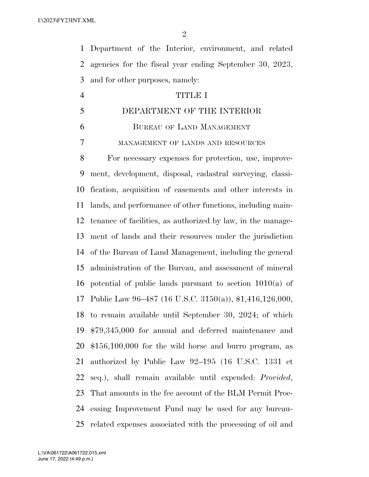Department of the Interior, environment, and related agencies for the fiscal year ending September 30, 2023, and for other purposes, namely:

# TITLE I

- DEPARTMENT OF THE INTERIOR
- BUREAU OF LAND MANAGEMENT

MANAGEMENT OF LANDS AND RESOURCES

 For necessary expenses for protection, use, improve- ment, development, disposal, cadastral surveying, classi- fication, acquisition of easements and other interests in lands, and performance of other functions, including main- tenance of facilities, as authorized by law, in the manage- ment of lands and their resources under the jurisdiction of the Bureau of Land Management, including the general administration of the Bureau, and assessment of mineral potential of public lands pursuant to section 1010(a) of Public Law 96–487 (16 U.S.C. 3150(a)), \$1,416,126,000, to remain available until September 30, 2024; of which \$79,345,000 for annual and deferred maintenance and \$156,100,000 for the wild horse and burro program, as authorized by Public Law 92–195 (16 U.S.C. 1331 et seq.), shall remain available until expended: *Provided*, That amounts in the fee account of the BLM Permit Proc- essing Improvement Fund may be used for any bureau-related expenses associated with the processing of oil and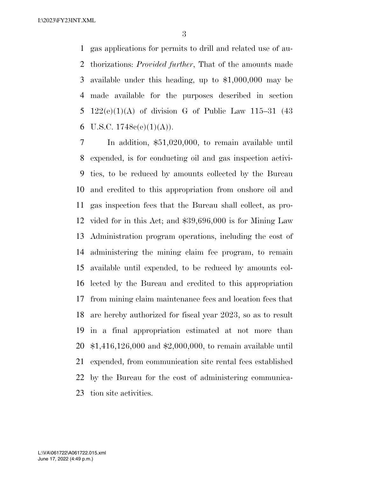gas applications for permits to drill and related use of au- thorizations: *Provided further*, That of the amounts made available under this heading, up to \$1,000,000 may be made available for the purposes described in section 5 122(e)(1)(A) of division G of Public Law 115–31 (43 6 U.S.C.  $1748e(e)(1)(A)$ .

 In addition, \$51,020,000, to remain available until expended, is for conducting oil and gas inspection activi- ties, to be reduced by amounts collected by the Bureau and credited to this appropriation from onshore oil and gas inspection fees that the Bureau shall collect, as pro- vided for in this Act; and \$39,696,000 is for Mining Law Administration program operations, including the cost of administering the mining claim fee program, to remain available until expended, to be reduced by amounts col- lected by the Bureau and credited to this appropriation from mining claim maintenance fees and location fees that are hereby authorized for fiscal year 2023, so as to result in a final appropriation estimated at not more than \$1,416,126,000 and \$2,000,000, to remain available until expended, from communication site rental fees established by the Bureau for the cost of administering communica-tion site activities.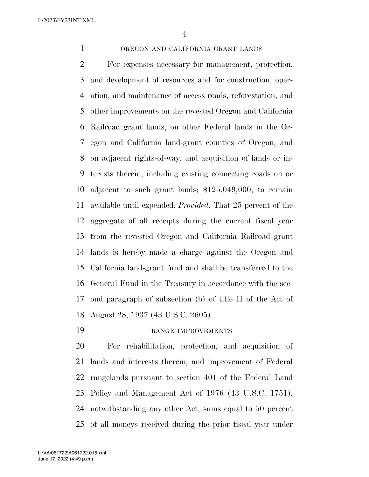## OREGON AND CALIFORNIA GRANT LANDS

 For expenses necessary for management, protection, and development of resources and for construction, oper- ation, and maintenance of access roads, reforestation, and other improvements on the revested Oregon and California Railroad grant lands, on other Federal lands in the Or- egon and California land-grant counties of Oregon, and on adjacent rights-of-way; and acquisition of lands or in- terests therein, including existing connecting roads on or adjacent to such grant lands; \$125,049,000, to remain available until expended: *Provided*, That 25 percent of the aggregate of all receipts during the current fiscal year from the revested Oregon and California Railroad grant lands is hereby made a charge against the Oregon and California land-grant fund and shall be transferred to the General Fund in the Treasury in accordance with the sec- ond paragraph of subsection (b) of title II of the Act of August 28, 1937 (43 U.S.C. 2605).

RANGE IMPROVEMENTS

 For rehabilitation, protection, and acquisition of lands and interests therein, and improvement of Federal rangelands pursuant to section 401 of the Federal Land Policy and Management Act of 1976 (43 U.S.C. 1751), notwithstanding any other Act, sums equal to 50 percent of all moneys received during the prior fiscal year under

June 17, 2022 (4:49 p.m.) L:\VA\061722\A061722.015.xml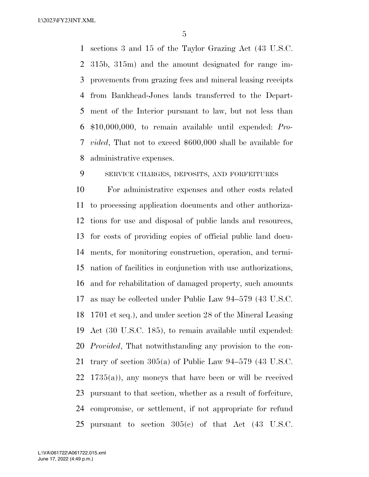sections 3 and 15 of the Taylor Grazing Act (43 U.S.C. 315b, 315m) and the amount designated for range im- provements from grazing fees and mineral leasing receipts from Bankhead-Jones lands transferred to the Depart- ment of the Interior pursuant to law, but not less than \$10,000,000, to remain available until expended: *Pro- vided*, That not to exceed \$600,000 shall be available for administrative expenses.

SERVICE CHARGES, DEPOSITS, AND FORFEITURES

 For administrative expenses and other costs related to processing application documents and other authoriza- tions for use and disposal of public lands and resources, for costs of providing copies of official public land docu- ments, for monitoring construction, operation, and termi- nation of facilities in conjunction with use authorizations, and for rehabilitation of damaged property, such amounts as may be collected under Public Law 94–579 (43 U.S.C. 1701 et seq.), and under section 28 of the Mineral Leasing Act (30 U.S.C. 185), to remain available until expended: *Provided*, That notwithstanding any provision to the con- trary of section 305(a) of Public Law 94–579 (43 U.S.C. 1735(a)), any moneys that have been or will be received pursuant to that section, whether as a result of forfeiture, compromise, or settlement, if not appropriate for refund pursuant to section 305(c) of that Act (43 U.S.C.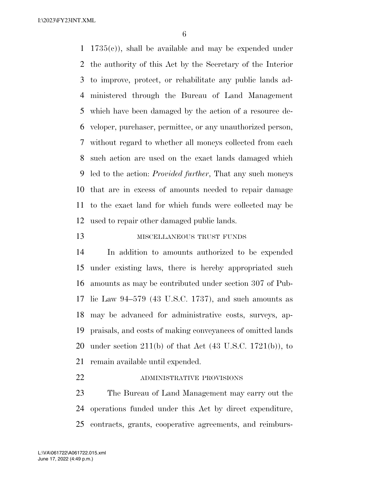1735(c)), shall be available and may be expended under the authority of this Act by the Secretary of the Interior to improve, protect, or rehabilitate any public lands ad- ministered through the Bureau of Land Management which have been damaged by the action of a resource de- veloper, purchaser, permittee, or any unauthorized person, without regard to whether all moneys collected from each such action are used on the exact lands damaged which led to the action: *Provided further*, That any such moneys that are in excess of amounts needed to repair damage to the exact land for which funds were collected may be used to repair other damaged public lands.

13 MISCELLANEOUS TRUST FUNDS

 In addition to amounts authorized to be expended under existing laws, there is hereby appropriated such amounts as may be contributed under section 307 of Pub- lic Law 94–579 (43 U.S.C. 1737), and such amounts as may be advanced for administrative costs, surveys, ap- praisals, and costs of making conveyances of omitted lands 20 under section  $211(b)$  of that Act  $(43 \text{ U.S.C. } 1721(b))$ , to remain available until expended.

**ADMINISTRATIVE PROVISIONS** 

 The Bureau of Land Management may carry out the operations funded under this Act by direct expenditure, contracts, grants, cooperative agreements, and reimburs-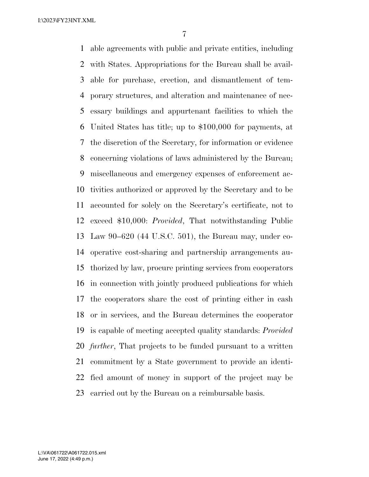able agreements with public and private entities, including with States. Appropriations for the Bureau shall be avail- able for purchase, erection, and dismantlement of tem- porary structures, and alteration and maintenance of nec- essary buildings and appurtenant facilities to which the United States has title; up to \$100,000 for payments, at the discretion of the Secretary, for information or evidence concerning violations of laws administered by the Bureau; miscellaneous and emergency expenses of enforcement ac- tivities authorized or approved by the Secretary and to be accounted for solely on the Secretary's certificate, not to exceed \$10,000: *Provided*, That notwithstanding Public Law 90–620 (44 U.S.C. 501), the Bureau may, under co- operative cost-sharing and partnership arrangements au- thorized by law, procure printing services from cooperators in connection with jointly produced publications for which the cooperators share the cost of printing either in cash or in services, and the Bureau determines the cooperator is capable of meeting accepted quality standards: *Provided further*, That projects to be funded pursuant to a written commitment by a State government to provide an identi- fied amount of money in support of the project may be carried out by the Bureau on a reimbursable basis.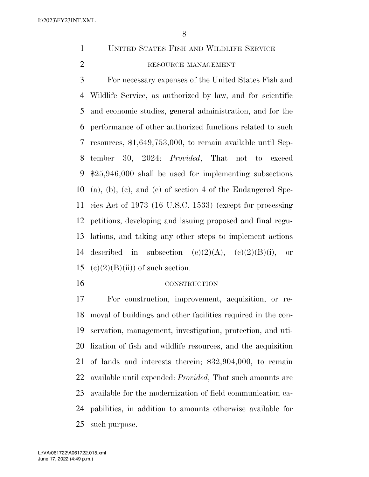UNITED STATES FISH AND WILDLIFE SERVICE

# 2 RESOURCE MANAGEMENT

 For necessary expenses of the United States Fish and Wildlife Service, as authorized by law, and for scientific and economic studies, general administration, and for the performance of other authorized functions related to such resources, \$1,649,753,000, to remain available until Sep- tember 30, 2024: *Provided*, That not to exceed \$25,946,000 shall be used for implementing subsections (a), (b), (c), and (e) of section 4 of the Endangered Spe- cies Act of 1973 (16 U.S.C. 1533) (except for processing petitions, developing and issuing proposed and final regu- lations, and taking any other steps to implement actions 14 described in subsection  $(c)(2)(A)$ ,  $(c)(2)(B)(i)$ , or 15 (c)(2)(B)(ii)) of such section.

### CONSTRUCTION

 For construction, improvement, acquisition, or re- moval of buildings and other facilities required in the con- servation, management, investigation, protection, and uti- lization of fish and wildlife resources, and the acquisition of lands and interests therein; \$32,904,000, to remain available until expended: *Provided*, That such amounts are available for the modernization of field communication ca- pabilities, in addition to amounts otherwise available for such purpose.

June 17, 2022 (4:49 p.m.) L:\VA\061722\A061722.015.xml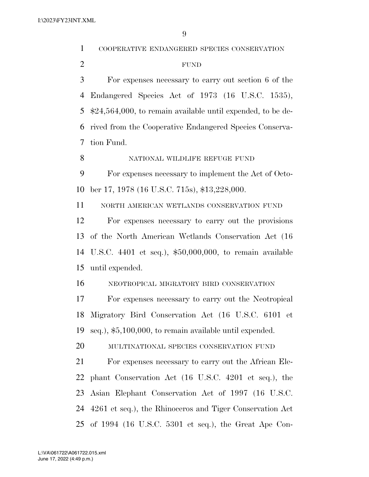| $\mathbf{1}$   | COOPERATIVE ENDANGERED SPECIES CONSERVATION                   |
|----------------|---------------------------------------------------------------|
| $\overline{2}$ | <b>FUND</b>                                                   |
| 3              | For expenses necessary to carry out section 6 of the          |
| 4              | Endangered Species Act of 1973 (16 U.S.C. 1535),              |
| 5              | $$24,564,000$ , to remain available until expended, to be de- |
| 6              | rived from the Cooperative Endangered Species Conserva-       |
| 7              | tion Fund.                                                    |
| 8              | NATIONAL WILDLIFE REFUGE FUND                                 |
| 9              | For expenses necessary to implement the Act of Octo-          |
| 10             | ber 17, 1978 (16 U.S.C. 715s), \$13,228,000.                  |
| 11             | NORTH AMERICAN WETLANDS CONSERVATION FUND                     |
| 12             | For expenses necessary to carry out the provisions            |
| 13             | of the North American Wetlands Conservation Act (16)          |
| 14             | U.S.C. 4401 et seq.), $$50,000,000$ , to remain available     |
| 15             | until expended.                                               |
| 16             | NEOTROPICAL MIGRATORY BIRD CONSERVATION                       |
| 17             | For expenses necessary to carry out the Neotropical           |
|                | 18 Migratory Bird Conservation Act (16 U.S.C. 6101 et         |
| 19             | seq.), $$5,100,000$ , to remain available until expended.     |
| 20             | MULTINATIONAL SPECIES CONSERVATION FUND                       |
| 21             | For expenses necessary to carry out the African Ele-          |
| 22             | phant Conservation Act (16 U.S.C. 4201 et seq.), the          |
| 23             | Asian Elephant Conservation Act of 1997 (16 U.S.C.            |
|                | 24 4261 et seq.), the Rhinoceros and Tiger Conservation Act   |
|                | 25 of 1994 (16 U.S.C. 5301 et seq.), the Great Ape Con-       |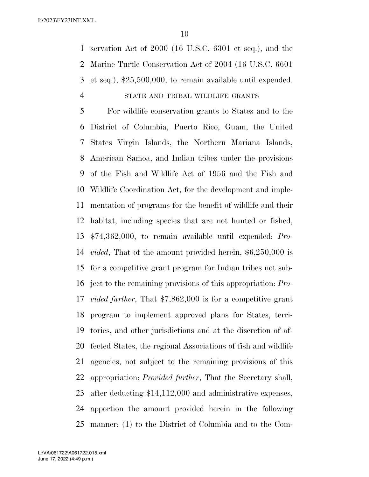servation Act of 2000 (16 U.S.C. 6301 et seq.), and the Marine Turtle Conservation Act of 2004 (16 U.S.C. 6601 et seq.), \$25,500,000, to remain available until expended. STATE AND TRIBAL WILDLIFE GRANTS

 For wildlife conservation grants to States and to the District of Columbia, Puerto Rico, Guam, the United States Virgin Islands, the Northern Mariana Islands, American Samoa, and Indian tribes under the provisions of the Fish and Wildlife Act of 1956 and the Fish and Wildlife Coordination Act, for the development and imple- mentation of programs for the benefit of wildlife and their habitat, including species that are not hunted or fished, \$74,362,000, to remain available until expended: *Pro- vided*, That of the amount provided herein, \$6,250,000 is for a competitive grant program for Indian tribes not sub- ject to the remaining provisions of this appropriation: *Pro- vided further*, That \$7,862,000 is for a competitive grant program to implement approved plans for States, terri- tories, and other jurisdictions and at the discretion of af- fected States, the regional Associations of fish and wildlife agencies, not subject to the remaining provisions of this appropriation: *Provided further*, That the Secretary shall, after deducting \$14,112,000 and administrative expenses, apportion the amount provided herein in the following manner: (1) to the District of Columbia and to the Com-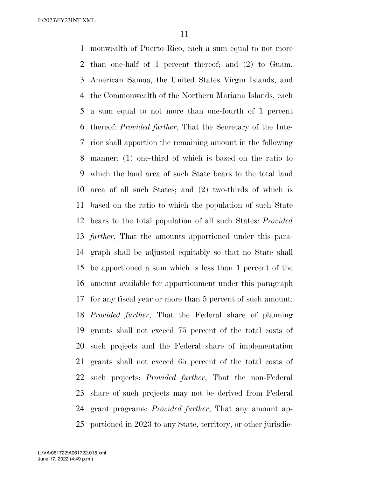monwealth of Puerto Rico, each a sum equal to not more than one-half of 1 percent thereof; and (2) to Guam, American Samoa, the United States Virgin Islands, and the Commonwealth of the Northern Mariana Islands, each a sum equal to not more than one-fourth of 1 percent thereof: *Provided further*, That the Secretary of the Inte- rior shall apportion the remaining amount in the following manner: (1) one-third of which is based on the ratio to which the land area of such State bears to the total land area of all such States; and (2) two-thirds of which is based on the ratio to which the population of such State bears to the total population of all such States: *Provided further*, That the amounts apportioned under this para- graph shall be adjusted equitably so that no State shall be apportioned a sum which is less than 1 percent of the amount available for apportionment under this paragraph for any fiscal year or more than 5 percent of such amount: *Provided further*, That the Federal share of planning grants shall not exceed 75 percent of the total costs of such projects and the Federal share of implementation grants shall not exceed 65 percent of the total costs of such projects: *Provided further*, That the non-Federal share of such projects may not be derived from Federal grant programs: *Provided further*, That any amount ap-portioned in 2023 to any State, territory, or other jurisdic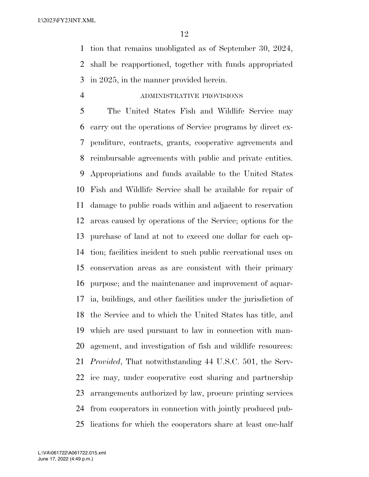tion that remains unobligated as of September 30, 2024, shall be reapportioned, together with funds appropriated in 2025, in the manner provided herein.

## ADMINISTRATIVE PROVISIONS

 The United States Fish and Wildlife Service may carry out the operations of Service programs by direct ex- penditure, contracts, grants, cooperative agreements and reimbursable agreements with public and private entities. Appropriations and funds available to the United States Fish and Wildlife Service shall be available for repair of damage to public roads within and adjacent to reservation areas caused by operations of the Service; options for the purchase of land at not to exceed one dollar for each op- tion; facilities incident to such public recreational uses on conservation areas as are consistent with their primary purpose; and the maintenance and improvement of aquar- ia, buildings, and other facilities under the jurisdiction of the Service and to which the United States has title, and which are used pursuant to law in connection with man- agement, and investigation of fish and wildlife resources: *Provided*, That notwithstanding 44 U.S.C. 501, the Serv- ice may, under cooperative cost sharing and partnership arrangements authorized by law, procure printing services from cooperators in connection with jointly produced pub-lications for which the cooperators share at least one-half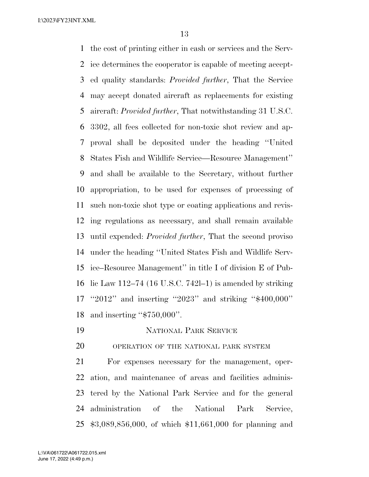the cost of printing either in cash or services and the Serv- ice determines the cooperator is capable of meeting accept- ed quality standards: *Provided further*, That the Service may accept donated aircraft as replacements for existing aircraft: *Provided further*, That notwithstanding 31 U.S.C. 3302, all fees collected for non-toxic shot review and ap- proval shall be deposited under the heading ''United States Fish and Wildlife Service—Resource Management'' and shall be available to the Secretary, without further appropriation, to be used for expenses of processing of such non-toxic shot type or coating applications and revis- ing regulations as necessary, and shall remain available until expended: *Provided further*, That the second proviso under the heading ''United States Fish and Wildlife Serv- ice–Resource Management'' in title I of division E of Pub- lic Law 112–74 (16 U.S.C. 742l–1) is amended by striking ''2012'' and inserting ''2023'' and striking ''\$400,000'' and inserting ''\$750,000''.

NATIONAL PARK SERVICE

OPERATION OF THE NATIONAL PARK SYSTEM

 For expenses necessary for the management, oper- ation, and maintenance of areas and facilities adminis- tered by the National Park Service and for the general administration of the National Park Service, \$3,089,856,000, of which \$11,661,000 for planning and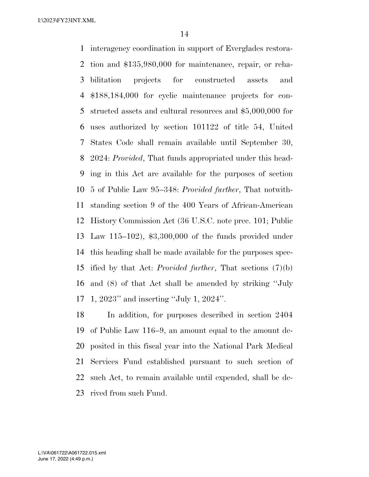interagency coordination in support of Everglades restora- tion and \$135,980,000 for maintenance, repair, or reha- bilitation projects for constructed assets and \$188,184,000 for cyclic maintenance projects for con- structed assets and cultural resources and \$5,000,000 for uses authorized by section 101122 of title 54, United States Code shall remain available until September 30, 2024: *Provided*, That funds appropriated under this head- ing in this Act are available for the purposes of section 5 of Public Law 95–348: *Provided further*, That notwith- standing section 9 of the 400 Years of African-American History Commission Act (36 U.S.C. note prec. 101; Public Law 115–102), \$3,300,000 of the funds provided under this heading shall be made available for the purposes spec- ified by that Act: *Provided further*, That sections (7)(b) and (8) of that Act shall be amended by striking ''July 1, 2023'' and inserting ''July 1, 2024''.

 In addition, for purposes described in section 2404 of Public Law 116–9, an amount equal to the amount de- posited in this fiscal year into the National Park Medical Services Fund established pursuant to such section of such Act, to remain available until expended, shall be de-rived from such Fund.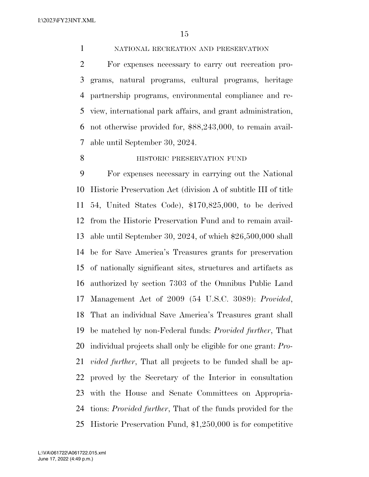NATIONAL RECREATION AND PRESERVATION

 For expenses necessary to carry out recreation pro- grams, natural programs, cultural programs, heritage partnership programs, environmental compliance and re- view, international park affairs, and grant administration, not otherwise provided for, \$88,243,000, to remain avail-able until September 30, 2024.

## **HISTORIC PRESERVATION FUND**

 For expenses necessary in carrying out the National Historic Preservation Act (division A of subtitle III of title 54, United States Code), \$170,825,000, to be derived from the Historic Preservation Fund and to remain avail- able until September 30, 2024, of which \$26,500,000 shall be for Save America's Treasures grants for preservation of nationally significant sites, structures and artifacts as authorized by section 7303 of the Omnibus Public Land Management Act of 2009 (54 U.S.C. 3089): *Provided*, That an individual Save America's Treasures grant shall be matched by non-Federal funds: *Provided further*, That individual projects shall only be eligible for one grant: *Pro- vided further*, That all projects to be funded shall be ap- proved by the Secretary of the Interior in consultation with the House and Senate Committees on Appropria- tions: *Provided further*, That of the funds provided for the Historic Preservation Fund, \$1,250,000 is for competitive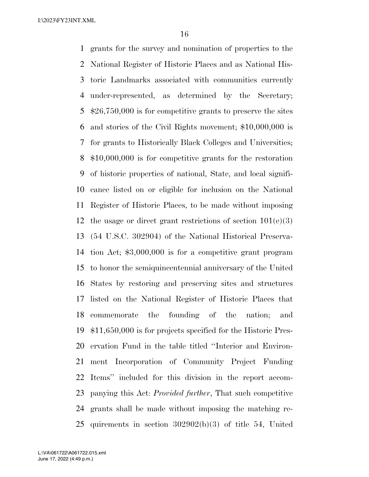grants for the survey and nomination of properties to the National Register of Historic Places and as National His- toric Landmarks associated with communities currently under-represented, as determined by the Secretary; \$26,750,000 is for competitive grants to preserve the sites and stories of the Civil Rights movement; \$10,000,000 is for grants to Historically Black Colleges and Universities; \$10,000,000 is for competitive grants for the restoration of historic properties of national, State, and local signifi- cance listed on or eligible for inclusion on the National Register of Historic Places, to be made without imposing 12 the usage or direct grant restrictions of section  $101(e)(3)$  (54 U.S.C. 302904) of the National Historical Preserva- tion Act; \$3,000,000 is for a competitive grant program to honor the semiquincentennial anniversary of the United States by restoring and preserving sites and structures listed on the National Register of Historic Places that commemorate the founding of the nation; and \$11,650,000 is for projects specified for the Historic Pres- ervation Fund in the table titled ''Interior and Environ- ment Incorporation of Community Project Funding Items'' included for this division in the report accom- panying this Act: *Provided further*, That such competitive grants shall be made without imposing the matching re-quirements in section 302902(b)(3) of title 54, United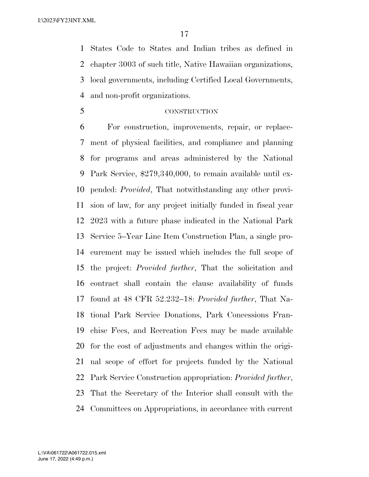States Code to States and Indian tribes as defined in chapter 3003 of such title, Native Hawaiian organizations, local governments, including Certified Local Governments, and non-profit organizations.

## CONSTRUCTION

 For construction, improvements, repair, or replace- ment of physical facilities, and compliance and planning for programs and areas administered by the National Park Service, \$279,340,000, to remain available until ex- pended: *Provided*, That notwithstanding any other provi- sion of law, for any project initially funded in fiscal year 2023 with a future phase indicated in the National Park Service 5–Year Line Item Construction Plan, a single pro- curement may be issued which includes the full scope of the project: *Provided further*, That the solicitation and contract shall contain the clause availability of funds found at 48 CFR 52.232–18: *Provided further*, That Na- tional Park Service Donations, Park Concessions Fran- chise Fees, and Recreation Fees may be made available for the cost of adjustments and changes within the origi- nal scope of effort for projects funded by the National Park Service Construction appropriation: *Provided further*, That the Secretary of the Interior shall consult with the Committees on Appropriations, in accordance with current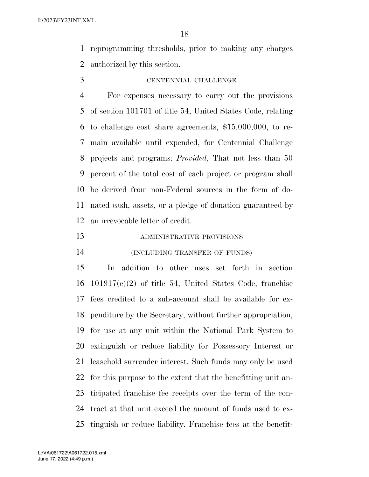reprogramming thresholds, prior to making any charges authorized by this section.

# CENTENNIAL CHALLENGE

 For expenses necessary to carry out the provisions of section 101701 of title 54, United States Code, relating to challenge cost share agreements, \$15,000,000, to re- main available until expended, for Centennial Challenge projects and programs: *Provided*, That not less than 50 percent of the total cost of each project or program shall be derived from non-Federal sources in the form of do- nated cash, assets, or a pledge of donation guaranteed by an irrevocable letter of credit.

## ADMINISTRATIVE PROVISIONS

(INCLUDING TRANSFER OF FUNDS)

 In addition to other uses set forth in section 101917(c)(2) of title 54, United States Code, franchise fees credited to a sub-account shall be available for ex- penditure by the Secretary, without further appropriation, for use at any unit within the National Park System to extinguish or reduce liability for Possessory Interest or leasehold surrender interest. Such funds may only be used for this purpose to the extent that the benefitting unit an- ticipated franchise fee receipts over the term of the con- tract at that unit exceed the amount of funds used to ex-tinguish or reduce liability. Franchise fees at the benefit-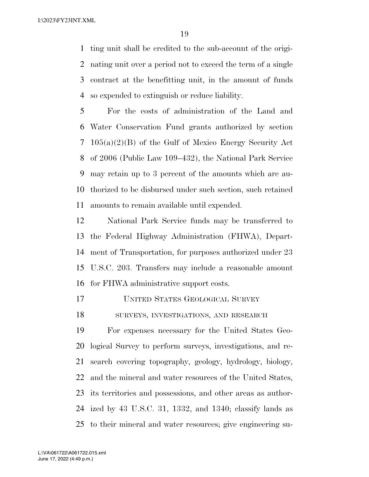ting unit shall be credited to the sub-account of the origi- nating unit over a period not to exceed the term of a single contract at the benefitting unit, in the amount of funds so expended to extinguish or reduce liability.

 For the costs of administration of the Land and Water Conservation Fund grants authorized by section 105(a)(2)(B) of the Gulf of Mexico Energy Security Act of 2006 (Public Law 109–432), the National Park Service may retain up to 3 percent of the amounts which are au- thorized to be disbursed under such section, such retained amounts to remain available until expended.

 National Park Service funds may be transferred to the Federal Highway Administration (FHWA), Depart- ment of Transportation, for purposes authorized under 23 U.S.C. 203. Transfers may include a reasonable amount for FHWA administrative support costs.

- UNITED STATES GEOLOGICAL SURVEY
- SURVEYS, INVESTIGATIONS, AND RESEARCH

 For expenses necessary for the United States Geo- logical Survey to perform surveys, investigations, and re- search covering topography, geology, hydrology, biology, and the mineral and water resources of the United States, its territories and possessions, and other areas as author- ized by 43 U.S.C. 31, 1332, and 1340; classify lands as to their mineral and water resources; give engineering su-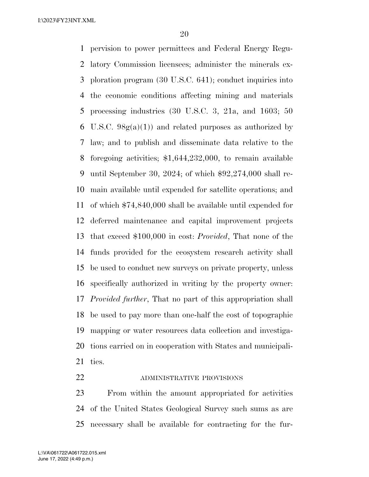pervision to power permittees and Federal Energy Regu- latory Commission licensees; administer the minerals ex- ploration program (30 U.S.C. 641); conduct inquiries into the economic conditions affecting mining and materials processing industries (30 U.S.C. 3, 21a, and 1603; 50 6 U.S.C.  $98g(a)(1)$  and related purposes as authorized by law; and to publish and disseminate data relative to the foregoing activities; \$1,644,232,000, to remain available until September 30, 2024; of which \$92,274,000 shall re- main available until expended for satellite operations; and of which \$74,840,000 shall be available until expended for deferred maintenance and capital improvement projects that exceed \$100,000 in cost: *Provided*, That none of the funds provided for the ecosystem research activity shall be used to conduct new surveys on private property, unless specifically authorized in writing by the property owner: *Provided further*, That no part of this appropriation shall be used to pay more than one-half the cost of topographic mapping or water resources data collection and investiga- tions carried on in cooperation with States and municipali-ties.

#### 22 ADMINISTRATIVE PROVISIONS

 From within the amount appropriated for activities of the United States Geological Survey such sums as are necessary shall be available for contracting for the fur-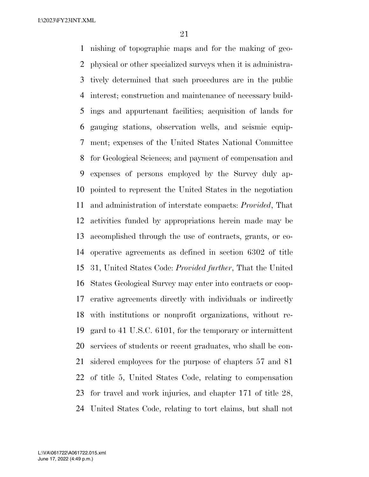nishing of topographic maps and for the making of geo- physical or other specialized surveys when it is administra- tively determined that such procedures are in the public interest; construction and maintenance of necessary build- ings and appurtenant facilities; acquisition of lands for gauging stations, observation wells, and seismic equip- ment; expenses of the United States National Committee for Geological Sciences; and payment of compensation and expenses of persons employed by the Survey duly ap- pointed to represent the United States in the negotiation and administration of interstate compacts: *Provided*, That activities funded by appropriations herein made may be accomplished through the use of contracts, grants, or co- operative agreements as defined in section 6302 of title 31, United States Code: *Provided further*, That the United States Geological Survey may enter into contracts or coop- erative agreements directly with individuals or indirectly with institutions or nonprofit organizations, without re- gard to 41 U.S.C. 6101, for the temporary or intermittent services of students or recent graduates, who shall be con- sidered employees for the purpose of chapters 57 and 81 of title 5, United States Code, relating to compensation for travel and work injuries, and chapter 171 of title 28, United States Code, relating to tort claims, but shall not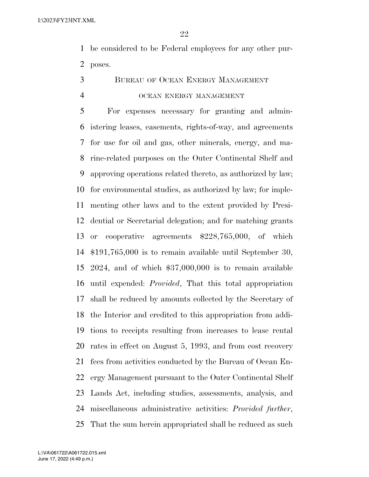be considered to be Federal employees for any other pur-poses.

BUREAU OF OCEAN ENERGY MANAGEMENT

#### OCEAN ENERGY MANAGEMENT

 For expenses necessary for granting and admin- istering leases, easements, rights-of-way, and agreements for use for oil and gas, other minerals, energy, and ma- rine-related purposes on the Outer Continental Shelf and approving operations related thereto, as authorized by law; for environmental studies, as authorized by law; for imple- menting other laws and to the extent provided by Presi- dential or Secretarial delegation; and for matching grants or cooperative agreements \$228,765,000, of which \$191,765,000 is to remain available until September 30, 2024, and of which \$37,000,000 is to remain available until expended: *Provided*, That this total appropriation shall be reduced by amounts collected by the Secretary of the Interior and credited to this appropriation from addi- tions to receipts resulting from increases to lease rental rates in effect on August 5, 1993, and from cost recovery fees from activities conducted by the Bureau of Ocean En- ergy Management pursuant to the Outer Continental Shelf Lands Act, including studies, assessments, analysis, and miscellaneous administrative activities: *Provided further*, That the sum herein appropriated shall be reduced as such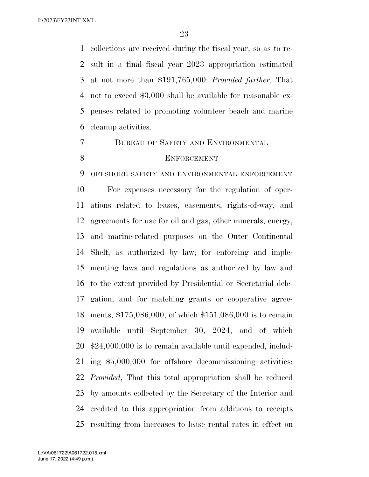collections are received during the fiscal year, so as to re- sult in a final fiscal year 2023 appropriation estimated at not more than \$191,765,000: *Provided further*, That not to exceed \$3,000 shall be available for reasonable ex- penses related to promoting volunteer beach and marine cleanup activities.

- BUREAU OF SAFETY AND ENVIRONMENTAL
- 

## 8 ENFORCEMENT

 OFFSHORE SAFETY AND ENVIRONMENTAL ENFORCEMENT For expenses necessary for the regulation of oper- ations related to leases, easements, rights-of-way, and agreements for use for oil and gas, other minerals, energy, and marine-related purposes on the Outer Continental Shelf, as authorized by law; for enforcing and imple- menting laws and regulations as authorized by law and to the extent provided by Presidential or Secretarial dele- gation; and for matching grants or cooperative agree- ments, \$175,086,000, of which \$151,086,000 is to remain available until September 30, 2024, and of which \$24,000,000 is to remain available until expended, includ- ing \$5,000,000 for offshore decommissioning activities: *Provided*, That this total appropriation shall be reduced by amounts collected by the Secretary of the Interior and credited to this appropriation from additions to receipts resulting from increases to lease rental rates in effect on

June 17, 2022 (4:49 p.m.) L:\VA\061722\A061722.015.xml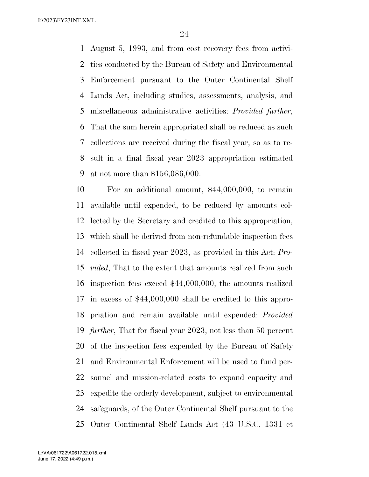August 5, 1993, and from cost recovery fees from activi- ties conducted by the Bureau of Safety and Environmental Enforcement pursuant to the Outer Continental Shelf Lands Act, including studies, assessments, analysis, and miscellaneous administrative activities: *Provided further*, That the sum herein appropriated shall be reduced as such collections are received during the fiscal year, so as to re- sult in a final fiscal year 2023 appropriation estimated at not more than \$156,086,000.

 For an additional amount, \$44,000,000, to remain available until expended, to be reduced by amounts col- lected by the Secretary and credited to this appropriation, which shall be derived from non-refundable inspection fees collected in fiscal year 2023, as provided in this Act: *Pro- vided*, That to the extent that amounts realized from such inspection fees exceed \$44,000,000, the amounts realized in excess of \$44,000,000 shall be credited to this appro- priation and remain available until expended: *Provided further*, That for fiscal year 2023, not less than 50 percent of the inspection fees expended by the Bureau of Safety and Environmental Enforcement will be used to fund per- sonnel and mission-related costs to expand capacity and expedite the orderly development, subject to environmental safeguards, of the Outer Continental Shelf pursuant to the Outer Continental Shelf Lands Act (43 U.S.C. 1331 et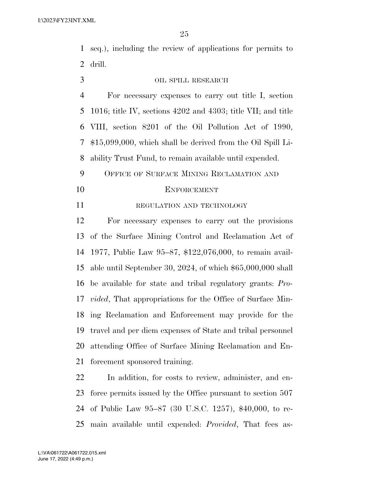seq.), including the review of applications for permits to drill.

# OIL SPILL RESEARCH

 For necessary expenses to carry out title I, section 1016; title IV, sections 4202 and 4303; title VII; and title VIII, section 8201 of the Oil Pollution Act of 1990, \$15,099,000, which shall be derived from the Oil Spill Li-ability Trust Fund, to remain available until expended.

 OFFICE OF SURFACE MINING RECLAMATION AND ENFORCEMENT

11 REGULATION AND TECHNOLOGY

 For necessary expenses to carry out the provisions of the Surface Mining Control and Reclamation Act of 1977, Public Law 95–87, \$122,076,000, to remain avail- able until September 30, 2024, of which \$65,000,000 shall be available for state and tribal regulatory grants: *Pro- vided*, That appropriations for the Office of Surface Min- ing Reclamation and Enforcement may provide for the travel and per diem expenses of State and tribal personnel attending Office of Surface Mining Reclamation and En-forcement sponsored training.

 In addition, for costs to review, administer, and en- force permits issued by the Office pursuant to section 507 of Public Law 95–87 (30 U.S.C. 1257), \$40,000, to re-main available until expended: *Provided*, That fees as-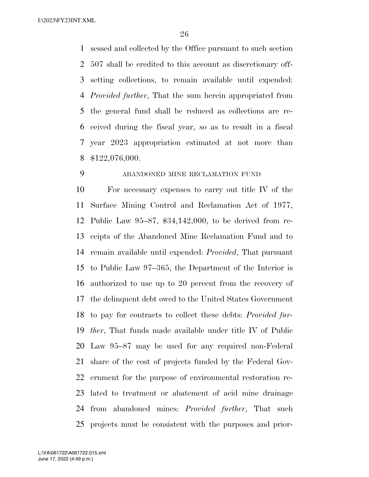sessed and collected by the Office pursuant to such section 507 shall be credited to this account as discretionary off- setting collections, to remain available until expended: *Provided further*, That the sum herein appropriated from the general fund shall be reduced as collections are re- ceived during the fiscal year, so as to result in a fiscal year 2023 appropriation estimated at not more than \$122,076,000.

## ABANDONED MINE RECLAMATION FUND

 For necessary expenses to carry out title IV of the Surface Mining Control and Reclamation Act of 1977, Public Law 95–87, \$34,142,000, to be derived from re- ceipts of the Abandoned Mine Reclamation Fund and to remain available until expended: *Provided*, That pursuant to Public Law 97–365, the Department of the Interior is authorized to use up to 20 percent from the recovery of the delinquent debt owed to the United States Government to pay for contracts to collect these debts: *Provided fur- ther*, That funds made available under title IV of Public Law 95–87 may be used for any required non-Federal share of the cost of projects funded by the Federal Gov- ernment for the purpose of environmental restoration re- lated to treatment or abatement of acid mine drainage from abandoned mines: *Provided further*, That such projects must be consistent with the purposes and prior-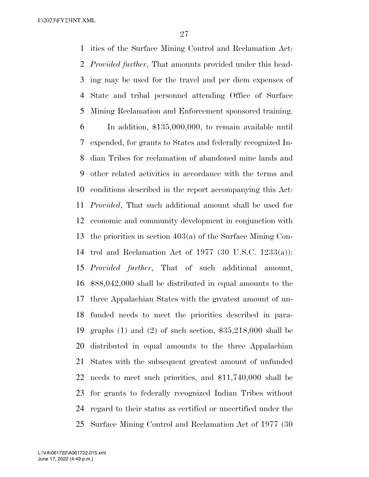ities of the Surface Mining Control and Reclamation Act: *Provided further*, That amounts provided under this head- ing may be used for the travel and per diem expenses of State and tribal personnel attending Office of Surface Mining Reclamation and Enforcement sponsored training. In addition, \$135,000,000, to remain available until expended, for grants to States and federally recognized In- dian Tribes for reclamation of abandoned mine lands and other related activities in accordance with the terms and conditions described in the report accompanying this Act: *Provided*, That such additional amount shall be used for economic and community development in conjunction with the priorities in section 403(a) of the Surface Mining Con- trol and Reclamation Act of 1977 (30 U.S.C. 1233(a)): *Provided further*, That of such additional amount, \$88,042,000 shall be distributed in equal amounts to the three Appalachian States with the greatest amount of un- funded needs to meet the priorities described in para- graphs (1) and (2) of such section, \$35,218,000 shall be distributed in equal amounts to the three Appalachian States with the subsequent greatest amount of unfunded needs to meet such priorities, and \$11,740,000 shall be for grants to federally recognized Indian Tribes without regard to their status as certified or uncertified under the Surface Mining Control and Reclamation Act of 1977 (30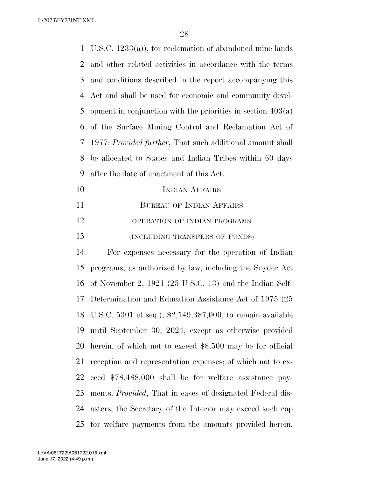| $\mathbf 1$ | U.S.C. $1233(a)$ , for reclamation of abandoned mine lands        |
|-------------|-------------------------------------------------------------------|
| 2           | and other related activities in accordance with the terms         |
| 3           | and conditions described in the report accompanying this          |
| 4           | Act and shall be used for economic and community devel-           |
| 5           | opment in conjunction with the priorities in section $403(a)$     |
| 6           | of the Surface Mining Control and Reclamation Act of              |
| 7           | 1977: Provided further, That such additional amount shall         |
| 8           | be allocated to States and Indian Tribes within 60 days           |
| 9           | after the date of enactment of this Act.                          |
| 10          | <b>INDIAN AFFAIRS</b>                                             |
| 11          | <b>BUREAU OF INDIAN AFFAIRS</b>                                   |
| 12          | OPERATION OF INDIAN PROGRAMS                                      |
| 13          | (INCLUDING TRANSFERS OF FUNDS)                                    |
| 14          | For expenses necessary for the operation of Indian                |
| 15          | programs, as authorized by law, including the Snyder Act          |
| 16          | of November 2, $1921$ (25 U.S.C. 13) and the Indian Self-         |
| 17          | Determination and Education Assistance Act of 1975 (25)           |
|             | 18 U.S.C. 5301 et seq.), \$2,149,387,000, to remain available     |
| 19          | until September 30, 2024, except as otherwise provided            |
| 20          | herein; of which not to exceed \$8,500 may be for official        |
| 21          | reception and representation expenses; of which not to ex-        |
| 22          | ceed \$78,488,000 shall be for welfare assistance pay-            |
| 23          | ments: <i>Provided</i> , That in cases of designated Federal dis- |
| 24          | asters, the Secretary of the Interior may exceed such cap         |
| 25          | for welfare payments from the amounts provided herein,            |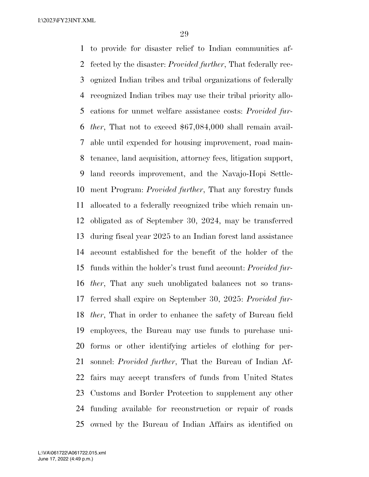to provide for disaster relief to Indian communities af- fected by the disaster: *Provided further*, That federally rec- ognized Indian tribes and tribal organizations of federally recognized Indian tribes may use their tribal priority allo- cations for unmet welfare assistance costs: *Provided fur- ther*, That not to exceed \$67,084,000 shall remain avail- able until expended for housing improvement, road main- tenance, land acquisition, attorney fees, litigation support, land records improvement, and the Navajo-Hopi Settle- ment Program: *Provided further*, That any forestry funds allocated to a federally recognized tribe which remain un- obligated as of September 30, 2024, may be transferred during fiscal year 2025 to an Indian forest land assistance account established for the benefit of the holder of the funds within the holder's trust fund account: *Provided fur- ther*, That any such unobligated balances not so trans- ferred shall expire on September 30, 2025: *Provided fur- ther*, That in order to enhance the safety of Bureau field employees, the Bureau may use funds to purchase uni- forms or other identifying articles of clothing for per- sonnel: *Provided further*, That the Bureau of Indian Af- fairs may accept transfers of funds from United States Customs and Border Protection to supplement any other funding available for reconstruction or repair of roads owned by the Bureau of Indian Affairs as identified on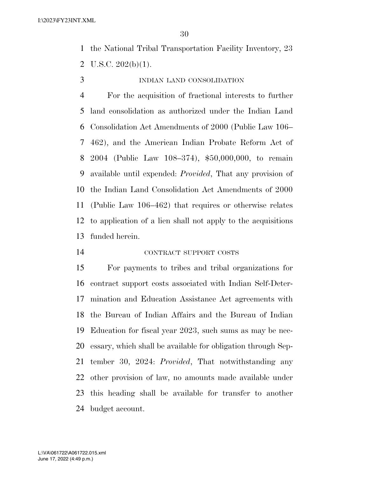the National Tribal Transportation Facility Inventory, 23 2 U.S.C.  $202(b)(1)$ .

INDIAN LAND CONSOLIDATION

 For the acquisition of fractional interests to further land consolidation as authorized under the Indian Land Consolidation Act Amendments of 2000 (Public Law 106– 462), and the American Indian Probate Reform Act of 2004 (Public Law 108–374), \$50,000,000, to remain available until expended: *Provided*, That any provision of the Indian Land Consolidation Act Amendments of 2000 (Public Law 106–462) that requires or otherwise relates to application of a lien shall not apply to the acquisitions funded herein.

CONTRACT SUPPORT COSTS

 For payments to tribes and tribal organizations for contract support costs associated with Indian Self-Deter- mination and Education Assistance Act agreements with the Bureau of Indian Affairs and the Bureau of Indian Education for fiscal year 2023, such sums as may be nec- essary, which shall be available for obligation through Sep- tember 30, 2024: *Provided*, That notwithstanding any other provision of law, no amounts made available under this heading shall be available for transfer to another budget account.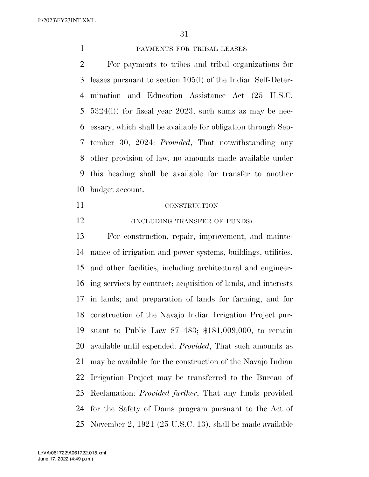#### PAYMENTS FOR TRIBAL LEASES

 For payments to tribes and tribal organizations for leases pursuant to section 105(l) of the Indian Self-Deter- mination and Education Assistance Act (25 U.S.C. 5324(l)) for fiscal year 2023, such sums as may be nec- essary, which shall be available for obligation through Sep- tember 30, 2024: *Provided*, That notwithstanding any other provision of law, no amounts made available under this heading shall be available for transfer to another budget account.

## CONSTRUCTION

**(INCLUDING TRANSFER OF FUNDS)** 

 For construction, repair, improvement, and mainte- nance of irrigation and power systems, buildings, utilities, and other facilities, including architectural and engineer- ing services by contract; acquisition of lands, and interests in lands; and preparation of lands for farming, and for construction of the Navajo Indian Irrigation Project pur- suant to Public Law 87–483; \$181,009,000, to remain available until expended: *Provided*, That such amounts as may be available for the construction of the Navajo Indian Irrigation Project may be transferred to the Bureau of Reclamation: *Provided further*, That any funds provided for the Safety of Dams program pursuant to the Act of November 2, 1921 (25 U.S.C. 13), shall be made available

June 17, 2022 (4:49 p.m.) L:\VA\061722\A061722.015.xml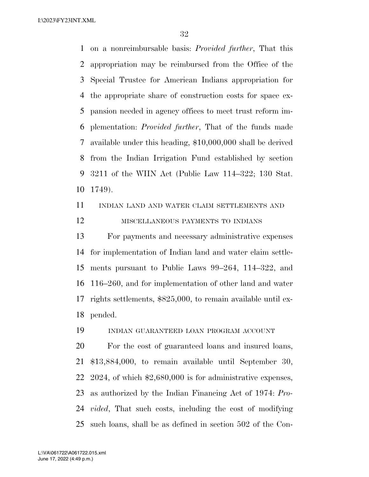on a nonreimbursable basis: *Provided further*, That this appropriation may be reimbursed from the Office of the Special Trustee for American Indians appropriation for the appropriate share of construction costs for space ex- pansion needed in agency offices to meet trust reform im- plementation: *Provided further*, That of the funds made available under this heading, \$10,000,000 shall be derived from the Indian Irrigation Fund established by section 3211 of the WIIN Act (Public Law 114–322; 130 Stat. 1749).

INDIAN LAND AND WATER CLAIM SETTLEMENTS AND

# MISCELLANEOUS PAYMENTS TO INDIANS

 For payments and necessary administrative expenses for implementation of Indian land and water claim settle- ments pursuant to Public Laws 99–264, 114–322, and 116–260, and for implementation of other land and water rights settlements, \$825,000, to remain available until ex-pended.

INDIAN GUARANTEED LOAN PROGRAM ACCOUNT

 For the cost of guaranteed loans and insured loans, \$13,884,000, to remain available until September 30, 2024, of which \$2,680,000 is for administrative expenses, as authorized by the Indian Financing Act of 1974: *Pro- vided*, That such costs, including the cost of modifying such loans, shall be as defined in section 502 of the Con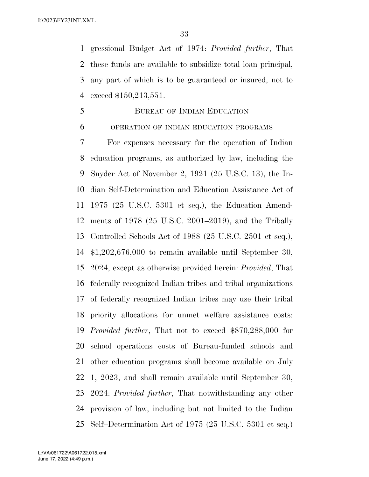gressional Budget Act of 1974: *Provided further*, That these funds are available to subsidize total loan principal, any part of which is to be guaranteed or insured, not to exceed \$150,213,551.

## BUREAU OF INDIAN EDUCATION

#### OPERATION OF INDIAN EDUCATION PROGRAMS

 For expenses necessary for the operation of Indian education programs, as authorized by law, including the Snyder Act of November 2, 1921 (25 U.S.C. 13), the In- dian Self-Determination and Education Assistance Act of 1975 (25 U.S.C. 5301 et seq.), the Education Amend- ments of 1978 (25 U.S.C. 2001–2019), and the Tribally Controlled Schools Act of 1988 (25 U.S.C. 2501 et seq.), \$1,202,676,000 to remain available until September 30, 2024, except as otherwise provided herein: *Provided*, That federally recognized Indian tribes and tribal organizations of federally recognized Indian tribes may use their tribal priority allocations for unmet welfare assistance costs: *Provided further*, That not to exceed \$870,288,000 for school operations costs of Bureau-funded schools and other education programs shall become available on July 1, 2023, and shall remain available until September 30, 2024: *Provided further*, That notwithstanding any other provision of law, including but not limited to the Indian Self–Determination Act of 1975 (25 U.S.C. 5301 et seq.)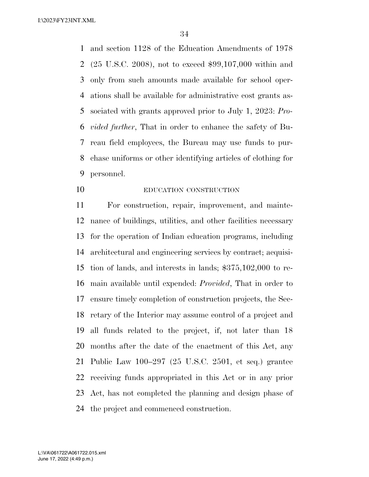and section 1128 of the Education Amendments of 1978 (25 U.S.C. 2008), not to exceed \$99,107,000 within and only from such amounts made available for school oper- ations shall be available for administrative cost grants as- sociated with grants approved prior to July 1, 2023: *Pro- vided further*, That in order to enhance the safety of Bu- reau field employees, the Bureau may use funds to pur- chase uniforms or other identifying articles of clothing for personnel.

EDUCATION CONSTRUCTION

 For construction, repair, improvement, and mainte- nance of buildings, utilities, and other facilities necessary for the operation of Indian education programs, including architectural and engineering services by contract; acquisi- tion of lands, and interests in lands; \$375,102,000 to re- main available until expended: *Provided*, That in order to ensure timely completion of construction projects, the Sec- retary of the Interior may assume control of a project and all funds related to the project, if, not later than 18 months after the date of the enactment of this Act, any Public Law 100–297 (25 U.S.C. 2501, et seq.) grantee receiving funds appropriated in this Act or in any prior Act, has not completed the planning and design phase of the project and commenced construction.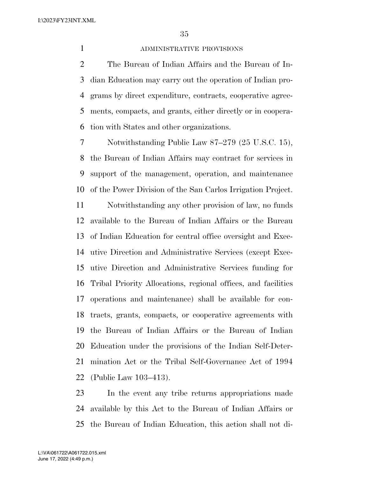#### ADMINISTRATIVE PROVISIONS

 The Bureau of Indian Affairs and the Bureau of In- dian Education may carry out the operation of Indian pro- grams by direct expenditure, contracts, cooperative agree- ments, compacts, and grants, either directly or in coopera-tion with States and other organizations.

 Notwithstanding Public Law 87–279 (25 U.S.C. 15), the Bureau of Indian Affairs may contract for services in support of the management, operation, and maintenance of the Power Division of the San Carlos Irrigation Project.

 Notwithstanding any other provision of law, no funds available to the Bureau of Indian Affairs or the Bureau of Indian Education for central office oversight and Exec- utive Direction and Administrative Services (except Exec- utive Direction and Administrative Services funding for Tribal Priority Allocations, regional offices, and facilities operations and maintenance) shall be available for con- tracts, grants, compacts, or cooperative agreements with the Bureau of Indian Affairs or the Bureau of Indian Education under the provisions of the Indian Self-Deter- mination Act or the Tribal Self-Governance Act of 1994 (Public Law 103–413).

 In the event any tribe returns appropriations made available by this Act to the Bureau of Indian Affairs or the Bureau of Indian Education, this action shall not di-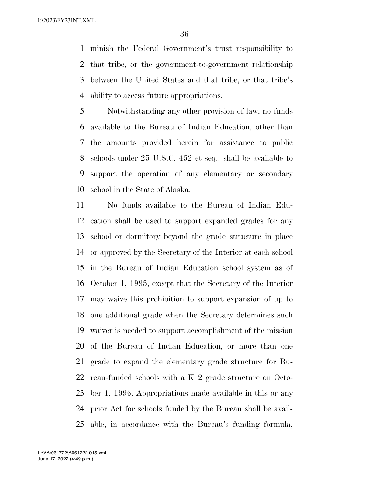minish the Federal Government's trust responsibility to that tribe, or the government-to-government relationship between the United States and that tribe, or that tribe's ability to access future appropriations.

 Notwithstanding any other provision of law, no funds available to the Bureau of Indian Education, other than the amounts provided herein for assistance to public schools under 25 U.S.C. 452 et seq., shall be available to support the operation of any elementary or secondary school in the State of Alaska.

 No funds available to the Bureau of Indian Edu- cation shall be used to support expanded grades for any school or dormitory beyond the grade structure in place or approved by the Secretary of the Interior at each school in the Bureau of Indian Education school system as of October 1, 1995, except that the Secretary of the Interior may waive this prohibition to support expansion of up to one additional grade when the Secretary determines such waiver is needed to support accomplishment of the mission of the Bureau of Indian Education, or more than one grade to expand the elementary grade structure for Bu- reau-funded schools with a K–2 grade structure on Octo- ber 1, 1996. Appropriations made available in this or any prior Act for schools funded by the Bureau shall be avail-able, in accordance with the Bureau's funding formula,

June 17, 2022 (4:49 p.m.) L:\VA\061722\A061722.015.xml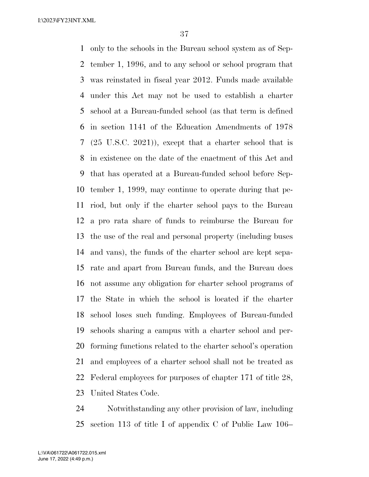only to the schools in the Bureau school system as of Sep- tember 1, 1996, and to any school or school program that was reinstated in fiscal year 2012. Funds made available under this Act may not be used to establish a charter school at a Bureau-funded school (as that term is defined in section 1141 of the Education Amendments of 1978 (25 U.S.C. 2021)), except that a charter school that is in existence on the date of the enactment of this Act and that has operated at a Bureau-funded school before Sep- tember 1, 1999, may continue to operate during that pe- riod, but only if the charter school pays to the Bureau a pro rata share of funds to reimburse the Bureau for the use of the real and personal property (including buses and vans), the funds of the charter school are kept sepa- rate and apart from Bureau funds, and the Bureau does not assume any obligation for charter school programs of the State in which the school is located if the charter school loses such funding. Employees of Bureau-funded schools sharing a campus with a charter school and per- forming functions related to the charter school's operation and employees of a charter school shall not be treated as Federal employees for purposes of chapter 171 of title 28, United States Code.

 Notwithstanding any other provision of law, including section 113 of title I of appendix C of Public Law 106–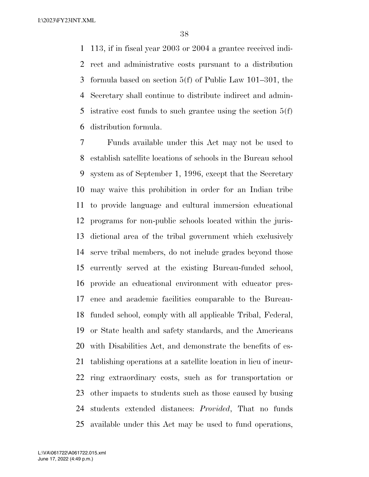113, if in fiscal year 2003 or 2004 a grantee received indi- rect and administrative costs pursuant to a distribution formula based on section 5(f) of Public Law 101–301, the Secretary shall continue to distribute indirect and admin-5 istrative cost funds to such grantee using the section  $5(f)$ distribution formula.

 Funds available under this Act may not be used to establish satellite locations of schools in the Bureau school system as of September 1, 1996, except that the Secretary may waive this prohibition in order for an Indian tribe to provide language and cultural immersion educational programs for non-public schools located within the juris- dictional area of the tribal government which exclusively serve tribal members, do not include grades beyond those currently served at the existing Bureau-funded school, provide an educational environment with educator pres- ence and academic facilities comparable to the Bureau- funded school, comply with all applicable Tribal, Federal, or State health and safety standards, and the Americans with Disabilities Act, and demonstrate the benefits of es- tablishing operations at a satellite location in lieu of incur- ring extraordinary costs, such as for transportation or other impacts to students such as those caused by busing students extended distances: *Provided*, That no funds available under this Act may be used to fund operations,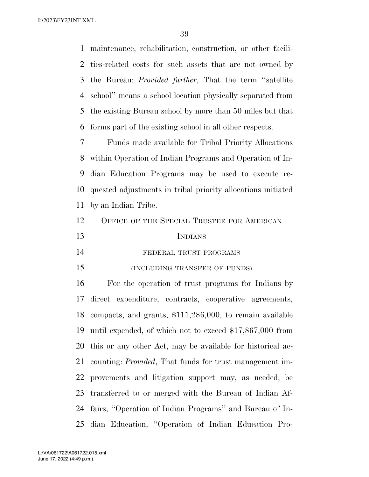maintenance, rehabilitation, construction, or other facili- ties-related costs for such assets that are not owned by the Bureau: *Provided further*, That the term ''satellite school'' means a school location physically separated from the existing Bureau school by more than 50 miles but that forms part of the existing school in all other respects.

 Funds made available for Tribal Priority Allocations within Operation of Indian Programs and Operation of In- dian Education Programs may be used to execute re- quested adjustments in tribal priority allocations initiated by an Indian Tribe.

# 12 OFFICE OF THE SPECIAL TRUSTEE FOR AMERICAN

# INDIANS

FEDERAL TRUST PROGRAMS

(INCLUDING TRANSFER OF FUNDS)

 For the operation of trust programs for Indians by direct expenditure, contracts, cooperative agreements, compacts, and grants, \$111,286,000, to remain available until expended, of which not to exceed \$17,867,000 from this or any other Act, may be available for historical ac- counting: *Provided*, That funds for trust management im- provements and litigation support may, as needed, be transferred to or merged with the Bureau of Indian Af- fairs, ''Operation of Indian Programs'' and Bureau of In-dian Education, ''Operation of Indian Education Pro-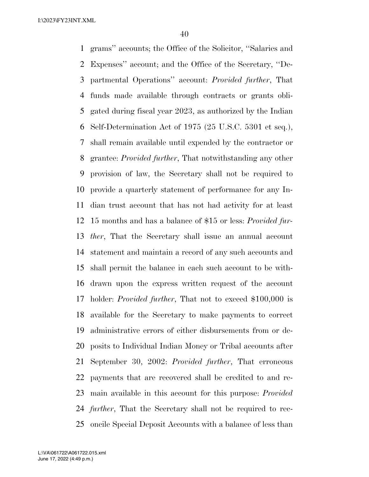grams'' accounts; the Office of the Solicitor, ''Salaries and Expenses'' account; and the Office of the Secretary, ''De- partmental Operations'' account: *Provided further*, That funds made available through contracts or grants obli- gated during fiscal year 2023, as authorized by the Indian Self-Determination Act of 1975 (25 U.S.C. 5301 et seq.), shall remain available until expended by the contractor or grantee: *Provided further*, That notwithstanding any other provision of law, the Secretary shall not be required to provide a quarterly statement of performance for any In- dian trust account that has not had activity for at least 15 months and has a balance of \$15 or less: *Provided fur- ther*, That the Secretary shall issue an annual account statement and maintain a record of any such accounts and shall permit the balance in each such account to be with- drawn upon the express written request of the account holder: *Provided further*, That not to exceed \$100,000 is available for the Secretary to make payments to correct administrative errors of either disbursements from or de- posits to Individual Indian Money or Tribal accounts after September 30, 2002: *Provided further*, That erroneous payments that are recovered shall be credited to and re- main available in this account for this purpose: *Provided further*, That the Secretary shall not be required to rec-oncile Special Deposit Accounts with a balance of less than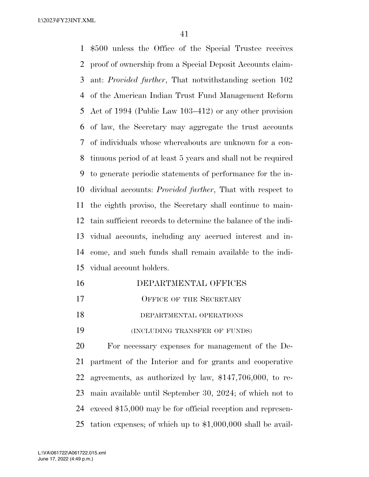\$500 unless the Office of the Special Trustee receives proof of ownership from a Special Deposit Accounts claim- ant: *Provided further*, That notwithstanding section 102 of the American Indian Trust Fund Management Reform Act of 1994 (Public Law 103–412) or any other provision of law, the Secretary may aggregate the trust accounts of individuals whose whereabouts are unknown for a con- tinuous period of at least 5 years and shall not be required to generate periodic statements of performance for the in- dividual accounts: *Provided further*, That with respect to the eighth proviso, the Secretary shall continue to main- tain sufficient records to determine the balance of the indi- vidual accounts, including any accrued interest and in- come, and such funds shall remain available to the indi-vidual account holders.

- DEPARTMENTAL OFFICES 17 OFFICE OF THE SECRETARY
- DEPARTMENTAL OPERATIONS

(INCLUDING TRANSFER OF FUNDS)

 For necessary expenses for management of the De- partment of the Interior and for grants and cooperative agreements, as authorized by law, \$147,706,000, to re- main available until September 30, 2024; of which not to exceed \$15,000 may be for official reception and represen-tation expenses; of which up to \$1,000,000 shall be avail-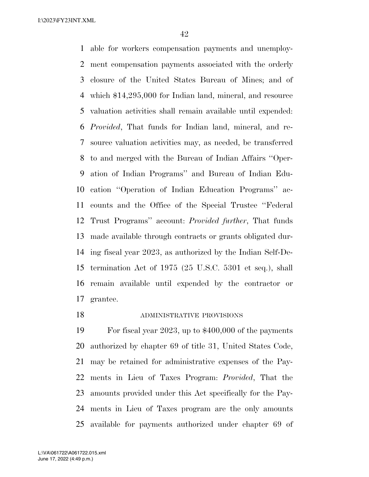able for workers compensation payments and unemploy- ment compensation payments associated with the orderly closure of the United States Bureau of Mines; and of which \$14,295,000 for Indian land, mineral, and resource valuation activities shall remain available until expended: *Provided*, That funds for Indian land, mineral, and re- source valuation activities may, as needed, be transferred to and merged with the Bureau of Indian Affairs ''Oper- ation of Indian Programs'' and Bureau of Indian Edu- cation ''Operation of Indian Education Programs'' ac- counts and the Office of the Special Trustee ''Federal Trust Programs'' account: *Provided further*, That funds made available through contracts or grants obligated dur- ing fiscal year 2023, as authorized by the Indian Self-De- termination Act of 1975 (25 U.S.C. 5301 et seq.), shall remain available until expended by the contractor or grantee.

### 18 ADMINISTRATIVE PROVISIONS

 For fiscal year 2023, up to \$400,000 of the payments authorized by chapter 69 of title 31, United States Code, may be retained for administrative expenses of the Pay- ments in Lieu of Taxes Program: *Provided*, That the amounts provided under this Act specifically for the Pay- ments in Lieu of Taxes program are the only amounts available for payments authorized under chapter 69 of

June 17, 2022 (4:49 p.m.) L:\VA\061722\A061722.015.xml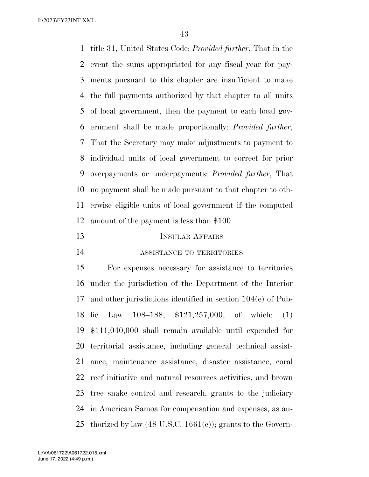title 31, United States Code: *Provided further*, That in the event the sums appropriated for any fiscal year for pay- ments pursuant to this chapter are insufficient to make the full payments authorized by that chapter to all units of local government, then the payment to each local gov- ernment shall be made proportionally: *Provided further*, That the Secretary may make adjustments to payment to individual units of local government to correct for prior overpayments or underpayments: *Provided further*, That no payment shall be made pursuant to that chapter to oth- erwise eligible units of local government if the computed amount of the payment is less than \$100.

# INSULAR AFFAIRS

ASSISTANCE TO TERRITORIES

 For expenses necessary for assistance to territories under the jurisdiction of the Department of the Interior and other jurisdictions identified in section 104(e) of Pub- lic Law 108–188, \$121,257,000, of which: (1) \$111,040,000 shall remain available until expended for territorial assistance, including general technical assist- ance, maintenance assistance, disaster assistance, coral reef initiative and natural resources activities, and brown tree snake control and research; grants to the judiciary in American Samoa for compensation and expenses, as au-25 thorized by law  $(48 \text{ U.S.C. } 1661(e))$ ; grants to the Govern-

June 17, 2022 (4:49 p.m.) L:\VA\061722\A061722.015.xml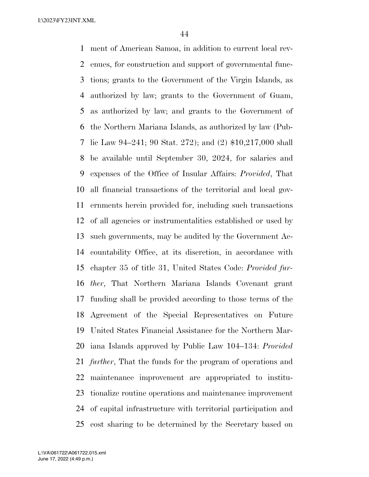ment of American Samoa, in addition to current local rev- enues, for construction and support of governmental func- tions; grants to the Government of the Virgin Islands, as authorized by law; grants to the Government of Guam, as authorized by law; and grants to the Government of the Northern Mariana Islands, as authorized by law (Pub- lic Law 94–241; 90 Stat. 272); and (2) \$10,217,000 shall be available until September 30, 2024, for salaries and expenses of the Office of Insular Affairs: *Provided*, That all financial transactions of the territorial and local gov- ernments herein provided for, including such transactions of all agencies or instrumentalities established or used by such governments, may be audited by the Government Ac- countability Office, at its discretion, in accordance with chapter 35 of title 31, United States Code: *Provided fur- ther*, That Northern Mariana Islands Covenant grant funding shall be provided according to those terms of the Agreement of the Special Representatives on Future United States Financial Assistance for the Northern Mar- iana Islands approved by Public Law 104–134: *Provided further*, That the funds for the program of operations and maintenance improvement are appropriated to institu- tionalize routine operations and maintenance improvement of capital infrastructure with territorial participation and cost sharing to be determined by the Secretary based on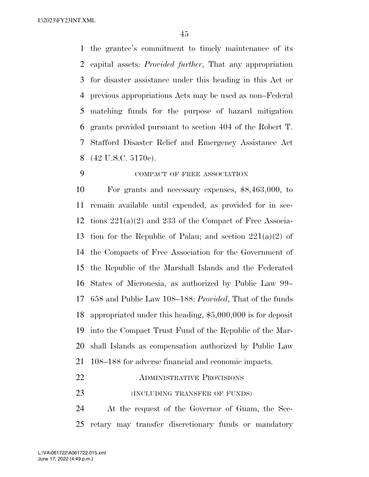the grantee's commitment to timely maintenance of its capital assets: *Provided further*, That any appropriation for disaster assistance under this heading in this Act or previous appropriations Acts may be used as non–Federal matching funds for the purpose of hazard mitigation grants provided pursuant to section 404 of the Robert T. Stafford Disaster Relief and Emergency Assistance Act (42 U.S.C. 5170c).

# COMPACT OF FREE ASSOCIATION

 For grants and necessary expenses, \$8,463,000, to remain available until expended, as provided for in sec- tions 221(a)(2) and 233 of the Compact of Free Associa-13 tion for the Republic of Palau; and section  $221(a)(2)$  of the Compacts of Free Association for the Government of the Republic of the Marshall Islands and the Federated States of Micronesia, as authorized by Public Law 99– 658 and Public Law 108–188: *Provided*, That of the funds appropriated under this heading, \$5,000,000 is for deposit into the Compact Trust Fund of the Republic of the Mar- shall Islands as compensation authorized by Public Law 108–188 for adverse financial and economic impacts.

# **ADMINISTRATIVE PROVISIONS**

(INCLUDING TRANSFER OF FUNDS)

 At the request of the Governor of Guam, the Sec-retary may transfer discretionary funds or mandatory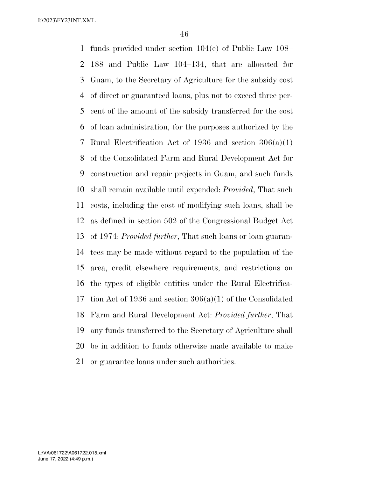funds provided under section 104(e) of Public Law 108– 188 and Public Law 104–134, that are allocated for Guam, to the Secretary of Agriculture for the subsidy cost of direct or guaranteed loans, plus not to exceed three per- cent of the amount of the subsidy transferred for the cost of loan administration, for the purposes authorized by the Rural Electrification Act of 1936 and section 306(a)(1) of the Consolidated Farm and Rural Development Act for construction and repair projects in Guam, and such funds shall remain available until expended: *Provided*, That such costs, including the cost of modifying such loans, shall be as defined in section 502 of the Congressional Budget Act of 1974: *Provided further*, That such loans or loan guaran- tees may be made without regard to the population of the area, credit elsewhere requirements, and restrictions on the types of eligible entities under the Rural Electrifica- tion Act of 1936 and section 306(a)(1) of the Consolidated Farm and Rural Development Act: *Provided further*, That any funds transferred to the Secretary of Agriculture shall be in addition to funds otherwise made available to make or guarantee loans under such authorities.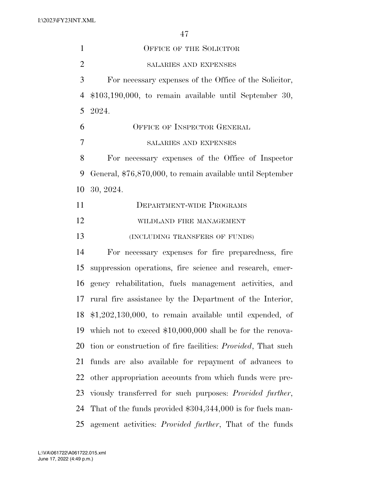| $\mathbf{1}$   | OFFICE OF THE SOLICITOR                                              |
|----------------|----------------------------------------------------------------------|
| $\overline{2}$ | SALARIES AND EXPENSES                                                |
| 3              | For necessary expenses of the Office of the Solicitor,               |
| $\overline{4}$ | $$103,190,000$ , to remain available until September 30,             |
| 5              | 2024.                                                                |
| 6              | OFFICE OF INSPECTOR GENERAL                                          |
| $\overline{7}$ | SALARIES AND EXPENSES                                                |
| 8              | For necessary expenses of the Office of Inspector                    |
| 9              | General, \$76,870,000, to remain available until September           |
| 10             | 30, 2024.                                                            |
| 11             | <b>DEPARTMENT-WIDE PROGRAMS</b>                                      |
| 12             | WILDLAND FIRE MANAGEMENT                                             |
| 13             | (INCLUDING TRANSFERS OF FUNDS)                                       |
| 14             | For necessary expenses for fire preparedness, fire                   |
| 15             | suppression operations, fire science and research, emer-             |
| 16             | gency rehabilitation, fuels management activities, and               |
| 17             | rural fire assistance by the Department of the Interior,             |
|                | 18 $$1,202,130,000$ , to remain available until expended, of         |
| 19             | which not to exceed $$10,000,000$ shall be for the renova-           |
| 20             | tion or construction of fire facilities: <i>Provided</i> , That such |
| 21             | funds are also available for repayment of advances to                |
| 22             | other appropriation accounts from which funds were pre-              |
| 23             | viously transferred for such purposes: <i>Provided further</i> ,     |
| 24             | That of the funds provided $$304,344,000$ is for fuels man-          |
| 25             | agement activities: <i>Provided further</i> , That of the funds      |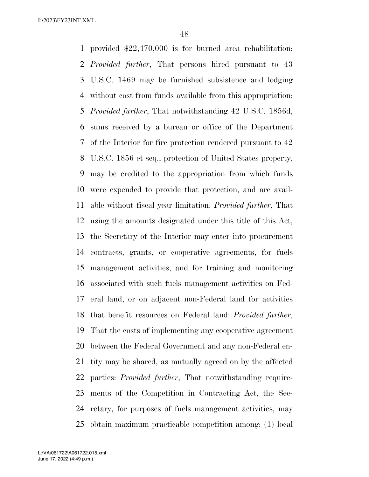provided \$22,470,000 is for burned area rehabilitation: *Provided further*, That persons hired pursuant to 43 U.S.C. 1469 may be furnished subsistence and lodging without cost from funds available from this appropriation: *Provided further*, That notwithstanding 42 U.S.C. 1856d, sums received by a bureau or office of the Department of the Interior for fire protection rendered pursuant to 42 U.S.C. 1856 et seq., protection of United States property, may be credited to the appropriation from which funds were expended to provide that protection, and are avail- able without fiscal year limitation: *Provided further*, That using the amounts designated under this title of this Act, the Secretary of the Interior may enter into procurement contracts, grants, or cooperative agreements, for fuels management activities, and for training and monitoring associated with such fuels management activities on Fed- eral land, or on adjacent non-Federal land for activities that benefit resources on Federal land: *Provided further*, That the costs of implementing any cooperative agreement between the Federal Government and any non-Federal en- tity may be shared, as mutually agreed on by the affected parties: *Provided further*, That notwithstanding require- ments of the Competition in Contracting Act, the Sec- retary, for purposes of fuels management activities, may obtain maximum practicable competition among: (1) local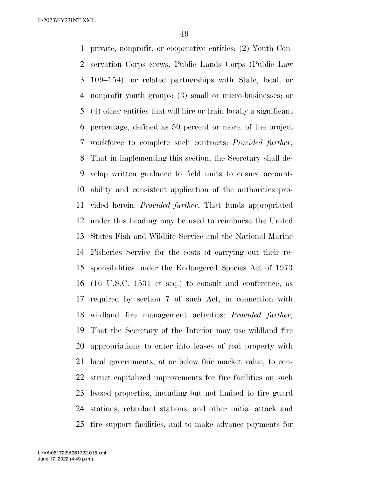private, nonprofit, or cooperative entities; (2) Youth Con- servation Corps crews, Public Lands Corps (Public Law 109–154), or related partnerships with State, local, or nonprofit youth groups; (3) small or micro-businesses; or (4) other entities that will hire or train locally a significant percentage, defined as 50 percent or more, of the project workforce to complete such contracts: *Provided further*, That in implementing this section, the Secretary shall de- velop written guidance to field units to ensure account- ability and consistent application of the authorities pro- vided herein: *Provided further*, That funds appropriated under this heading may be used to reimburse the United States Fish and Wildlife Service and the National Marine Fisheries Service for the costs of carrying out their re- sponsibilities under the Endangered Species Act of 1973 (16 U.S.C. 1531 et seq.) to consult and conference, as required by section 7 of such Act, in connection with wildland fire management activities: *Provided further*, That the Secretary of the Interior may use wildland fire appropriations to enter into leases of real property with local governments, at or below fair market value, to con- struct capitalized improvements for fire facilities on such leased properties, including but not limited to fire guard stations, retardant stations, and other initial attack and fire support facilities, and to make advance payments for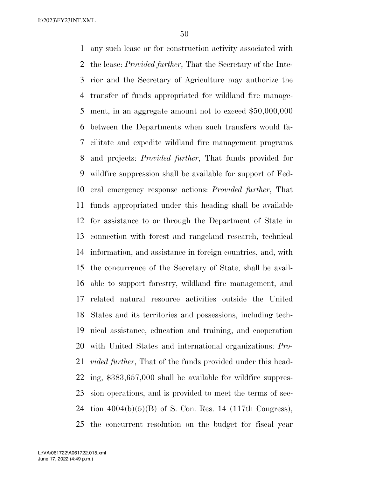any such lease or for construction activity associated with the lease: *Provided further*, That the Secretary of the Inte- rior and the Secretary of Agriculture may authorize the transfer of funds appropriated for wildland fire manage- ment, in an aggregate amount not to exceed \$50,000,000 between the Departments when such transfers would fa- cilitate and expedite wildland fire management programs and projects: *Provided further*, That funds provided for wildfire suppression shall be available for support of Fed- eral emergency response actions: *Provided further*, That funds appropriated under this heading shall be available for assistance to or through the Department of State in connection with forest and rangeland research, technical information, and assistance in foreign countries, and, with the concurrence of the Secretary of State, shall be avail- able to support forestry, wildland fire management, and related natural resource activities outside the United States and its territories and possessions, including tech- nical assistance, education and training, and cooperation with United States and international organizations: *Pro- vided further*, That of the funds provided under this head- ing, \$383,657,000 shall be available for wildfire suppres- sion operations, and is provided to meet the terms of sec- tion 4004(b)(5)(B) of S. Con. Res. 14 (117th Congress), the concurrent resolution on the budget for fiscal year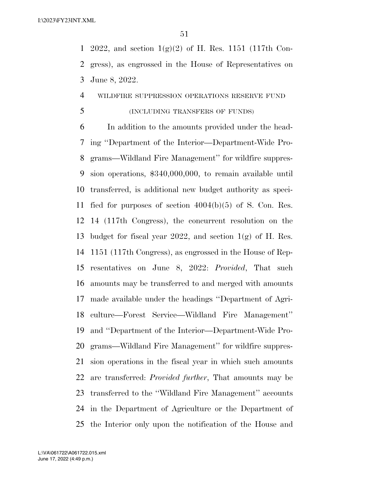1 2022, and section  $1(g)(2)$  of H. Res. 1151 (117th Con- gress), as engrossed in the House of Representatives on June 8, 2022.

### WILDFIRE SUPPRESSION OPERATIONS RESERVE FUND

# (INCLUDING TRANSFERS OF FUNDS)

 In addition to the amounts provided under the head- ing ''Department of the Interior—Department-Wide Pro- grams—Wildland Fire Management'' for wildfire suppres- sion operations, \$340,000,000, to remain available until transferred, is additional new budget authority as speci- fied for purposes of section 4004(b)(5) of S. Con. Res. 14 (117th Congress), the concurrent resolution on the budget for fiscal year 2022, and section 1(g) of H. Res. 1151 (117th Congress), as engrossed in the House of Rep- resentatives on June 8, 2022: *Provided*, That such amounts may be transferred to and merged with amounts made available under the headings ''Department of Agri- culture—Forest Service—Wildland Fire Management'' and ''Department of the Interior—Department-Wide Pro- grams—Wildland Fire Management'' for wildfire suppres- sion operations in the fiscal year in which such amounts are transferred: *Provided further*, That amounts may be transferred to the ''Wildland Fire Management'' accounts in the Department of Agriculture or the Department of the Interior only upon the notification of the House and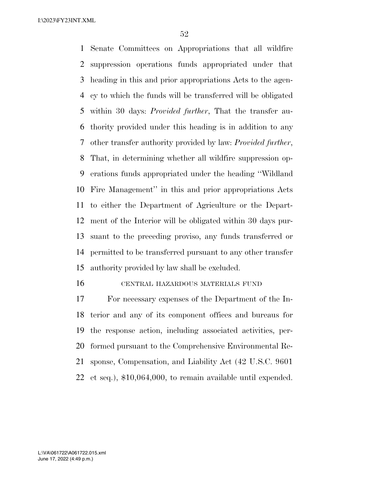Senate Committees on Appropriations that all wildfire suppression operations funds appropriated under that heading in this and prior appropriations Acts to the agen- cy to which the funds will be transferred will be obligated within 30 days: *Provided further*, That the transfer au- thority provided under this heading is in addition to any other transfer authority provided by law: *Provided further*, That, in determining whether all wildfire suppression op- erations funds appropriated under the heading ''Wildland Fire Management'' in this and prior appropriations Acts to either the Department of Agriculture or the Depart- ment of the Interior will be obligated within 30 days pur- suant to the preceding proviso, any funds transferred or permitted to be transferred pursuant to any other transfer authority provided by law shall be excluded.

#### CENTRAL HAZARDOUS MATERIALS FUND

 For necessary expenses of the Department of the In- terior and any of its component offices and bureaus for the response action, including associated activities, per- formed pursuant to the Comprehensive Environmental Re- sponse, Compensation, and Liability Act (42 U.S.C. 9601 et seq.), \$10,064,000, to remain available until expended.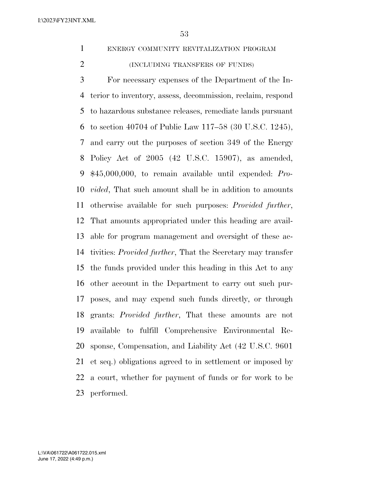ENERGY COMMUNITY REVITALIZATION PROGRAM

(INCLUDING TRANSFERS OF FUNDS)

 For necessary expenses of the Department of the In- terior to inventory, assess, decommission, reclaim, respond to hazardous substance releases, remediate lands pursuant to section 40704 of Public Law 117–58 (30 U.S.C. 1245), and carry out the purposes of section 349 of the Energy Policy Act of 2005 (42 U.S.C. 15907), as amended, \$45,000,000, to remain available until expended: *Pro- vided*, That such amount shall be in addition to amounts otherwise available for such purposes: *Provided further*, That amounts appropriated under this heading are avail- able for program management and oversight of these ac- tivities: *Provided further*, That the Secretary may transfer the funds provided under this heading in this Act to any other account in the Department to carry out such pur- poses, and may expend such funds directly, or through grants: *Provided further*, That these amounts are not available to fulfill Comprehensive Environmental Re- sponse, Compensation, and Liability Act (42 U.S.C. 9601 et seq.) obligations agreed to in settlement or imposed by a court, whether for payment of funds or for work to be performed.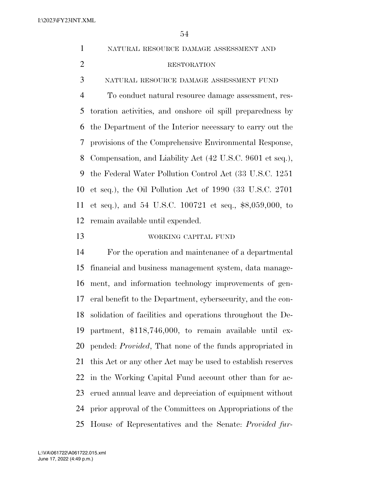| $\mathbf{1}$   | NATURAL RESOURCE DAMAGE ASSESSMENT AND                           |
|----------------|------------------------------------------------------------------|
| $\mathfrak{2}$ | <b>RESTORATION</b>                                               |
| 3              | NATURAL RESOURCE DAMAGE ASSESSMENT FUND                          |
| $\overline{4}$ | To conduct natural resource damage assessment, res-              |
| 5              | toration activities, and onshore oil spill preparedness by       |
| 6              | the Department of the Interior necessary to carry out the        |
| 7              | provisions of the Comprehensive Environmental Response,          |
| 8              | Compensation, and Liability Act (42 U.S.C. 9601 et seq.),        |
| 9              | the Federal Water Pollution Control Act (33 U.S.C. 1251)         |
| 10             | et seq.), the Oil Pollution Act of 1990 (33 U.S.C. 2701          |
| 11             | et seq.), and 54 U.S.C. 100721 et seq., \$8,059,000, to          |
| 12             | remain available until expended.                                 |
| 13             | WORKING CAPITAL FUND                                             |
|                |                                                                  |
| 14             | For the operation and maintenance of a departmental              |
| 15             | financial and business management system, data manage-           |
| 16             | ment, and information technology improvements of gen-            |
| 17             | eral benefit to the Department, cybersecurity, and the con-      |
|                | 18 solidation of facilities and operations throughout the De-    |
| 19             | partment, \$118,746,000, to remain available until ex-           |
| 20             | pended: <i>Provided</i> , That none of the funds appropriated in |
| 21             | this Act or any other Act may be used to establish reserves      |
| <u>22</u>      | in the Working Capital Fund account other than for ac-           |
| 23             | crued annual leave and depreciation of equipment without         |
| 24             | prior approval of the Committees on Appropriations of the        |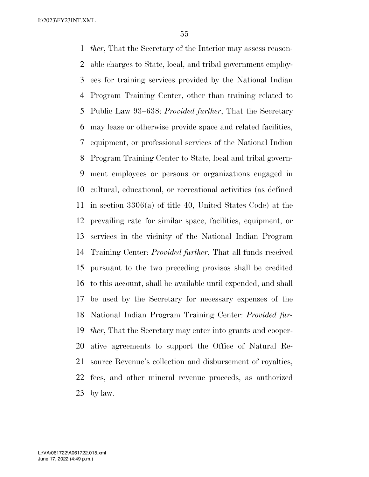*ther*, That the Secretary of the Interior may assess reason- able charges to State, local, and tribal government employ- ees for training services provided by the National Indian Program Training Center, other than training related to Public Law 93–638: *Provided further*, That the Secretary may lease or otherwise provide space and related facilities, equipment, or professional services of the National Indian Program Training Center to State, local and tribal govern- ment employees or persons or organizations engaged in cultural, educational, or recreational activities (as defined in section 3306(a) of title 40, United States Code) at the prevailing rate for similar space, facilities, equipment, or services in the vicinity of the National Indian Program Training Center: *Provided further*, That all funds received pursuant to the two preceding provisos shall be credited to this account, shall be available until expended, and shall be used by the Secretary for necessary expenses of the National Indian Program Training Center: *Provided fur- ther*, That the Secretary may enter into grants and cooper- ative agreements to support the Office of Natural Re- source Revenue's collection and disbursement of royalties, fees, and other mineral revenue proceeds, as authorized by law.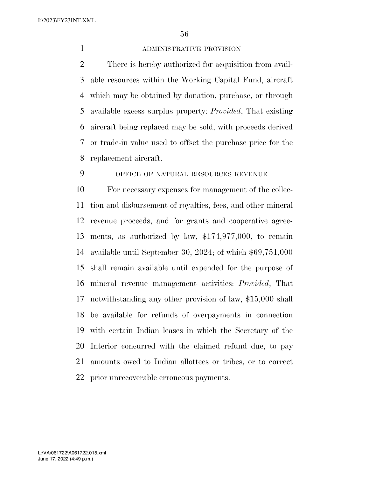# ADMINISTRATIVE PROVISION

 There is hereby authorized for acquisition from avail- able resources within the Working Capital Fund, aircraft which may be obtained by donation, purchase, or through available excess surplus property: *Provided*, That existing aircraft being replaced may be sold, with proceeds derived or trade-in value used to offset the purchase price for the replacement aircraft.

OFFICE OF NATURAL RESOURCES REVENUE

 For necessary expenses for management of the collec- tion and disbursement of royalties, fees, and other mineral revenue proceeds, and for grants and cooperative agree- ments, as authorized by law, \$174,977,000, to remain available until September 30, 2024; of which \$69,751,000 shall remain available until expended for the purpose of mineral revenue management activities: *Provided*, That notwithstanding any other provision of law, \$15,000 shall be available for refunds of overpayments in connection with certain Indian leases in which the Secretary of the Interior concurred with the claimed refund due, to pay amounts owed to Indian allottees or tribes, or to correct prior unrecoverable erroneous payments.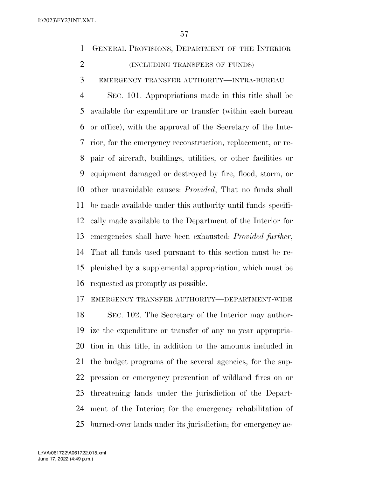GENERAL PROVISIONS, DEPARTMENT OF THE INTERIOR (INCLUDING TRANSFERS OF FUNDS)

EMERGENCY TRANSFER AUTHORITY—INTRA-BUREAU

 SEC. 101. Appropriations made in this title shall be available for expenditure or transfer (within each bureau or office), with the approval of the Secretary of the Inte- rior, for the emergency reconstruction, replacement, or re- pair of aircraft, buildings, utilities, or other facilities or equipment damaged or destroyed by fire, flood, storm, or other unavoidable causes: *Provided*, That no funds shall be made available under this authority until funds specifi- cally made available to the Department of the Interior for emergencies shall have been exhausted: *Provided further*, That all funds used pursuant to this section must be re- plenished by a supplemental appropriation, which must be requested as promptly as possible.

EMERGENCY TRANSFER AUTHORITY—DEPARTMENT-WIDE

 SEC. 102. The Secretary of the Interior may author- ize the expenditure or transfer of any no year appropria- tion in this title, in addition to the amounts included in the budget programs of the several agencies, for the sup- pression or emergency prevention of wildland fires on or threatening lands under the jurisdiction of the Depart- ment of the Interior; for the emergency rehabilitation of burned-over lands under its jurisdiction; for emergency ac-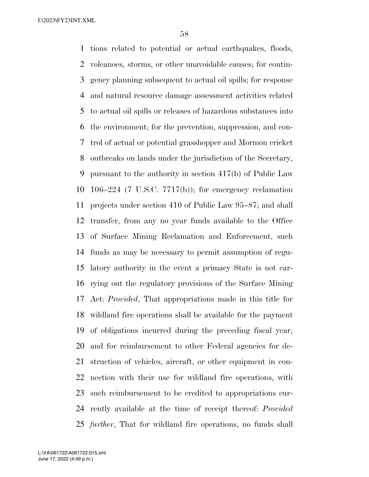tions related to potential or actual earthquakes, floods, volcanoes, storms, or other unavoidable causes; for contin- gency planning subsequent to actual oil spills; for response and natural resource damage assessment activities related to actual oil spills or releases of hazardous substances into the environment; for the prevention, suppression, and con- trol of actual or potential grasshopper and Mormon cricket outbreaks on lands under the jurisdiction of the Secretary, pursuant to the authority in section 417(b) of Public Law 106–224 (7 U.S.C. 7717(b)); for emergency reclamation projects under section 410 of Public Law 95–87; and shall transfer, from any no year funds available to the Office of Surface Mining Reclamation and Enforcement, such funds as may be necessary to permit assumption of regu- latory authority in the event a primacy State is not car- rying out the regulatory provisions of the Surface Mining Act: *Provided*, That appropriations made in this title for wildland fire operations shall be available for the payment of obligations incurred during the preceding fiscal year, and for reimbursement to other Federal agencies for de- struction of vehicles, aircraft, or other equipment in con- nection with their use for wildland fire operations, with such reimbursement to be credited to appropriations cur- rently available at the time of receipt thereof: *Provided further*, That for wildland fire operations, no funds shall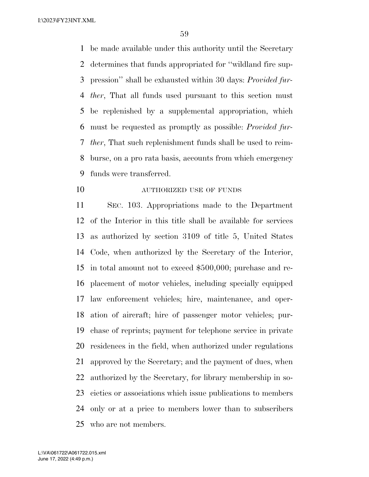be made available under this authority until the Secretary determines that funds appropriated for ''wildland fire sup- pression'' shall be exhausted within 30 days: *Provided fur- ther*, That all funds used pursuant to this section must be replenished by a supplemental appropriation, which must be requested as promptly as possible: *Provided fur- ther*, That such replenishment funds shall be used to reim- burse, on a pro rata basis, accounts from which emergency funds were transferred.

**AUTHORIZED USE OF FUNDS** 

 SEC. 103. Appropriations made to the Department of the Interior in this title shall be available for services as authorized by section 3109 of title 5, United States Code, when authorized by the Secretary of the Interior, in total amount not to exceed \$500,000; purchase and re- placement of motor vehicles, including specially equipped law enforcement vehicles; hire, maintenance, and oper- ation of aircraft; hire of passenger motor vehicles; pur- chase of reprints; payment for telephone service in private residences in the field, when authorized under regulations approved by the Secretary; and the payment of dues, when authorized by the Secretary, for library membership in so- cieties or associations which issue publications to members only or at a price to members lower than to subscribers who are not members.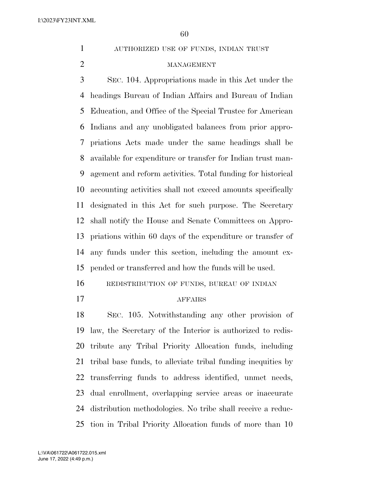AUTHORIZED USE OF FUNDS, INDIAN TRUST

# MANAGEMENT

 SEC. 104. Appropriations made in this Act under the headings Bureau of Indian Affairs and Bureau of Indian Education, and Office of the Special Trustee for American Indians and any unobligated balances from prior appro- priations Acts made under the same headings shall be available for expenditure or transfer for Indian trust man- agement and reform activities. Total funding for historical accounting activities shall not exceed amounts specifically designated in this Act for such purpose. The Secretary shall notify the House and Senate Committees on Appro- priations within 60 days of the expenditure or transfer of any funds under this section, including the amount ex-pended or transferred and how the funds will be used.

REDISTRIBUTION OF FUNDS, BUREAU OF INDIAN

# AFFAIRS

 SEC. 105. Notwithstanding any other provision of law, the Secretary of the Interior is authorized to redis- tribute any Tribal Priority Allocation funds, including tribal base funds, to alleviate tribal funding inequities by transferring funds to address identified, unmet needs, dual enrollment, overlapping service areas or inaccurate distribution methodologies. No tribe shall receive a reduc-tion in Tribal Priority Allocation funds of more than 10

June 17, 2022 (4:49 p.m.) L:\VA\061722\A061722.015.xml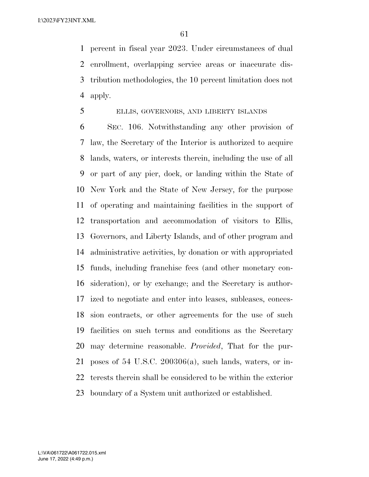percent in fiscal year 2023. Under circumstances of dual enrollment, overlapping service areas or inaccurate dis- tribution methodologies, the 10 percent limitation does not apply.

# ELLIS, GOVERNORS, AND LIBERTY ISLANDS

 SEC. 106. Notwithstanding any other provision of law, the Secretary of the Interior is authorized to acquire lands, waters, or interests therein, including the use of all or part of any pier, dock, or landing within the State of New York and the State of New Jersey, for the purpose of operating and maintaining facilities in the support of transportation and accommodation of visitors to Ellis, Governors, and Liberty Islands, and of other program and administrative activities, by donation or with appropriated funds, including franchise fees (and other monetary con- sideration), or by exchange; and the Secretary is author- ized to negotiate and enter into leases, subleases, conces- sion contracts, or other agreements for the use of such facilities on such terms and conditions as the Secretary may determine reasonable. *Provided*, That for the pur- poses of 54 U.S.C. 200306(a), such lands, waters, or in- terests therein shall be considered to be within the exterior boundary of a System unit authorized or established.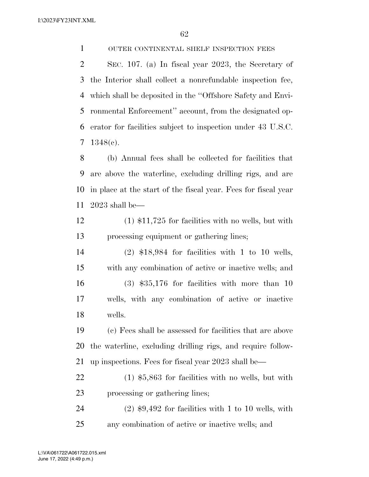OUTER CONTINENTAL SHELF INSPECTION FEES

 SEC. 107. (a) In fiscal year 2023, the Secretary of the Interior shall collect a nonrefundable inspection fee, which shall be deposited in the ''Offshore Safety and Envi- ronmental Enforcement'' account, from the designated op- erator for facilities subject to inspection under 43 U.S.C. 1348(c).

 (b) Annual fees shall be collected for facilities that are above the waterline, excluding drilling rigs, and are in place at the start of the fiscal year. Fees for fiscal year 2023 shall be—

 (1) \$11,725 for facilities with no wells, but with processing equipment or gathering lines;

 (2) \$18,984 for facilities with 1 to 10 wells, with any combination of active or inactive wells; and (3) \$35,176 for facilities with more than 10 wells, with any combination of active or inactive wells.

 (c) Fees shall be assessed for facilities that are above the waterline, excluding drilling rigs, and require follow-up inspections. Fees for fiscal year 2023 shall be—

 (1) \$5,863 for facilities with no wells, but with processing or gathering lines;

 (2) \$9,492 for facilities with 1 to 10 wells, with any combination of active or inactive wells; and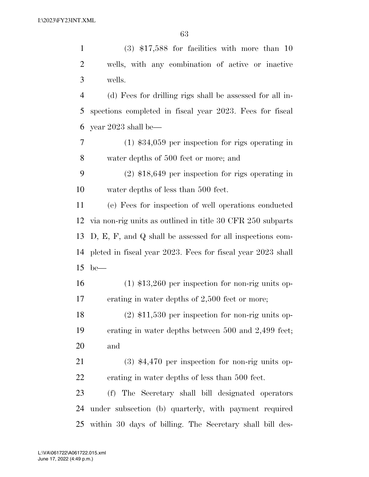(3) \$17,588 for facilities with more than 10 wells, with any combination of active or inactive wells.

 (d) Fees for drilling rigs shall be assessed for all in- spections completed in fiscal year 2023. Fees for fiscal year 2023 shall be—

 (1) \$34,059 per inspection for rigs operating in water depths of 500 feet or more; and

 (2) \$18,649 per inspection for rigs operating in water depths of less than 500 feet.

 (e) Fees for inspection of well operations conducted via non-rig units as outlined in title 30 CFR 250 subparts D, E, F, and Q shall be assessed for all inspections com- pleted in fiscal year 2023. Fees for fiscal year 2023 shall be—

 (1) \$13,260 per inspection for non-rig units op-erating in water depths of 2,500 feet or more;

 (2) \$11,530 per inspection for non-rig units op- erating in water depths between 500 and 2,499 feet; and

 (3) \$4,470 per inspection for non-rig units op-erating in water depths of less than 500 feet.

 (f) The Secretary shall bill designated operators under subsection (b) quarterly, with payment required within 30 days of billing. The Secretary shall bill des-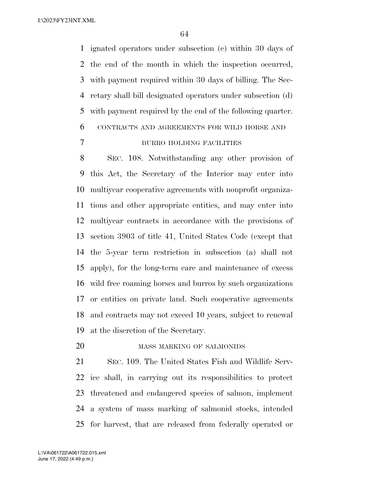ignated operators under subsection (c) within 30 days of the end of the month in which the inspection occurred, with payment required within 30 days of billing. The Sec- retary shall bill designated operators under subsection (d) with payment required by the end of the following quarter. CONTRACTS AND AGREEMENTS FOR WILD HORSE AND

# BURRO HOLDING FACILITIES

 SEC. 108. Notwithstanding any other provision of this Act, the Secretary of the Interior may enter into multiyear cooperative agreements with nonprofit organiza- tions and other appropriate entities, and may enter into multiyear contracts in accordance with the provisions of section 3903 of title 41, United States Code (except that the 5-year term restriction in subsection (a) shall not apply), for the long-term care and maintenance of excess wild free roaming horses and burros by such organizations or entities on private land. Such cooperative agreements and contracts may not exceed 10 years, subject to renewal at the discretion of the Secretary.

MASS MARKING OF SALMONIDS

 SEC. 109. The United States Fish and Wildlife Serv- ice shall, in carrying out its responsibilities to protect threatened and endangered species of salmon, implement a system of mass marking of salmonid stocks, intended for harvest, that are released from federally operated or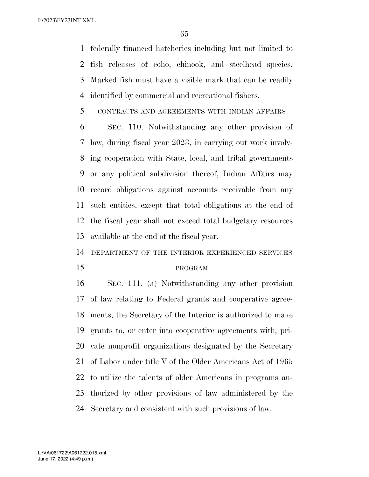federally financed hatcheries including but not limited to fish releases of coho, chinook, and steelhead species. Marked fish must have a visible mark that can be readily identified by commercial and recreational fishers.

# CONTRACTS AND AGREEMENTS WITH INDIAN AFFAIRS

 SEC. 110. Notwithstanding any other provision of law, during fiscal year 2023, in carrying out work involv- ing cooperation with State, local, and tribal governments or any political subdivision thereof, Indian Affairs may record obligations against accounts receivable from any such entities, except that total obligations at the end of the fiscal year shall not exceed total budgetary resources available at the end of the fiscal year.

DEPARTMENT OF THE INTERIOR EXPERIENCED SERVICES

#### PROGRAM

 SEC. 111. (a) Notwithstanding any other provision of law relating to Federal grants and cooperative agree- ments, the Secretary of the Interior is authorized to make grants to, or enter into cooperative agreements with, pri- vate nonprofit organizations designated by the Secretary of Labor under title V of the Older Americans Act of 1965 to utilize the talents of older Americans in programs au- thorized by other provisions of law administered by the Secretary and consistent with such provisions of law.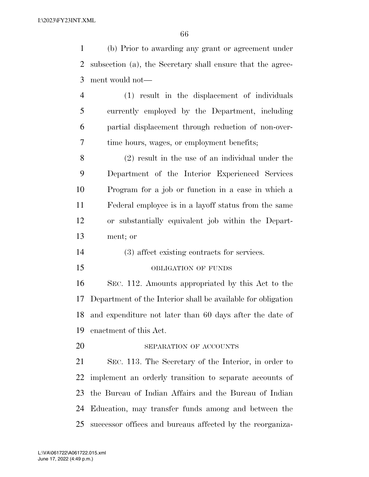(b) Prior to awarding any grant or agreement under subsection (a), the Secretary shall ensure that the agree-ment would not—

 (1) result in the displacement of individuals currently employed by the Department, including partial displacement through reduction of non-over-time hours, wages, or employment benefits;

 (2) result in the use of an individual under the Department of the Interior Experienced Services Program for a job or function in a case in which a Federal employee is in a layoff status from the same or substantially equivalent job within the Depart-ment; or

- (3) affect existing contracts for services.
- 15 OBLIGATION OF FUNDS

 SEC. 112. Amounts appropriated by this Act to the Department of the Interior shall be available for obligation and expenditure not later than 60 days after the date of enactment of this Act.

20 SEPARATION OF ACCOUNTS

 SEC. 113. The Secretary of the Interior, in order to implement an orderly transition to separate accounts of the Bureau of Indian Affairs and the Bureau of Indian Education, may transfer funds among and between the successor offices and bureaus affected by the reorganiza-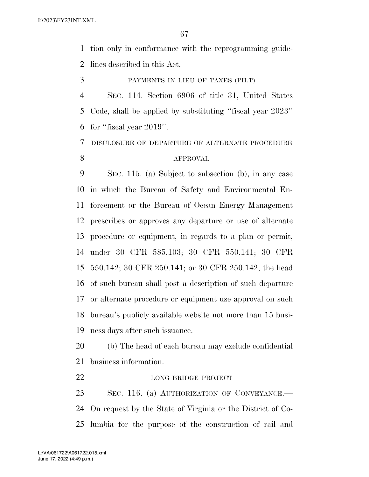tion only in conformance with the reprogramming guide-lines described in this Act.

PAYMENTS IN LIEU OF TAXES (PILT)

 SEC. 114. Section 6906 of title 31, United States Code, shall be applied by substituting ''fiscal year 2023'' for ''fiscal year 2019''.

DISCLOSURE OF DEPARTURE OR ALTERNATE PROCEDURE

### APPROVAL

 SEC. 115. (a) Subject to subsection (b), in any case in which the Bureau of Safety and Environmental En- forcement or the Bureau of Ocean Energy Management prescribes or approves any departure or use of alternate procedure or equipment, in regards to a plan or permit, under 30 CFR 585.103; 30 CFR 550.141; 30 CFR 550.142; 30 CFR 250.141; or 30 CFR 250.142, the head of such bureau shall post a description of such departure or alternate procedure or equipment use approval on such bureau's publicly available website not more than 15 busi-ness days after such issuance.

 (b) The head of each bureau may exclude confidential business information.

22 LONG BRIDGE PROJECT

 SEC. 116. (a) AUTHORIZATION OF CONVEYANCE.— On request by the State of Virginia or the District of Co-lumbia for the purpose of the construction of rail and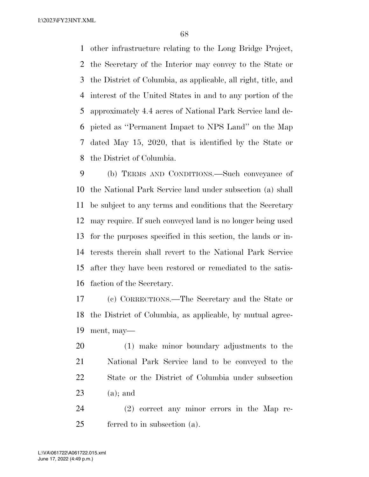other infrastructure relating to the Long Bridge Project, the Secretary of the Interior may convey to the State or the District of Columbia, as applicable, all right, title, and interest of the United States in and to any portion of the approximately 4.4 acres of National Park Service land de- picted as ''Permanent Impact to NPS Land'' on the Map dated May 15, 2020, that is identified by the State or the District of Columbia.

 (b) TERMS AND CONDITIONS.—Such conveyance of the National Park Service land under subsection (a) shall be subject to any terms and conditions that the Secretary may require. If such conveyed land is no longer being used for the purposes specified in this section, the lands or in- terests therein shall revert to the National Park Service after they have been restored or remediated to the satis-faction of the Secretary.

 (c) CORRECTIONS.—The Secretary and the State or the District of Columbia, as applicable, by mutual agree-ment, may—

 (1) make minor boundary adjustments to the National Park Service land to be conveyed to the State or the District of Columbia under subsection (a); and

 (2) correct any minor errors in the Map re-ferred to in subsection (a).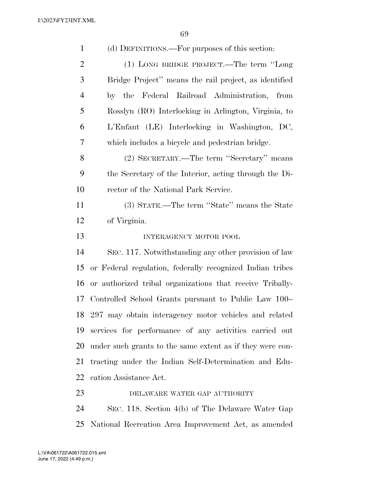(d) DEFINITIONS.—For purposes of this section: (1) LONG BRIDGE PROJECT.—The term ''Long Bridge Project'' means the rail project, as identified by the Federal Railroad Administration, from Rosslyn (RO) Interlocking in Arlington, Virginia, to L'Enfant (LE) Interlocking in Washington, DC, which includes a bicycle and pedestrian bridge. (2) SECRETARY.—The term ''Secretary'' means the Secretary of the Interior, acting through the Di- rector of the National Park Service. (3) STATE.—The term ''State'' means the State of Virginia. 13 INTERAGENCY MOTOR POOL SEC. 117. Notwithstanding any other provision of law or Federal regulation, federally recognized Indian tribes or authorized tribal organizations that receive Tribally- Controlled School Grants pursuant to Public Law 100– 297 may obtain interagency motor vehicles and related services for performance of any activities carried out under such grants to the same extent as if they were con- tracting under the Indian Self-Determination and Edu- cation Assistance Act. 23 DELAWARE WATER GAP AUTHORITY

 SEC. 118. Section 4(b) of The Delaware Water Gap National Recreation Area Improvement Act, as amended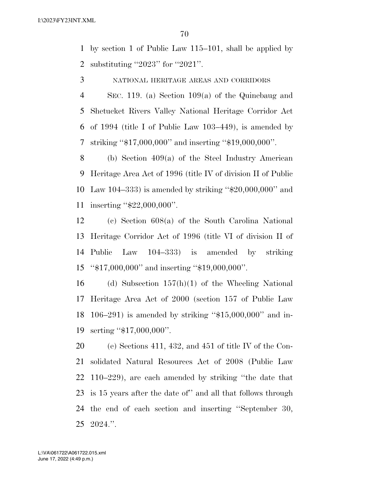by section 1 of Public Law 115–101, shall be applied by substituting ''2023'' for ''2021''.

NATIONAL HERITAGE AREAS AND CORRIDORS

 SEC. 119. (a) Section 109(a) of the Quinebaug and Shetucket Rivers Valley National Heritage Corridor Act of 1994 (title I of Public Law 103–449), is amended by striking ''\$17,000,000'' and inserting ''\$19,000,000''.

 (b) Section 409(a) of the Steel Industry American Heritage Area Act of 1996 (title IV of division II of Public Law 104–333) is amended by striking ''\$20,000,000'' and inserting ''\$22,000,000''.

 (c) Section 608(a) of the South Carolina National Heritage Corridor Act of 1996 (title VI of division II of Public Law 104–333) is amended by striking ''\$17,000,000'' and inserting ''\$19,000,000''.

16 (d) Subsection  $157(h)(1)$  of the Wheeling National Heritage Area Act of 2000 (section 157 of Public Law 106–291) is amended by striking ''\$15,000,000'' and in-serting ''\$17,000,000''.

 (e) Sections 411, 432, and 451 of title IV of the Con- solidated Natural Resources Act of 2008 (Public Law 110–229), are each amended by striking ''the date that is 15 years after the date of'' and all that follows through the end of each section and inserting ''September 30, 2024.''.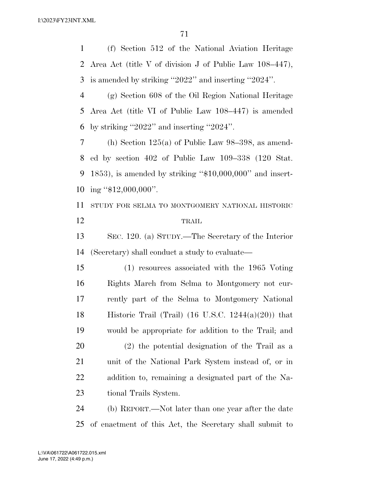(f) Section 512 of the National Aviation Heritage

 Area Act (title V of division J of Public Law 108–447), is amended by striking ''2022'' and inserting ''2024''. (g) Section 608 of the Oil Region National Heritage Area Act (title VI of Public Law 108–447) is amended by striking ''2022'' and inserting ''2024''. (h) Section 125(a) of Public Law 98–398, as amend- ed by section 402 of Public Law 109–338 (120 Stat. 1853), is amended by striking ''\$10,000,000'' and insert-10 ing "\$12,000,000". STUDY FOR SELMA TO MONTGOMERY NATIONAL HISTORIC TRAIL SEC. 120. (a) STUDY.—The Secretary of the Interior (Secretary) shall conduct a study to evaluate— (1) resources associated with the 1965 Voting Rights March from Selma to Montgomery not cur- rently part of the Selma to Montgomery National 18 Historic Trail (Trail) (16 U.S.C.  $1244(a)(20)$ ) that would be appropriate for addition to the Trail; and (2) the potential designation of the Trail as a unit of the National Park System instead of, or in addition to, remaining a designated part of the Na- tional Trails System. (b) REPORT.—Not later than one year after the date

of enactment of this Act, the Secretary shall submit to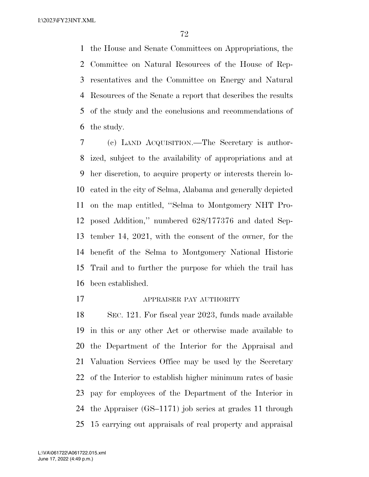the House and Senate Committees on Appropriations, the Committee on Natural Resources of the House of Rep- resentatives and the Committee on Energy and Natural Resources of the Senate a report that describes the results of the study and the conclusions and recommendations of the study.

 (c) LAND ACQUISITION.—The Secretary is author- ized, subject to the availability of appropriations and at her discretion, to acquire property or interests therein lo- cated in the city of Selma, Alabama and generally depicted on the map entitled, ''Selma to Montgomery NHT Pro- posed Addition,'' numbered 628/177376 and dated Sep- tember 14, 2021, with the consent of the owner, for the benefit of the Selma to Montgomery National Historic Trail and to further the purpose for which the trail has been established.

### APPRAISER PAY AUTHORITY

 SEC. 121. For fiscal year 2023, funds made available in this or any other Act or otherwise made available to the Department of the Interior for the Appraisal and Valuation Services Office may be used by the Secretary of the Interior to establish higher minimum rates of basic pay for employees of the Department of the Interior in the Appraiser (GS–1171) job series at grades 11 through 15 carrying out appraisals of real property and appraisal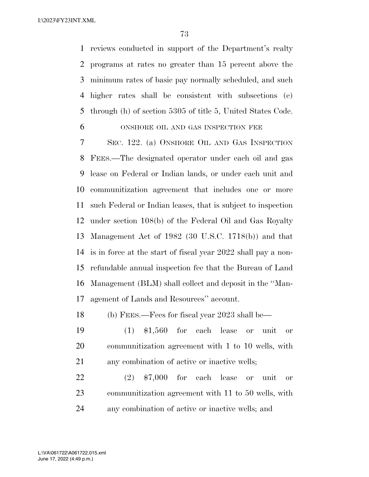reviews conducted in support of the Department's realty programs at rates no greater than 15 percent above the minimum rates of basic pay normally scheduled, and such higher rates shall be consistent with subsections (e) through (h) of section 5305 of title 5, United States Code.

ONSHORE OIL AND GAS INSPECTION FEE

 SEC. 122. (a) ONSHORE OIL AND GAS INSPECTION FEES.—The designated operator under each oil and gas lease on Federal or Indian lands, or under each unit and communitization agreement that includes one or more such Federal or Indian leases, that is subject to inspection under section 108(b) of the Federal Oil and Gas Royalty Management Act of 1982 (30 U.S.C. 1718(b)) and that is in force at the start of fiscal year 2022 shall pay a non- refundable annual inspection fee that the Bureau of Land Management (BLM) shall collect and deposit in the ''Man-agement of Lands and Resources'' account.

(b) FEES.—Fees for fiscal year 2023 shall be—

 (1) \$1,560 for each lease or unit or communitization agreement with 1 to 10 wells, with any combination of active or inactive wells;

 (2) \$7,000 for each lease or unit or communitization agreement with 11 to 50 wells, with any combination of active or inactive wells; and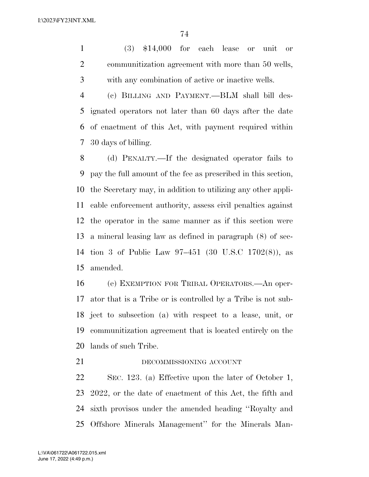(3) \$14,000 for each lease or unit or communitization agreement with more than 50 wells, with any combination of active or inactive wells.

 (c) BILLING AND PAYMENT.—BLM shall bill des- ignated operators not later than 60 days after the date of enactment of this Act, with payment required within 30 days of billing.

 (d) PENALTY.—If the designated operator fails to pay the full amount of the fee as prescribed in this section, the Secretary may, in addition to utilizing any other appli- cable enforcement authority, assess civil penalties against the operator in the same manner as if this section were a mineral leasing law as defined in paragraph (8) of sec- tion 3 of Public Law 97–451 (30 U.S.C 1702(8)), as amended.

 (e) EXEMPTION FOR TRIBAL OPERATORS.—An oper- ator that is a Tribe or is controlled by a Tribe is not sub- ject to subsection (a) with respect to a lease, unit, or communitization agreement that is located entirely on the lands of such Tribe.

21 DECOMMISSIONING ACCOUNT

 SEC. 123. (a) Effective upon the later of October 1, 2022, or the date of enactment of this Act, the fifth and sixth provisos under the amended heading ''Royalty and Offshore Minerals Management'' for the Minerals Man-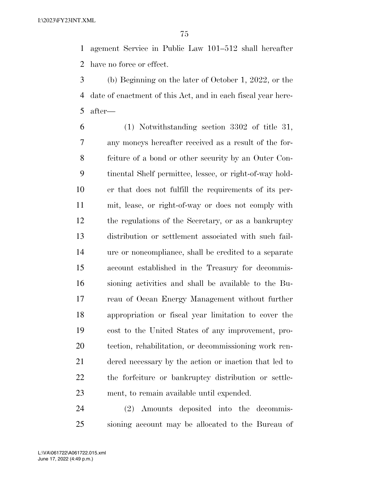agement Service in Public Law 101–512 shall hereafter have no force or effect.

 (b) Beginning on the later of October 1, 2022, or the date of enactment of this Act, and in each fiscal year here-after—

 (1) Notwithstanding section 3302 of title 31, any moneys hereafter received as a result of the for- feiture of a bond or other security by an Outer Con- tinental Shelf permittee, lessee, or right-of-way hold- er that does not fulfill the requirements of its per- mit, lease, or right-of-way or does not comply with the regulations of the Secretary, or as a bankruptcy distribution or settlement associated with such fail- ure or noncompliance, shall be credited to a separate account established in the Treasury for decommis- sioning activities and shall be available to the Bu- reau of Ocean Energy Management without further appropriation or fiscal year limitation to cover the cost to the United States of any improvement, pro- tection, rehabilitation, or decommissioning work ren- dered necessary by the action or inaction that led to the forfeiture or bankruptcy distribution or settle-ment, to remain available until expended.

 (2) Amounts deposited into the decommis-sioning account may be allocated to the Bureau of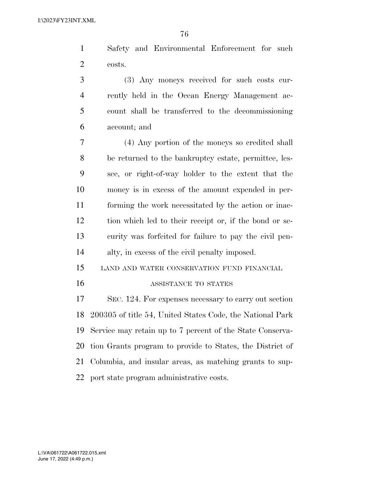Safety and Environmental Enforcement for such costs.

 (3) Any moneys received for such costs cur- rently held in the Ocean Energy Management ac- count shall be transferred to the decommissioning account; and

 (4) Any portion of the moneys so credited shall be returned to the bankruptcy estate, permittee, les- see, or right-of-way holder to the extent that the money is in excess of the amount expended in per- forming the work necessitated by the action or inac- tion which led to their receipt or, if the bond or se- curity was forfeited for failure to pay the civil pen-alty, in excess of the civil penalty imposed.

LAND AND WATER CONSERVATION FUND FINANCIAL

### ASSISTANCE TO STATES

 SEC. 124. For expenses necessary to carry out section 200305 of title 54, United States Code, the National Park Service may retain up to 7 percent of the State Conserva- tion Grants program to provide to States, the District of Columbia, and insular areas, as matching grants to sup-port state program administrative costs.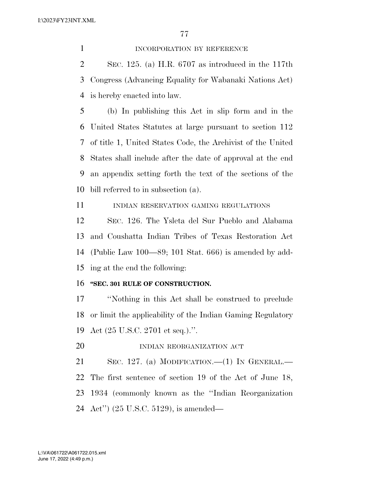1 INCORPORATION BY REFERENCE SEC. 125. (a) H.R. 6707 as introduced in the 117th Congress (Advancing Equality for Wabanaki Nations Act) is hereby enacted into law.

 (b) In publishing this Act in slip form and in the United States Statutes at large pursuant to section 112 of title 1, United States Code, the Archivist of the United States shall include after the date of approval at the end an appendix setting forth the text of the sections of the bill referred to in subsection (a).

11 INDIAN RESERVATION GAMING REGULATIONS

 SEC. 126. The Ysleta del Sur Pueblo and Alabama and Coushatta Indian Tribes of Texas Restoration Act (Public Law 100—89; 101 Stat. 666) is amended by add-ing at the end the following:

#### **''SEC. 301 RULE OF CONSTRUCTION.**

 ''Nothing in this Act shall be construed to preclude or limit the applicability of the Indian Gaming Regulatory Act (25 U.S.C. 2701 et seq.).''.

20 INDIAN REORGANIZATION ACT

 SEC. 127. (a) MODIFICATION.—(1) IN GENERAL.— The first sentence of section 19 of the Act of June 18, 1934 (commonly known as the ''Indian Reorganization Act'') (25 U.S.C. 5129), is amended—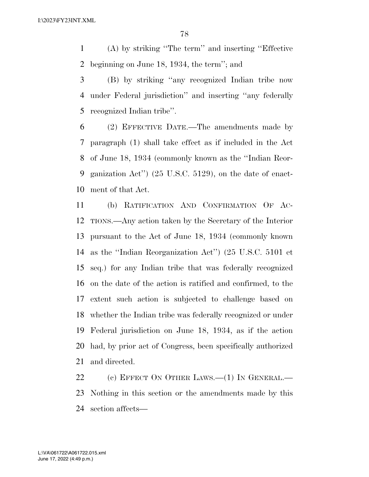(A) by striking ''The term'' and inserting ''Effective beginning on June 18, 1934, the term''; and

 (B) by striking ''any recognized Indian tribe now under Federal jurisdiction'' and inserting ''any federally recognized Indian tribe''.

 (2) EFFECTIVE DATE.—The amendments made by paragraph (1) shall take effect as if included in the Act of June 18, 1934 (commonly known as the ''Indian Reor- ganization Act'') (25 U.S.C. 5129), on the date of enact-ment of that Act.

 (b) RATIFICATION AND CONFIRMATION OF AC- TIONS.—Any action taken by the Secretary of the Interior pursuant to the Act of June 18, 1934 (commonly known as the ''Indian Reorganization Act'') (25 U.S.C. 5101 et seq.) for any Indian tribe that was federally recognized on the date of the action is ratified and confirmed, to the extent such action is subjected to challenge based on whether the Indian tribe was federally recognized or under Federal jurisdiction on June 18, 1934, as if the action had, by prior act of Congress, been specifically authorized and directed.

22 (c) EFFECT ON OTHER LAWS.—(1) IN GENERAL.— Nothing in this section or the amendments made by this section affects—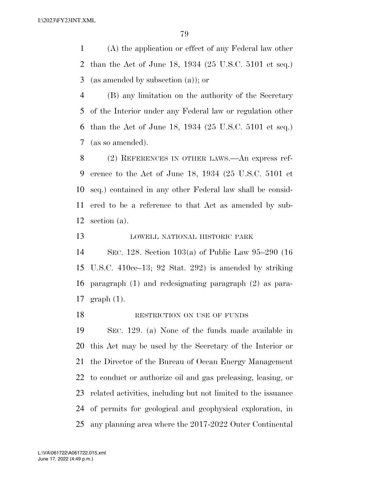(A) the application or effect of any Federal law other than the Act of June 18, 1934 (25 U.S.C. 5101 et seq.) (as amended by subsection (a)); or

 (B) any limitation on the authority of the Secretary of the Interior under any Federal law or regulation other than the Act of June 18, 1934 (25 U.S.C. 5101 et seq.) (as so amended).

 (2) REFERENCES IN OTHER LAWS.—An express ref- erence to the Act of June 18, 1934 (25 U.S.C. 5101 et seq.) contained in any other Federal law shall be consid- ered to be a reference to that Act as amended by sub-section (a).

LOWELL NATIONAL HISTORIC PARK

 SEC. 128. Section 103(a) of Public Law 95–290 (16 U.S.C. 410cc–13; 92 Stat. 292) is amended by striking paragraph (1) and redesignating paragraph (2) as para-graph (1).

18 RESTRICTION ON USE OF FUNDS

 SEC. 129. (a) None of the funds made available in this Act may be used by the Secretary of the Interior or the Director of the Bureau of Ocean Energy Management to conduct or authorize oil and gas preleasing, leasing, or related activities, including but not limited to the issuance of permits for geological and geophysical exploration, in any planning area where the 2017-2022 Outer Continental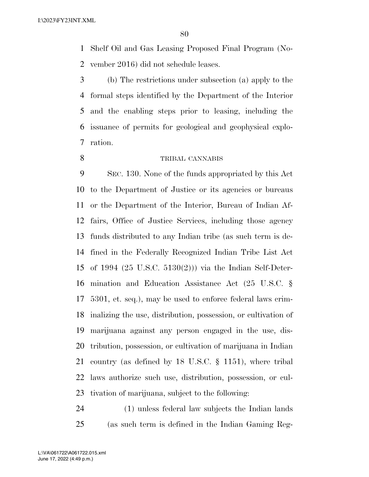Shelf Oil and Gas Leasing Proposed Final Program (No-vember 2016) did not schedule leases.

 (b) The restrictions under subsection (a) apply to the formal steps identified by the Department of the Interior and the enabling steps prior to leasing, including the issuance of permits for geological and geophysical explo-ration.

### TRIBAL CANNABIS

 SEC. 130. None of the funds appropriated by this Act to the Department of Justice or its agencies or bureaus or the Department of the Interior, Bureau of Indian Af- fairs, Office of Justice Services, including those agency funds distributed to any Indian tribe (as such term is de- fined in the Federally Recognized Indian Tribe List Act of 1994 (25 U.S.C. 5130(2))) via the Indian Self-Deter- mination and Education Assistance Act (25 U.S.C. § 5301, et. seq.), may be used to enforce federal laws crim- inalizing the use, distribution, possession, or cultivation of marijuana against any person engaged in the use, dis- tribution, possession, or cultivation of marijuana in Indian country (as defined by 18 U.S.C. § 1151), where tribal laws authorize such use, distribution, possession, or cul-tivation of marijuana, subject to the following:

 (1) unless federal law subjects the Indian lands (as such term is defined in the Indian Gaming Reg-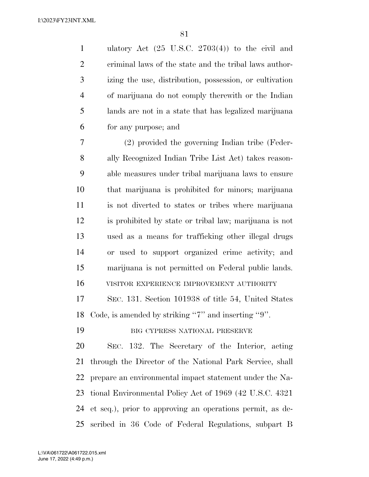ulatory Act (25 U.S.C. 2703(4)) to the civil and criminal laws of the state and the tribal laws author- izing the use, distribution, possession, or cultivation of marijuana do not comply therewith or the Indian lands are not in a state that has legalized marijuana for any purpose; and

 (2) provided the governing Indian tribe (Feder- ally Recognized Indian Tribe List Act) takes reason- able measures under tribal marijuana laws to ensure that marijuana is prohibited for minors; marijuana is not diverted to states or tribes where marijuana is prohibited by state or tribal law; marijuana is not used as a means for trafficking other illegal drugs or used to support organized crime activity; and marijuana is not permitted on Federal public lands. VISITOR EXPERIENCE IMPROVEMENT AUTHORITY

 SEC. 131. Section 101938 of title 54, United States Code, is amended by striking ''7'' and inserting ''9''.

BIG CYPRESS NATIONAL PRESERVE

 SEC. 132. The Secretary of the Interior, acting through the Director of the National Park Service, shall prepare an environmental impact statement under the Na- tional Environmental Policy Act of 1969 (42 U.S.C. 4321 et seq.), prior to approving an operations permit, as de-scribed in 36 Code of Federal Regulations, subpart B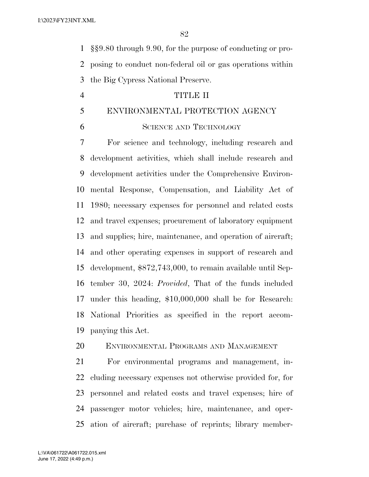§§9.80 through 9.90, for the purpose of conducting or pro- posing to conduct non-federal oil or gas operations within the Big Cypress National Preserve.

### TITLE II

# ENVIRONMENTAL PROTECTION AGENCY

### SCIENCE AND TECHNOLOGY

 For science and technology, including research and development activities, which shall include research and development activities under the Comprehensive Environ- mental Response, Compensation, and Liability Act of 1980; necessary expenses for personnel and related costs and travel expenses; procurement of laboratory equipment and supplies; hire, maintenance, and operation of aircraft; and other operating expenses in support of research and development, \$872,743,000, to remain available until Sep- tember 30, 2024: *Provided*, That of the funds included under this heading, \$10,000,000 shall be for Research: National Priorities as specified in the report accom-panying this Act.

# ENVIRONMENTAL PROGRAMS AND MANAGEMENT

 For environmental programs and management, in- cluding necessary expenses not otherwise provided for, for personnel and related costs and travel expenses; hire of passenger motor vehicles; hire, maintenance, and oper-ation of aircraft; purchase of reprints; library member-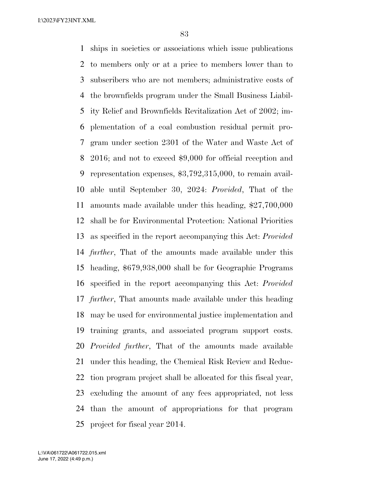ships in societies or associations which issue publications to members only or at a price to members lower than to subscribers who are not members; administrative costs of the brownfields program under the Small Business Liabil- ity Relief and Brownfields Revitalization Act of 2002; im- plementation of a coal combustion residual permit pro- gram under section 2301 of the Water and Waste Act of 2016; and not to exceed \$9,000 for official reception and representation expenses, \$3,792,315,000, to remain avail- able until September 30, 2024: *Provided*, That of the amounts made available under this heading, \$27,700,000 shall be for Environmental Protection: National Priorities as specified in the report accompanying this Act: *Provided further*, That of the amounts made available under this heading, \$679,938,000 shall be for Geographic Programs specified in the report accompanying this Act: *Provided further*, That amounts made available under this heading may be used for environmental justice implementation and training grants, and associated program support costs. *Provided further*, That of the amounts made available under this heading, the Chemical Risk Review and Reduc- tion program project shall be allocated for this fiscal year, excluding the amount of any fees appropriated, not less than the amount of appropriations for that program project for fiscal year 2014.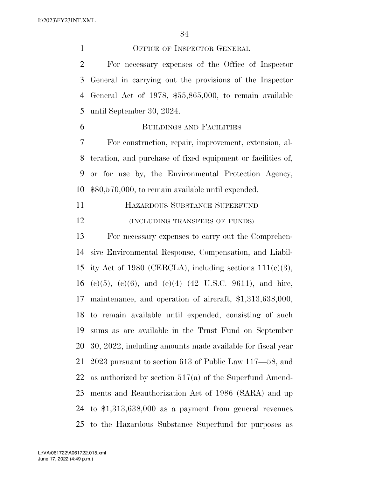1 OFFICE OF INSPECTOR GENERAL For necessary expenses of the Office of Inspector General in carrying out the provisions of the Inspector General Act of 1978, \$55,865,000, to remain available until September 30, 2024.

# BUILDINGS AND FACILITIES

 For construction, repair, improvement, extension, al- teration, and purchase of fixed equipment or facilities of, or for use by, the Environmental Protection Agency, \$80,570,000, to remain available until expended.

 HAZARDOUS SUBSTANCE SUPERFUND 12 (INCLUDING TRANSFERS OF FUNDS)

 For necessary expenses to carry out the Comprehen- sive Environmental Response, Compensation, and Liabil-15 ity Act of 1980 (CERCLA), including sections  $111(c)(3)$ , 16 (e)(5), (e)(6), and (e)(4) (42 U.S.C. 9611), and hire, maintenance, and operation of aircraft, \$1,313,638,000, to remain available until expended, consisting of such sums as are available in the Trust Fund on September 30, 2022, including amounts made available for fiscal year 2023 pursuant to section 613 of Public Law 117—58, and as authorized by section 517(a) of the Superfund Amend- ments and Reauthorization Act of 1986 (SARA) and up to \$1,313,638,000 as a payment from general revenues to the Hazardous Substance Superfund for purposes as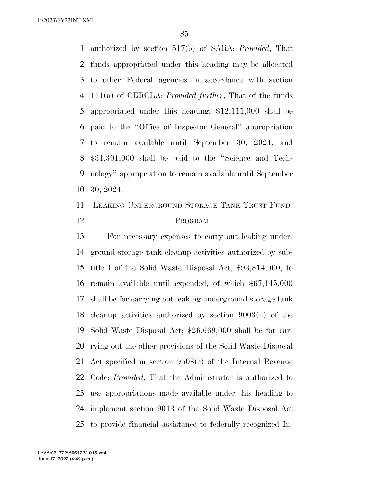authorized by section 517(b) of SARA: *Provided*, That funds appropriated under this heading may be allocated to other Federal agencies in accordance with section 111(a) of CERCLA: *Provided further*, That of the funds appropriated under this heading, \$12,111,000 shall be paid to the ''Office of Inspector General'' appropriation to remain available until September 30, 2024, and \$31,391,000 shall be paid to the ''Science and Tech- nology'' appropriation to remain available until September 30, 2024.

 LEAKING UNDERGROUND STORAGE TANK TRUST FUND PROGRAM

 For necessary expenses to carry out leaking under- ground storage tank cleanup activities authorized by sub- title I of the Solid Waste Disposal Act, \$93,814,000, to remain available until expended, of which \$67,145,000 shall be for carrying out leaking underground storage tank cleanup activities authorized by section 9003(h) of the Solid Waste Disposal Act; \$26,669,000 shall be for car- rying out the other provisions of the Solid Waste Disposal Act specified in section 9508(c) of the Internal Revenue Code: *Provided*, That the Administrator is authorized to use appropriations made available under this heading to implement section 9013 of the Solid Waste Disposal Act to provide financial assistance to federally recognized In-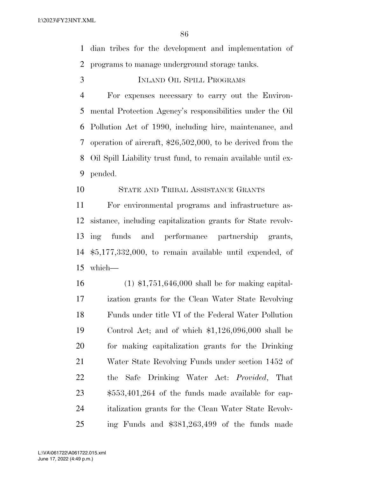dian tribes for the development and implementation of programs to manage underground storage tanks.

INLAND OIL SPILL PROGRAMS

 For expenses necessary to carry out the Environ- mental Protection Agency's responsibilities under the Oil Pollution Act of 1990, including hire, maintenance, and operation of aircraft, \$26,502,000, to be derived from the Oil Spill Liability trust fund, to remain available until ex-pended.

## STATE AND TRIBAL ASSISTANCE GRANTS

 For environmental programs and infrastructure as- sistance, including capitalization grants for State revolv- ing funds and performance partnership grants, \$5,177,332,000, to remain available until expended, of which—

 (1) \$1,751,646,000 shall be for making capital- ization grants for the Clean Water State Revolving Funds under title VI of the Federal Water Pollution Control Act; and of which \$1,126,096,000 shall be for making capitalization grants for the Drinking Water State Revolving Funds under section 1452 of the Safe Drinking Water Act: *Provided*, That \$553,401,264 of the funds made available for cap- italization grants for the Clean Water State Revolv-ing Funds and \$381,263,499 of the funds made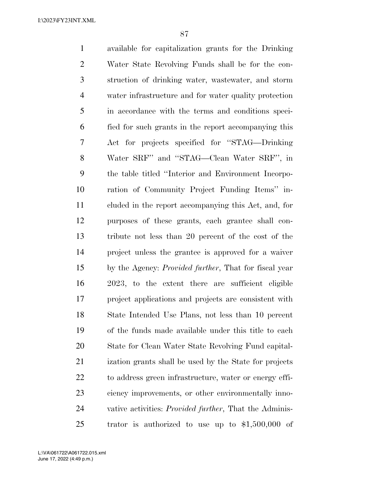available for capitalization grants for the Drinking Water State Revolving Funds shall be for the con- struction of drinking water, wastewater, and storm water infrastructure and for water quality protection in accordance with the terms and conditions speci- fied for such grants in the report accompanying this Act for projects specified for ''STAG—Drinking Water SRF'' and ''STAG—Clean Water SRF'', in the table titled ''Interior and Environment Incorpo- ration of Community Project Funding Items'' in- cluded in the report accompanying this Act, and, for purposes of these grants, each grantee shall con- tribute not less than 20 percent of the cost of the project unless the grantee is approved for a waiver by the Agency: *Provided further*, That for fiscal year 2023, to the extent there are sufficient eligible project applications and projects are consistent with State Intended Use Plans, not less than 10 percent of the funds made available under this title to each State for Clean Water State Revolving Fund capital- ization grants shall be used by the State for projects to address green infrastructure, water or energy effi- ciency improvements, or other environmentally inno- vative activities: *Provided further*, That the Adminis-trator is authorized to use up to \$1,500,000 of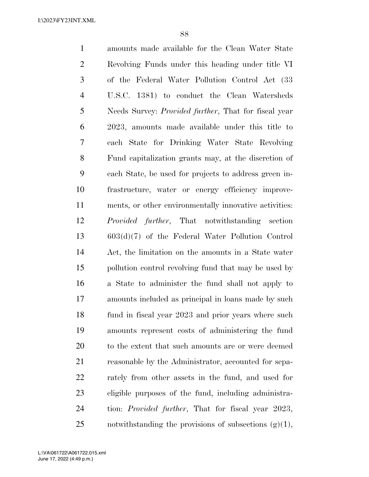amounts made available for the Clean Water State Revolving Funds under this heading under title VI of the Federal Water Pollution Control Act (33 U.S.C. 1381) to conduct the Clean Watersheds Needs Survey: *Provided further*, That for fiscal year 2023, amounts made available under this title to each State for Drinking Water State Revolving Fund capitalization grants may, at the discretion of each State, be used for projects to address green in- frastructure, water or energy efficiency improve- ments, or other environmentally innovative activities: *Provided further*, That notwithstanding section 603(d)(7) of the Federal Water Pollution Control Act, the limitation on the amounts in a State water pollution control revolving fund that may be used by a State to administer the fund shall not apply to amounts included as principal in loans made by such fund in fiscal year 2023 and prior years where such amounts represent costs of administering the fund to the extent that such amounts are or were deemed reasonable by the Administrator, accounted for sepa- rately from other assets in the fund, and used for eligible purposes of the fund, including administra- tion: *Provided further*, That for fiscal year 2023, 25 notwithstanding the provisions of subsections  $(g)(1)$ ,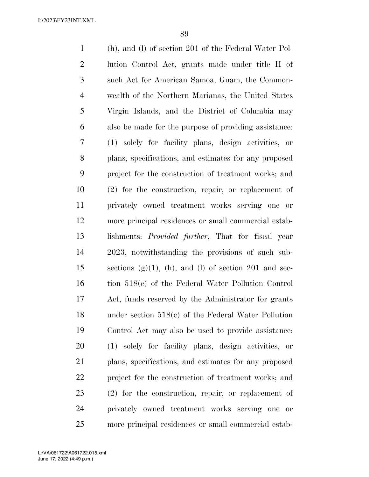(h), and (l) of section 201 of the Federal Water Pol- lution Control Act, grants made under title II of such Act for American Samoa, Guam, the Common- wealth of the Northern Marianas, the United States Virgin Islands, and the District of Columbia may also be made for the purpose of providing assistance: (1) solely for facility plans, design activities, or plans, specifications, and estimates for any proposed project for the construction of treatment works; and (2) for the construction, repair, or replacement of privately owned treatment works serving one or more principal residences or small commercial estab- lishments: *Provided further*, That for fiscal year 2023, notwithstanding the provisions of such sub-15 sections  $(g)(1)$ ,  $(h)$ , and  $(l)$  of section 201 and sec- tion 518(c) of the Federal Water Pollution Control Act, funds reserved by the Administrator for grants under section 518(c) of the Federal Water Pollution Control Act may also be used to provide assistance: (1) solely for facility plans, design activities, or plans, specifications, and estimates for any proposed project for the construction of treatment works; and (2) for the construction, repair, or replacement of privately owned treatment works serving one or more principal residences or small commercial estab-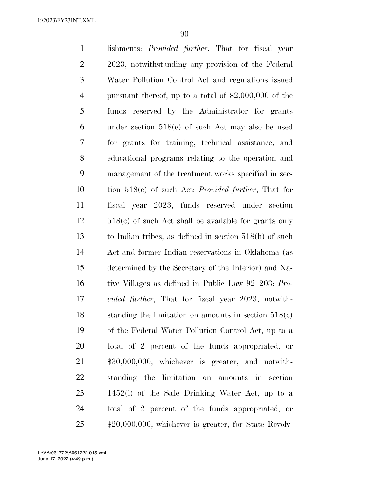lishments: *Provided further*, That for fiscal year 2023, notwithstanding any provision of the Federal Water Pollution Control Act and regulations issued pursuant thereof, up to a total of \$2,000,000 of the funds reserved by the Administrator for grants under section 518(c) of such Act may also be used for grants for training, technical assistance, and educational programs relating to the operation and management of the treatment works specified in sec- tion 518(c) of such Act: *Provided further*, That for fiscal year 2023, funds reserved under section 518(c) of such Act shall be available for grants only to Indian tribes, as defined in section 518(h) of such Act and former Indian reservations in Oklahoma (as determined by the Secretary of the Interior) and Na- tive Villages as defined in Public Law 92–203: *Pro- vided further*, That for fiscal year 2023, notwith- standing the limitation on amounts in section 518(c) of the Federal Water Pollution Control Act, up to a total of 2 percent of the funds appropriated, or \$30,000,000, whichever is greater, and notwith- standing the limitation on amounts in section 1452(i) of the Safe Drinking Water Act, up to a total of 2 percent of the funds appropriated, or \$20,000,000, whichever is greater, for State Revolv-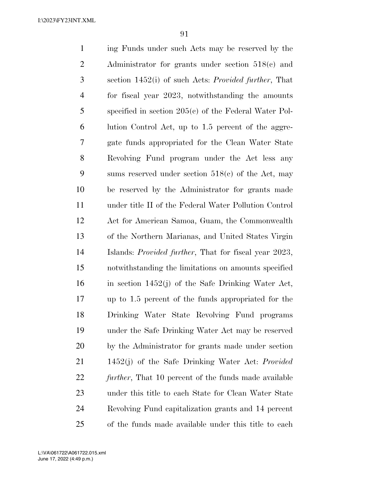ing Funds under such Acts may be reserved by the Administrator for grants under section 518(c) and section 1452(i) of such Acts: *Provided further*, That for fiscal year 2023, notwithstanding the amounts specified in section 205(c) of the Federal Water Pol- lution Control Act, up to 1.5 percent of the aggre- gate funds appropriated for the Clean Water State Revolving Fund program under the Act less any sums reserved under section 518(c) of the Act, may be reserved by the Administrator for grants made under title II of the Federal Water Pollution Control Act for American Samoa, Guam, the Commonwealth of the Northern Marianas, and United States Virgin Islands: *Provided further*, That for fiscal year 2023, notwithstanding the limitations on amounts specified in section 1452(j) of the Safe Drinking Water Act, up to 1.5 percent of the funds appropriated for the Drinking Water State Revolving Fund programs under the Safe Drinking Water Act may be reserved by the Administrator for grants made under section 1452(j) of the Safe Drinking Water Act: *Provided further*, That 10 percent of the funds made available under this title to each State for Clean Water State Revolving Fund capitalization grants and 14 percent of the funds made available under this title to each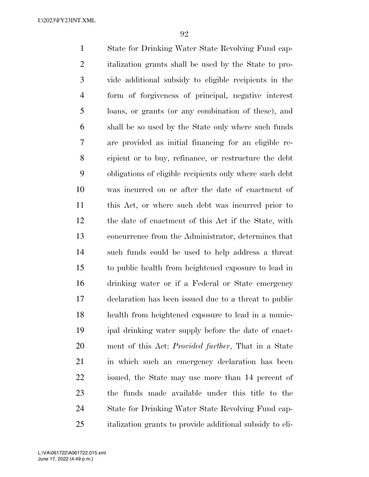State for Drinking Water State Revolving Fund cap- italization grants shall be used by the State to pro- vide additional subsidy to eligible recipients in the form of forgiveness of principal, negative interest loans, or grants (or any combination of these), and shall be so used by the State only where such funds are provided as initial financing for an eligible re- cipient or to buy, refinance, or restructure the debt obligations of eligible recipients only where such debt was incurred on or after the date of enactment of this Act, or where such debt was incurred prior to the date of enactment of this Act if the State, with concurrence from the Administrator, determines that such funds could be used to help address a threat to public health from heightened exposure to lead in drinking water or if a Federal or State emergency declaration has been issued due to a threat to public health from heightened exposure to lead in a munic- ipal drinking water supply before the date of enact- ment of this Act: *Provided further*, That in a State in which such an emergency declaration has been issued, the State may use more than 14 percent of the funds made available under this title to the State for Drinking Water State Revolving Fund cap-italization grants to provide additional subsidy to eli-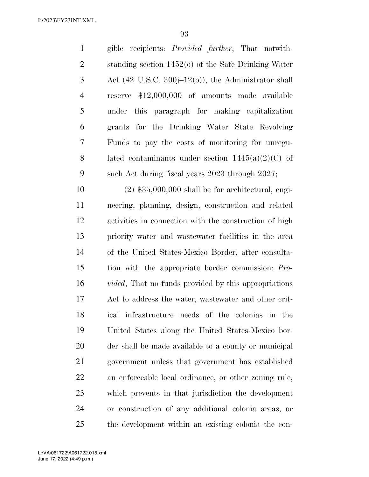gible recipients: *Provided further*, That notwith- standing section 1452(o) of the Safe Drinking Water Act (42 U.S.C. 300j–12(o)), the Administrator shall reserve \$12,000,000 of amounts made available under this paragraph for making capitalization grants for the Drinking Water State Revolving Funds to pay the costs of monitoring for unregu-8 lated contaminants under section  $1445(a)(2)(C)$  of such Act during fiscal years 2023 through 2027;

 (2) \$35,000,000 shall be for architectural, engi- neering, planning, design, construction and related activities in connection with the construction of high priority water and wastewater facilities in the area of the United States-Mexico Border, after consulta- tion with the appropriate border commission: *Pro- vided*, That no funds provided by this appropriations Act to address the water, wastewater and other crit- ical infrastructure needs of the colonias in the United States along the United States-Mexico bor- der shall be made available to a county or municipal government unless that government has established an enforceable local ordinance, or other zoning rule, which prevents in that jurisdiction the development or construction of any additional colonia areas, or the development within an existing colonia the con-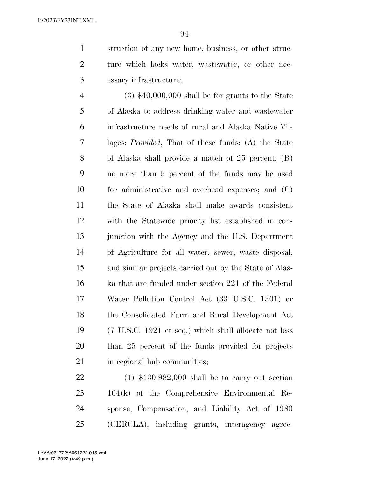struction of any new home, business, or other struc- ture which lacks water, wastewater, or other nec-essary infrastructure;

 (3) \$40,000,000 shall be for grants to the State of Alaska to address drinking water and wastewater infrastructure needs of rural and Alaska Native Vil- lages: *Provided*, That of these funds: (A) the State of Alaska shall provide a match of 25 percent; (B) no more than 5 percent of the funds may be used for administrative and overhead expenses; and (C) the State of Alaska shall make awards consistent with the Statewide priority list established in con- junction with the Agency and the U.S. Department of Agriculture for all water, sewer, waste disposal, and similar projects carried out by the State of Alas- ka that are funded under section 221 of the Federal Water Pollution Control Act (33 U.S.C. 1301) or the Consolidated Farm and Rural Development Act (7 U.S.C. 1921 et seq.) which shall allocate not less than 25 percent of the funds provided for projects 21 in regional hub communities;

 (4) \$130,982,000 shall be to carry out section 104(k) of the Comprehensive Environmental Re- sponse, Compensation, and Liability Act of 1980 (CERCLA), including grants, interagency agree-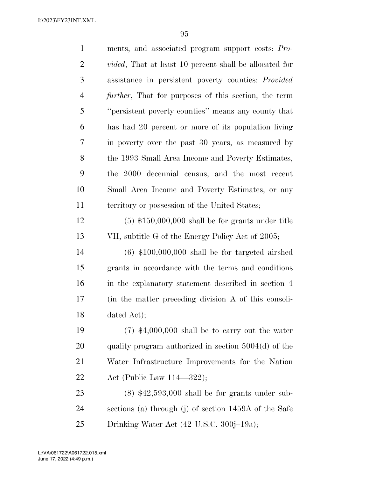| $\mathbf{1}$   | ments, and associated program support costs: Pro-              |
|----------------|----------------------------------------------------------------|
| $\overline{2}$ | <i>vided</i> , That at least 10 percent shall be allocated for |
| 3              | assistance in persistent poverty counties: <i>Provided</i>     |
| $\overline{4}$ | <i>further</i> , That for purposes of this section, the term   |
| 5              | "persistent poverty counties" means any county that            |
| 6              | has had 20 percent or more of its population living            |
| 7              | in poverty over the past 30 years, as measured by              |
| 8              | the 1993 Small Area Income and Poverty Estimates,              |
| 9              | the 2000 decennial census, and the most recent                 |
| 10             | Small Area Income and Poverty Estimates, or any                |
| 11             | territory or possession of the United States;                  |
| 12             | $(5)$ \$150,000,000 shall be for grants under title            |
| 13             | VII, subtitle G of the Energy Policy Act of 2005;              |
| 14             | $(6)$ \$100,000,000 shall be for targeted airshed              |
| 15             | grants in accordance with the terms and conditions             |
| 16             | in the explanatory statement described in section 4            |
| 17             | (in the matter preceding division A of this consoli-           |
| 18             | dated Act);                                                    |
| 19             | $(7)$ \$4,000,000 shall be to carry out the water              |
| 20             | quality program authorized in section $5004(d)$ of the         |
| 21             | Water Infrastructure Improvements for the Nation               |
| 22             | Act (Public Law $114-322$ );                                   |
| 23             | $(8)$ \$42,593,000 shall be for grants under sub-              |
| 24             | sections (a) through (j) of section 1459A of the Safe          |
| 25             | Drinking Water Act (42 U.S.C. 300j–19a);                       |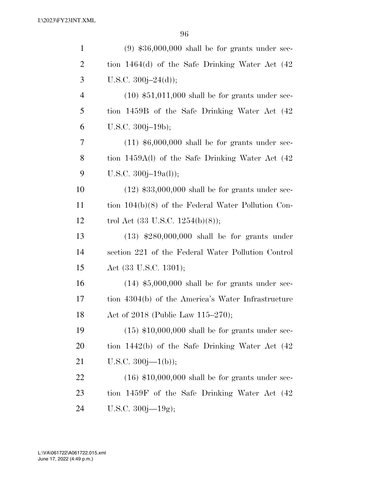| $\mathbf{1}$   | $(9)$ \$36,000,000 shall be for grants under sec-    |
|----------------|------------------------------------------------------|
| $\overline{2}$ | tion $1464(d)$ of the Safe Drinking Water Act $(42)$ |
| 3              | U.S.C. $300j - 24(d)$ ;                              |
| $\overline{4}$ | $(10)$ \$51,011,000 shall be for grants under sec-   |
| 5              | tion 1459B of the Safe Drinking Water Act (42)       |
| 6              | U.S.C. $300j-19b$ ;                                  |
| 7              | $(11)$ \$6,000,000 shall be for grants under sec-    |
| 8              | tion 1459A(l) of the Safe Drinking Water Act (42     |
| 9              | U.S.C. $300j-19a(l)$ ;                               |
| 10             | $(12)$ \$33,000,000 shall be for grants under sec-   |
| 11             | tion $104(b)(8)$ of the Federal Water Pollution Con- |
| 12             | trol Act $(33 \text{ U.S.C. } 1254(b)(8));$          |
| 13             | $(13)$ \$280,000,000 shall be for grants under       |
| 14             | section 221 of the Federal Water Pollution Control   |
| 15             | Act (33 U.S.C. 1301);                                |
| 16             | $(14)$ \$5,000,000 shall be for grants under sec-    |
| 17             | tion 4304(b) of the America's Water Infrastructure   |
| 18             | Act of 2018 (Public Law 115-270);                    |
| 19             | $(15)$ \$10,000,000 shall be for grants under sec-   |
| 20             | tion $1442(b)$ of the Safe Drinking Water Act $(42)$ |
| 21             | U.S.C. $300j-1(b)$ ;                                 |
| 22             | $(16)$ \$10,000,000 shall be for grants under sec-   |
| 23             | tion 1459F of the Safe Drinking Water Act (42)       |
| 24             | U.S.C. $300j - 19g$ ;                                |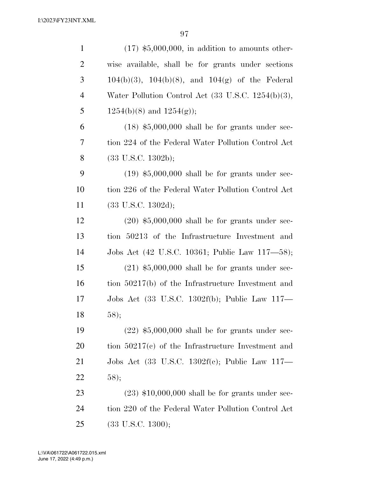| $\mathbf{1}$   | $(17)$ \$5,000,000, in addition to amounts other-       |
|----------------|---------------------------------------------------------|
| $\overline{2}$ | wise available, shall be for grants under sections      |
| 3              | $104(b)(3)$ , $104(b)(8)$ , and $104(g)$ of the Federal |
| $\overline{4}$ | Water Pollution Control Act (33 U.S.C. 1254(b)(3),      |
| 5              | $1254(b)(8)$ and $1254(g)$ ;                            |
| 6              | $(18)$ \$5,000,000 shall be for grants under sec-       |
| 7              | tion 224 of the Federal Water Pollution Control Act     |
| 8              | $(33 \text{ U.S.C. } 1302b);$                           |
| 9              | $(19)$ \$5,000,000 shall be for grants under sec-       |
| 10             | tion 226 of the Federal Water Pollution Control Act     |
| 11             | $(33 \text{ U.S.C. } 1302d);$                           |
| 12             | $(20)$ \$5,000,000 shall be for grants under sec-       |
| 13             | tion 50213 of the Infrastructure Investment and         |
| 14             | Jobs Act (42 U.S.C. 10361; Public Law 117—58);          |
| 15             | $(21)$ \$5,000,000 shall be for grants under sec-       |
| 16             | tion 50217(b) of the Infrastructure Investment and      |
| 17             | Jobs Act (33 U.S.C. 1302f(b); Public Law 117—           |
| 18             | 58);                                                    |
| 19             | $(22)$ \$5,000,000 shall be for grants under sec-       |
| 20             | tion $50217(c)$ of the Infrastructure Investment and    |
| 21             | Jobs Act (33 U.S.C. 1302f(c); Public Law 117—           |
| <u>22</u>      | 58);                                                    |
| 23             | $(23)$ \$10,000,000 shall be for grants under sec-      |
| 24             | tion 220 of the Federal Water Pollution Control Act     |
| 25             | $(33 \text{ U.S.C. } 1300);$                            |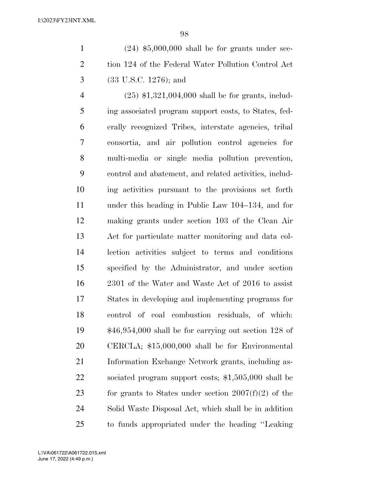| $\overline{1}$ | $(24)$ \$5,000,000 shall be for grants under sec-   |
|----------------|-----------------------------------------------------|
| 2              | tion 124 of the Federal Water Pollution Control Act |
| $\mathbf{3}$   | $(33 \text{ U.S.C. } 1276)$ ; and                   |

 (25) \$1,321,004,000 shall be for grants, includ- ing associated program support costs, to States, fed- erally recognized Tribes, interstate agencies, tribal consortia, and air pollution control agencies for multi-media or single media pollution prevention, control and abatement, and related activities, includ- ing activities pursuant to the provisions set forth under this heading in Public Law 104–134, and for making grants under section 103 of the Clean Air Act for particulate matter monitoring and data col- lection activities subject to terms and conditions specified by the Administrator, and under section 2301 of the Water and Waste Act of 2016 to assist States in developing and implementing programs for control of coal combustion residuals, of which: \$46,954,000 shall be for carrying out section 128 of CERCLA; \$15,000,000 shall be for Environmental Information Exchange Network grants, including as- sociated program support costs; \$1,505,000 shall be 23 for grants to States under section  $2007(f)(2)$  of the Solid Waste Disposal Act, which shall be in addition to funds appropriated under the heading ''Leaking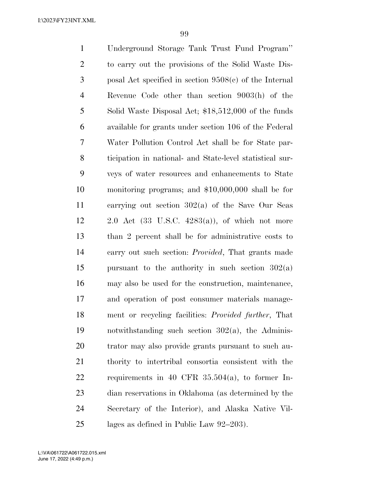| $\mathbf{1}$   | Underground Storage Tank Trust Fund Program"               |
|----------------|------------------------------------------------------------|
| $\overline{2}$ | to carry out the provisions of the Solid Waste Dis-        |
| 3              | posal Act specified in section $9508(c)$ of the Internal   |
| $\overline{4}$ | Revenue Code other than section 9003(h) of the             |
| 5              | Solid Waste Disposal Act; \$18,512,000 of the funds        |
| 6              | available for grants under section 106 of the Federal      |
| 7              | Water Pollution Control Act shall be for State par-        |
| 8              | ticipation in national- and State-level statistical sur-   |
| 9              | veys of water resources and enhancements to State          |
| 10             | monitoring programs; and $$10,000,000$ shall be for        |
| 11             | carrying out section $302(a)$ of the Save Our Seas         |
| 12             | 2.0 Act $(33 \text{ U.S.C. } 4283(a))$ , of which not more |
| 13             | than 2 percent shall be for administrative costs to        |
| 14             | carry out such section: <i>Provided</i> , That grants made |
| 15             | pursuant to the authority in such section $302(a)$         |
| 16             | may also be used for the construction, maintenance,        |
| 17             | and operation of post consumer materials manage-           |
| 18             | ment or recycling facilities: Provided further, That       |
| 19             | notwithstanding such section $302(a)$ , the Adminis-       |
| <b>20</b>      | trator may also provide grants pursuant to such au-        |
| 21             | thority to intertribal consortia consistent with the       |
| 22             | requirements in 40 CFR $35.504(a)$ , to former In-         |
| 23             | dian reservations in Oklahoma (as determined by the        |
| 24             | Secretary of the Interior), and Alaska Native Vil-         |
| 25             | lages as defined in Public Law 92–203).                    |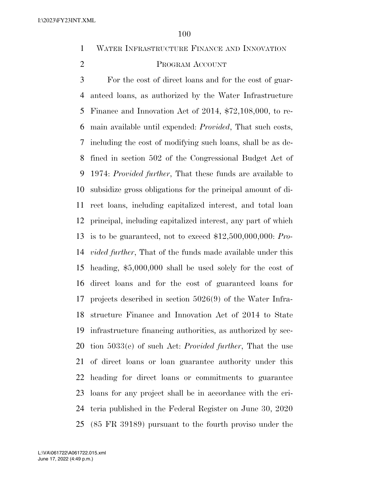WATER INFRASTRUCTURE FINANCE AND INNOVATION

# PROGRAM ACCOUNT

 For the cost of direct loans and for the cost of guar- anteed loans, as authorized by the Water Infrastructure Finance and Innovation Act of 2014, \$72,108,000, to re- main available until expended: *Provided*, That such costs, including the cost of modifying such loans, shall be as de- fined in section 502 of the Congressional Budget Act of 1974: *Provided further*, That these funds are available to subsidize gross obligations for the principal amount of di- rect loans, including capitalized interest, and total loan principal, including capitalized interest, any part of which is to be guaranteed, not to exceed \$12,500,000,000: *Pro- vided further*, That of the funds made available under this heading, \$5,000,000 shall be used solely for the cost of direct loans and for the cost of guaranteed loans for projects described in section 5026(9) of the Water Infra- structure Finance and Innovation Act of 2014 to State infrastructure financing authorities, as authorized by sec- tion 5033(e) of such Act: *Provided further*, That the use of direct loans or loan guarantee authority under this heading for direct loans or commitments to guarantee loans for any project shall be in accordance with the cri- teria published in the Federal Register on June 30, 2020 (85 FR 39189) pursuant to the fourth proviso under the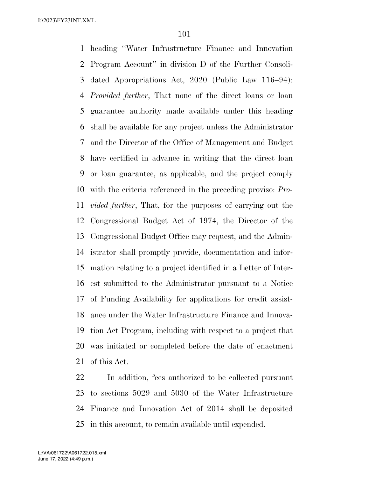heading ''Water Infrastructure Finance and Innovation Program Account'' in division D of the Further Consoli- dated Appropriations Act, 2020 (Public Law 116–94): *Provided further*, That none of the direct loans or loan guarantee authority made available under this heading shall be available for any project unless the Administrator and the Director of the Office of Management and Budget have certified in advance in writing that the direct loan or loan guarantee, as applicable, and the project comply with the criteria referenced in the preceding proviso: *Pro- vided further*, That, for the purposes of carrying out the Congressional Budget Act of 1974, the Director of the Congressional Budget Office may request, and the Admin- istrator shall promptly provide, documentation and infor- mation relating to a project identified in a Letter of Inter- est submitted to the Administrator pursuant to a Notice of Funding Availability for applications for credit assist- ance under the Water Infrastructure Finance and Innova- tion Act Program, including with respect to a project that was initiated or completed before the date of enactment of this Act.

 In addition, fees authorized to be collected pursuant to sections 5029 and 5030 of the Water Infrastructure Finance and Innovation Act of 2014 shall be deposited in this account, to remain available until expended.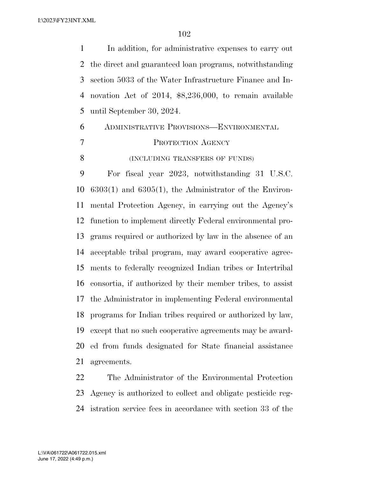In addition, for administrative expenses to carry out the direct and guaranteed loan programs, notwithstanding section 5033 of the Water Infrastructure Finance and In- novation Act of 2014, \$8,236,000, to remain available until September 30, 2024. ADMINISTRATIVE PROVISIONS—ENVIRONMENTAL

PROTECTION AGENCY

**(INCLUDING TRANSFERS OF FUNDS)** 

 For fiscal year 2023, notwithstanding 31 U.S.C. 6303(1) and 6305(1), the Administrator of the Environ- mental Protection Agency, in carrying out the Agency's function to implement directly Federal environmental pro- grams required or authorized by law in the absence of an acceptable tribal program, may award cooperative agree- ments to federally recognized Indian tribes or Intertribal consortia, if authorized by their member tribes, to assist the Administrator in implementing Federal environmental programs for Indian tribes required or authorized by law, except that no such cooperative agreements may be award- ed from funds designated for State financial assistance agreements.

 The Administrator of the Environmental Protection Agency is authorized to collect and obligate pesticide reg-istration service fees in accordance with section 33 of the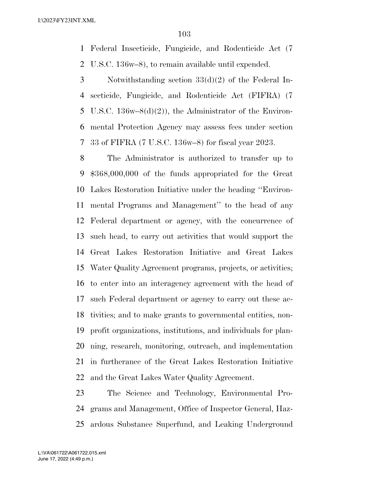Federal Insecticide, Fungicide, and Rodenticide Act (7 U.S.C. 136w–8), to remain available until expended.

 Notwithstanding section 33(d)(2) of the Federal In- secticide, Fungicide, and Rodenticide Act (FIFRA) (7 U.S.C. 136w–8(d)(2)), the Administrator of the Environ- mental Protection Agency may assess fees under section 33 of FIFRA (7 U.S.C. 136w–8) for fiscal year 2023.

 The Administrator is authorized to transfer up to \$368,000,000 of the funds appropriated for the Great Lakes Restoration Initiative under the heading ''Environ- mental Programs and Management'' to the head of any Federal department or agency, with the concurrence of such head, to carry out activities that would support the Great Lakes Restoration Initiative and Great Lakes Water Quality Agreement programs, projects, or activities; to enter into an interagency agreement with the head of such Federal department or agency to carry out these ac- tivities; and to make grants to governmental entities, non- profit organizations, institutions, and individuals for plan- ning, research, monitoring, outreach, and implementation in furtherance of the Great Lakes Restoration Initiative and the Great Lakes Water Quality Agreement.

 The Science and Technology, Environmental Pro- grams and Management, Office of Inspector General, Haz-ardous Substance Superfund, and Leaking Underground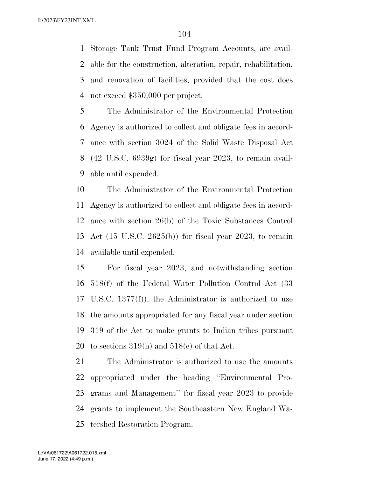Storage Tank Trust Fund Program Accounts, are avail- able for the construction, alteration, repair, rehabilitation, and renovation of facilities, provided that the cost does not exceed \$350,000 per project.

 The Administrator of the Environmental Protection Agency is authorized to collect and obligate fees in accord- ance with section 3024 of the Solid Waste Disposal Act (42 U.S.C. 6939g) for fiscal year 2023, to remain avail-able until expended.

 The Administrator of the Environmental Protection Agency is authorized to collect and obligate fees in accord- ance with section 26(b) of the Toxic Substances Control Act (15 U.S.C. 2625(b)) for fiscal year 2023, to remain available until expended.

 For fiscal year 2023, and notwithstanding section 518(f) of the Federal Water Pollution Control Act (33 U.S.C. 1377(f)), the Administrator is authorized to use the amounts appropriated for any fiscal year under section 319 of the Act to make grants to Indian tribes pursuant to sections 319(h) and 518(e) of that Act.

 The Administrator is authorized to use the amounts appropriated under the heading ''Environmental Pro- grams and Management'' for fiscal year 2023 to provide grants to implement the Southeastern New England Wa-tershed Restoration Program.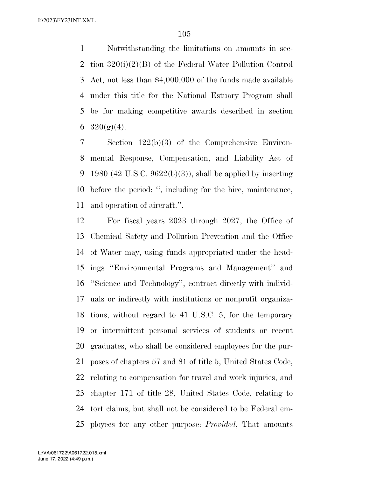Notwithstanding the limitations on amounts in sec- tion 320(i)(2)(B) of the Federal Water Pollution Control Act, not less than \$4,000,000 of the funds made available under this title for the National Estuary Program shall be for making competitive awards described in section  $320(g)(4)$ .

 Section 122(b)(3) of the Comprehensive Environ- mental Response, Compensation, and Liability Act of 9 1980 (42 U.S.C. 9622(b)(3)), shall be applied by inserting before the period: '', including for the hire, maintenance, and operation of aircraft.''.

 For fiscal years 2023 through 2027, the Office of Chemical Safety and Pollution Prevention and the Office of Water may, using funds appropriated under the head- ings ''Environmental Programs and Management'' and ''Science and Technology'', contract directly with individ- uals or indirectly with institutions or nonprofit organiza- tions, without regard to 41 U.S.C. 5, for the temporary or intermittent personal services of students or recent graduates, who shall be considered employees for the pur- poses of chapters 57 and 81 of title 5, United States Code, relating to compensation for travel and work injuries, and chapter 171 of title 28, United States Code, relating to tort claims, but shall not be considered to be Federal em-ployees for any other purpose: *Provided*, That amounts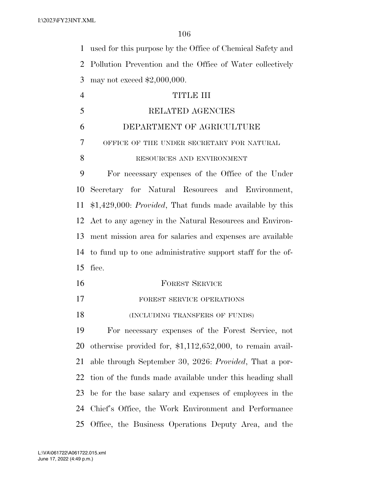used for this purpose by the Office of Chemical Safety and Pollution Prevention and the Office of Water collectively may not exceed \$2,000,000.

| $\overline{4}$ | TITLE III                                                           |
|----------------|---------------------------------------------------------------------|
| 5              | RELATED AGENCIES                                                    |
| 6              | DEPARTMENT OF AGRICULTURE                                           |
| 7              | OFFICE OF THE UNDER SECRETARY FOR NATURAL                           |
| 8              | RESOURCES AND ENVIRONMENT                                           |
| 9              | For necessary expenses of the Office of the Under                   |
| 10             | Secretary for Natural Resources and Environment,                    |
|                | 11 \$1,429,000: <i>Provided</i> , That funds made available by this |
|                | 12 Act to any agency in the Natural Resources and Environ-          |
|                | 13 ment mission area for salaries and expenses are available        |
|                | 14 to fund up to one administrative support staff for the of-       |
|                | 15 fice.                                                            |
|                |                                                                     |

16 FOREST SERVICE 17 FOREST SERVICE OPERATIONS 18 (INCLUDING TRANSFERS OF FUNDS)

 For necessary expenses of the Forest Service, not otherwise provided for, \$1,112,652,000, to remain avail- able through September 30, 2026: *Provided*, That a por- tion of the funds made available under this heading shall be for the base salary and expenses of employees in the Chief's Office, the Work Environment and Performance Office, the Business Operations Deputy Area, and the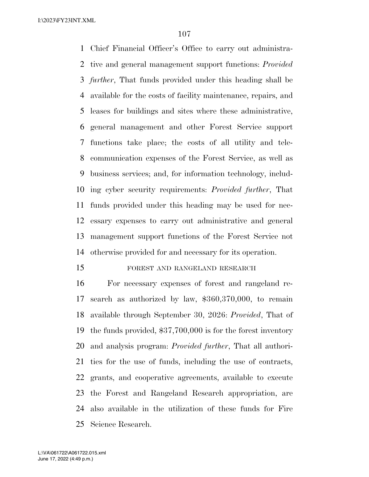Chief Financial Officer's Office to carry out administra- tive and general management support functions: *Provided further*, That funds provided under this heading shall be available for the costs of facility maintenance, repairs, and leases for buildings and sites where these administrative, general management and other Forest Service support functions take place; the costs of all utility and tele- communication expenses of the Forest Service, as well as business services; and, for information technology, includ- ing cyber security requirements: *Provided further*, That funds provided under this heading may be used for nec- essary expenses to carry out administrative and general management support functions of the Forest Service not otherwise provided for and necessary for its operation.

### FOREST AND RANGELAND RESEARCH

 For necessary expenses of forest and rangeland re- search as authorized by law, \$360,370,000, to remain available through September 30, 2026: *Provided*, That of the funds provided, \$37,700,000 is for the forest inventory and analysis program: *Provided further*, That all authori- ties for the use of funds, including the use of contracts, grants, and cooperative agreements, available to execute the Forest and Rangeland Research appropriation, are also available in the utilization of these funds for Fire Science Research.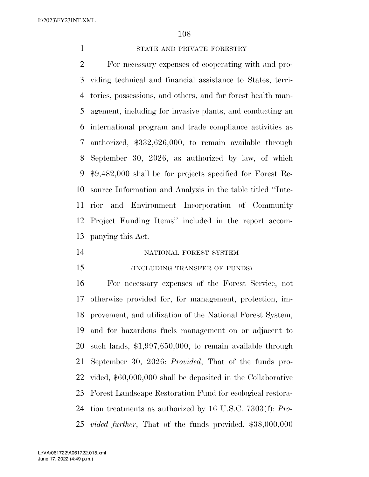STATE AND PRIVATE FORESTRY

 For necessary expenses of cooperating with and pro- viding technical and financial assistance to States, terri- tories, possessions, and others, and for forest health man- agement, including for invasive plants, and conducting an international program and trade compliance activities as authorized, \$332,626,000, to remain available through September 30, 2026, as authorized by law, of which \$9,482,000 shall be for projects specified for Forest Re- source Information and Analysis in the table titled ''Inte- rior and Environment Incorporation of Community Project Funding Items'' included in the report accom-panying this Act.

NATIONAL FOREST SYSTEM

(INCLUDING TRANSFER OF FUNDS)

 For necessary expenses of the Forest Service, not otherwise provided for, for management, protection, im- provement, and utilization of the National Forest System, and for hazardous fuels management on or adjacent to such lands, \$1,997,650,000, to remain available through September 30, 2026: *Provided*, That of the funds pro- vided, \$60,000,000 shall be deposited in the Collaborative Forest Landscape Restoration Fund for ecological restora- tion treatments as authorized by 16 U.S.C. 7303(f): *Pro-vided further*, That of the funds provided, \$38,000,000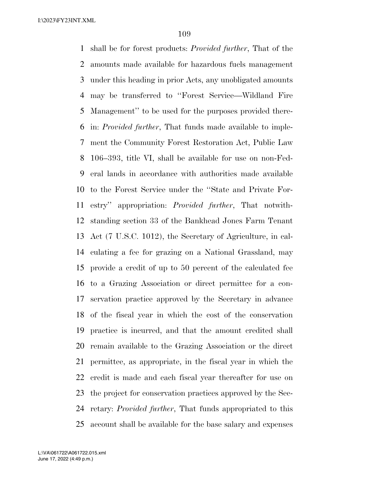shall be for forest products: *Provided further*, That of the amounts made available for hazardous fuels management under this heading in prior Acts, any unobligated amounts may be transferred to ''Forest Service—Wildland Fire Management'' to be used for the purposes provided there- in: *Provided further*, That funds made available to imple- ment the Community Forest Restoration Act, Public Law 106–393, title VI, shall be available for use on non-Fed- eral lands in accordance with authorities made available to the Forest Service under the ''State and Private For- estry'' appropriation: *Provided further*, That notwith- standing section 33 of the Bankhead Jones Farm Tenant Act (7 U.S.C. 1012), the Secretary of Agriculture, in cal- culating a fee for grazing on a National Grassland, may provide a credit of up to 50 percent of the calculated fee to a Grazing Association or direct permittee for a con- servation practice approved by the Secretary in advance of the fiscal year in which the cost of the conservation practice is incurred, and that the amount credited shall remain available to the Grazing Association or the direct permittee, as appropriate, in the fiscal year in which the credit is made and each fiscal year thereafter for use on the project for conservation practices approved by the Sec- retary: *Provided further*, That funds appropriated to this account shall be available for the base salary and expenses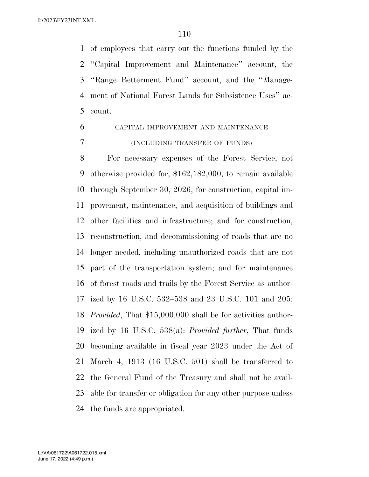of employees that carry out the functions funded by the ''Capital Improvement and Maintenance'' account, the ''Range Betterment Fund'' account, and the ''Manage- ment of National Forest Lands for Subsistence Uses'' ac-count.

# CAPITAL IMPROVEMENT AND MAINTENANCE (INCLUDING TRANSFER OF FUNDS)

 For necessary expenses of the Forest Service, not otherwise provided for, \$162,182,000, to remain available through September 30, 2026, for construction, capital im- provement, maintenance, and acquisition of buildings and other facilities and infrastructure; and for construction, reconstruction, and decommissioning of roads that are no longer needed, including unauthorized roads that are not part of the transportation system; and for maintenance of forest roads and trails by the Forest Service as author- ized by 16 U.S.C. 532–538 and 23 U.S.C. 101 and 205: *Provided*, That \$15,000,000 shall be for activities author- ized by 16 U.S.C. 538(a): *Provided further*, That funds becoming available in fiscal year 2023 under the Act of March 4, 1913 (16 U.S.C. 501) shall be transferred to the General Fund of the Treasury and shall not be avail- able for transfer or obligation for any other purpose unless the funds are appropriated.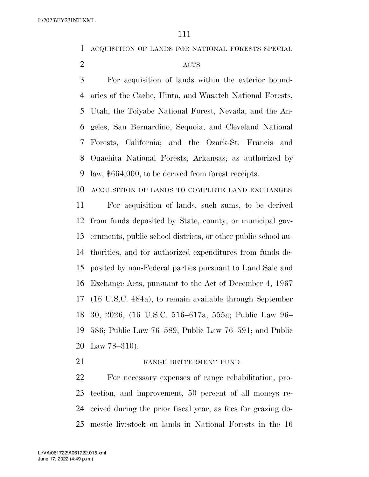ACQUISITION OF LANDS FOR NATIONAL FORESTS SPECIAL

#### 2 ACTS

 For acquisition of lands within the exterior bound- aries of the Cache, Uinta, and Wasatch National Forests, Utah; the Toiyabe National Forest, Nevada; and the An- geles, San Bernardino, Sequoia, and Cleveland National Forests, California; and the Ozark-St. Francis and Ouachita National Forests, Arkansas; as authorized by law, \$664,000, to be derived from forest receipts.

ACQUISITION OF LANDS TO COMPLETE LAND EXCHANGES

 For acquisition of lands, such sums, to be derived from funds deposited by State, county, or municipal gov- ernments, public school districts, or other public school au- thorities, and for authorized expenditures from funds de- posited by non-Federal parties pursuant to Land Sale and Exchange Acts, pursuant to the Act of December 4, 1967 (16 U.S.C. 484a), to remain available through September 30, 2026, (16 U.S.C. 516–617a, 555a; Public Law 96– 586; Public Law 76–589, Public Law 76–591; and Public Law 78–310).

#### 21 RANGE BETTERMENT FUND

 For necessary expenses of range rehabilitation, pro- tection, and improvement, 50 percent of all moneys re- ceived during the prior fiscal year, as fees for grazing do-mestic livestock on lands in National Forests in the 16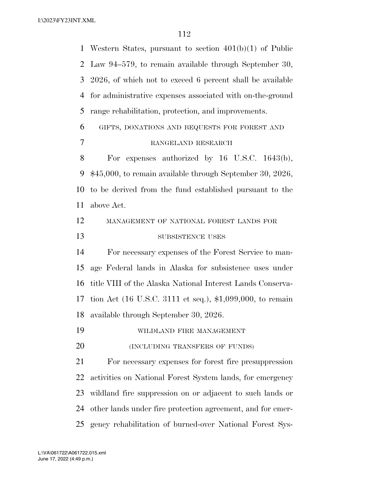| $\mathbf 1$    | Western States, pursuant to section $401(b)(1)$ of Public   |
|----------------|-------------------------------------------------------------|
| 2              | Law 94-579, to remain available through September 30,       |
| 3              | 2026, of which not to exceed 6 percent shall be available   |
| $\overline{4}$ | for administrative expenses associated with on-the-ground   |
| 5              | range rehabilitation, protection, and improvements.         |
| 6              | GIFTS, DONATIONS AND BEQUESTS FOR FOREST AND                |
| 7              | RANGELAND RESEARCH                                          |
| 8              | For expenses authorized by $16$ U.S.C. $1643(b)$ ,          |
| 9              | $$45,000$ , to remain available through September 30, 2026, |
| 10             | to be derived from the fund established pursuant to the     |
| <sup>11</sup>  | above Act.                                                  |
| 12             | MANAGEMENT OF NATIONAL FOREST LANDS FOR                     |
| 13             | SUBSISTENCE USES                                            |
| 14             | For necessary expenses of the Forest Service to man-        |
| 15             | age Federal lands in Alaska for subsistence uses under      |
| 16             | title VIII of the Alaska National Interest Lands Conserva-  |
| 17             | tion Act (16 U.S.C. 3111 et seq.), \$1,099,000, to remain   |
| 18             | available through September 30, 2026.                       |
| 19             | WILDLAND FIRE MANAGEMENT                                    |
| 20             | (INCLUDING TRANSFERS OF FUNDS)                              |
| 21             | For necessary expenses for forest fire presuppression       |
| 22             | activities on National Forest System lands, for emergency   |
| 23             | wildland fire suppression on or adjacent to such lands or   |
| 24             | other lands under fire protection agreement, and for emer-  |
| 25             | gency rehabilitation of burned-over National Forest Sys-    |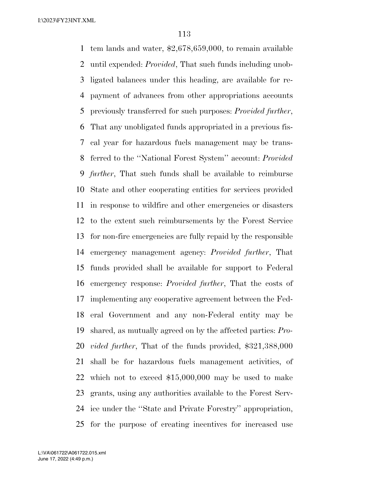tem lands and water, \$2,678,659,000, to remain available until expended: *Provided*, That such funds including unob- ligated balances under this heading, are available for re- payment of advances from other appropriations accounts previously transferred for such purposes: *Provided further*, That any unobligated funds appropriated in a previous fis- cal year for hazardous fuels management may be trans- ferred to the ''National Forest System'' account: *Provided further*, That such funds shall be available to reimburse State and other cooperating entities for services provided in response to wildfire and other emergencies or disasters to the extent such reimbursements by the Forest Service for non-fire emergencies are fully repaid by the responsible emergency management agency: *Provided further*, That funds provided shall be available for support to Federal emergency response: *Provided further*, That the costs of implementing any cooperative agreement between the Fed- eral Government and any non-Federal entity may be shared, as mutually agreed on by the affected parties: *Pro- vided further*, That of the funds provided, \$321,388,000 shall be for hazardous fuels management activities, of which not to exceed \$15,000,000 may be used to make grants, using any authorities available to the Forest Serv- ice under the ''State and Private Forestry'' appropriation, for the purpose of creating incentives for increased use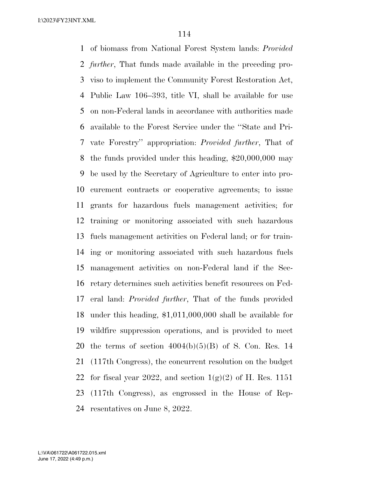of biomass from National Forest System lands: *Provided further*, That funds made available in the preceding pro- viso to implement the Community Forest Restoration Act, Public Law 106–393, title VI, shall be available for use on non-Federal lands in accordance with authorities made available to the Forest Service under the ''State and Pri- vate Forestry'' appropriation: *Provided further*, That of the funds provided under this heading, \$20,000,000 may be used by the Secretary of Agriculture to enter into pro- curement contracts or cooperative agreements; to issue grants for hazardous fuels management activities; for training or monitoring associated with such hazardous fuels management activities on Federal land; or for train- ing or monitoring associated with such hazardous fuels management activities on non-Federal land if the Sec- retary determines such activities benefit resources on Fed- eral land: *Provided further*, That of the funds provided under this heading, \$1,011,000,000 shall be available for wildfire suppression operations, and is provided to meet 20 the terms of section  $4004(b)(5)(B)$  of S. Con. Res. 14 (117th Congress), the concurrent resolution on the budget 22 for fiscal year 2022, and section  $1(g)(2)$  of H. Res. 1151 (117th Congress), as engrossed in the House of Rep-resentatives on June 8, 2022.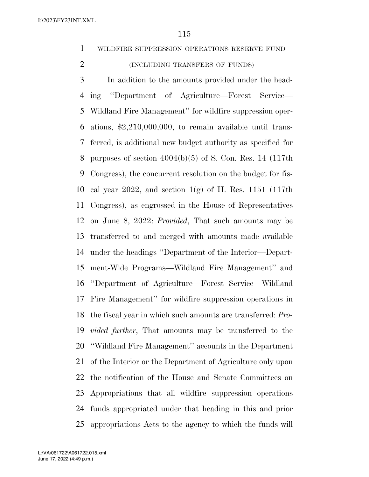WILDFIRE SUPPRESSION OPERATIONS RESERVE FUND

(INCLUDING TRANSFERS OF FUNDS)

 In addition to the amounts provided under the head- ing ''Department of Agriculture—Forest Service— Wildland Fire Management'' for wildfire suppression oper- ations, \$2,210,000,000, to remain available until trans- ferred, is additional new budget authority as specified for purposes of section 4004(b)(5) of S. Con. Res. 14 (117th Congress), the concurrent resolution on the budget for fis- cal year 2022, and section 1(g) of H. Res. 1151 (117th Congress), as engrossed in the House of Representatives on June 8, 2022: *Provided*, That such amounts may be transferred to and merged with amounts made available under the headings ''Department of the Interior—Depart- ment-Wide Programs—Wildland Fire Management'' and ''Department of Agriculture—Forest Service—Wildland Fire Management'' for wildfire suppression operations in the fiscal year in which such amounts are transferred: *Pro- vided further*, That amounts may be transferred to the ''Wildland Fire Management'' accounts in the Department of the Interior or the Department of Agriculture only upon the notification of the House and Senate Committees on Appropriations that all wildfire suppression operations funds appropriated under that heading in this and prior appropriations Acts to the agency to which the funds will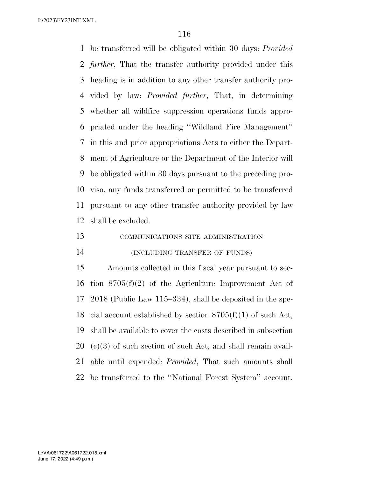be transferred will be obligated within 30 days: *Provided further*, That the transfer authority provided under this heading is in addition to any other transfer authority pro- vided by law: *Provided further*, That, in determining whether all wildfire suppression operations funds appro- priated under the heading ''Wildland Fire Management'' in this and prior appropriations Acts to either the Depart- ment of Agriculture or the Department of the Interior will be obligated within 30 days pursuant to the preceding pro- viso, any funds transferred or permitted to be transferred pursuant to any other transfer authority provided by law shall be excluded.

COMMUNICATIONS SITE ADMINISTRATION

(INCLUDING TRANSFER OF FUNDS)

 Amounts collected in this fiscal year pursuant to sec- tion 8705(f)(2) of the Agriculture Improvement Act of 2018 (Public Law 115–334), shall be deposited in the spe-18 cial account established by section  $8705(f)(1)$  of such Act, shall be available to cover the costs described in subsection (c)(3) of such section of such Act, and shall remain avail- able until expended: *Provided*, That such amounts shall be transferred to the ''National Forest System'' account.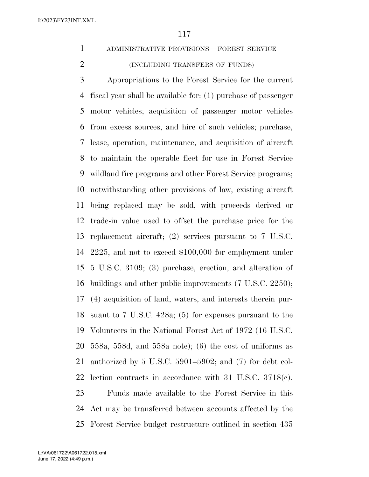- ADMINISTRATIVE PROVISIONS—FOREST SERVICE
- (INCLUDING TRANSFERS OF FUNDS)

 Appropriations to the Forest Service for the current fiscal year shall be available for: (1) purchase of passenger motor vehicles; acquisition of passenger motor vehicles from excess sources, and hire of such vehicles; purchase, lease, operation, maintenance, and acquisition of aircraft to maintain the operable fleet for use in Forest Service wildland fire programs and other Forest Service programs; notwithstanding other provisions of law, existing aircraft being replaced may be sold, with proceeds derived or trade-in value used to offset the purchase price for the replacement aircraft; (2) services pursuant to 7 U.S.C. 2225, and not to exceed \$100,000 for employment under 5 U.S.C. 3109; (3) purchase, erection, and alteration of buildings and other public improvements (7 U.S.C. 2250); (4) acquisition of land, waters, and interests therein pur- suant to 7 U.S.C. 428a; (5) for expenses pursuant to the Volunteers in the National Forest Act of 1972 (16 U.S.C. 558a, 558d, and 558a note); (6) the cost of uniforms as authorized by 5 U.S.C. 5901–5902; and (7) for debt col- lection contracts in accordance with 31 U.S.C. 3718(c). Funds made available to the Forest Service in this Act may be transferred between accounts affected by the Forest Service budget restructure outlined in section 435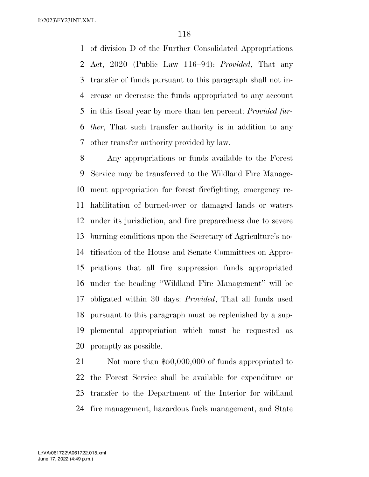of division D of the Further Consolidated Appropriations Act, 2020 (Public Law 116–94): *Provided*, That any transfer of funds pursuant to this paragraph shall not in- crease or decrease the funds appropriated to any account in this fiscal year by more than ten percent: *Provided fur- ther*, That such transfer authority is in addition to any other transfer authority provided by law.

 Any appropriations or funds available to the Forest Service may be transferred to the Wildland Fire Manage- ment appropriation for forest firefighting, emergency re- habilitation of burned-over or damaged lands or waters under its jurisdiction, and fire preparedness due to severe burning conditions upon the Secretary of Agriculture's no- tification of the House and Senate Committees on Appro- priations that all fire suppression funds appropriated under the heading ''Wildland Fire Management'' will be obligated within 30 days: *Provided*, That all funds used pursuant to this paragraph must be replenished by a sup- plemental appropriation which must be requested as promptly as possible.

21 Not more than \$50,000,000 of funds appropriated to the Forest Service shall be available for expenditure or transfer to the Department of the Interior for wildland fire management, hazardous fuels management, and State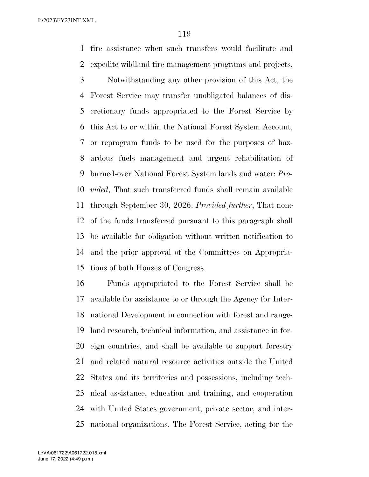fire assistance when such transfers would facilitate and expedite wildland fire management programs and projects.

 Notwithstanding any other provision of this Act, the Forest Service may transfer unobligated balances of dis- cretionary funds appropriated to the Forest Service by this Act to or within the National Forest System Account, or reprogram funds to be used for the purposes of haz- ardous fuels management and urgent rehabilitation of burned-over National Forest System lands and water: *Pro- vided*, That such transferred funds shall remain available through September 30, 2026: *Provided further*, That none of the funds transferred pursuant to this paragraph shall be available for obligation without written notification to and the prior approval of the Committees on Appropria-tions of both Houses of Congress.

 Funds appropriated to the Forest Service shall be available for assistance to or through the Agency for Inter- national Development in connection with forest and range- land research, technical information, and assistance in for- eign countries, and shall be available to support forestry and related natural resource activities outside the United States and its territories and possessions, including tech- nical assistance, education and training, and cooperation with United States government, private sector, and inter-national organizations. The Forest Service, acting for the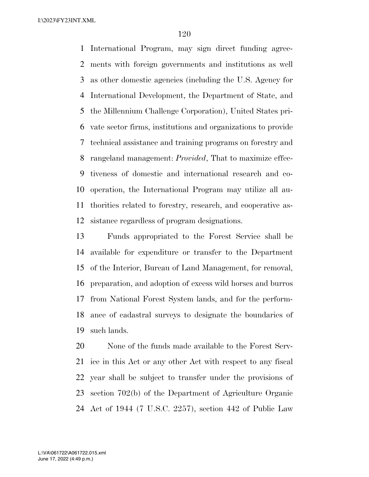International Program, may sign direct funding agree- ments with foreign governments and institutions as well as other domestic agencies (including the U.S. Agency for International Development, the Department of State, and the Millennium Challenge Corporation), United States pri- vate sector firms, institutions and organizations to provide technical assistance and training programs on forestry and rangeland management: *Provided*, That to maximize effec- tiveness of domestic and international research and co- operation, the International Program may utilize all au- thorities related to forestry, research, and cooperative as-sistance regardless of program designations.

 Funds appropriated to the Forest Service shall be available for expenditure or transfer to the Department of the Interior, Bureau of Land Management, for removal, preparation, and adoption of excess wild horses and burros from National Forest System lands, and for the perform- ance of cadastral surveys to designate the boundaries of such lands.

 None of the funds made available to the Forest Serv- ice in this Act or any other Act with respect to any fiscal year shall be subject to transfer under the provisions of section 702(b) of the Department of Agriculture Organic Act of 1944 (7 U.S.C. 2257), section 442 of Public Law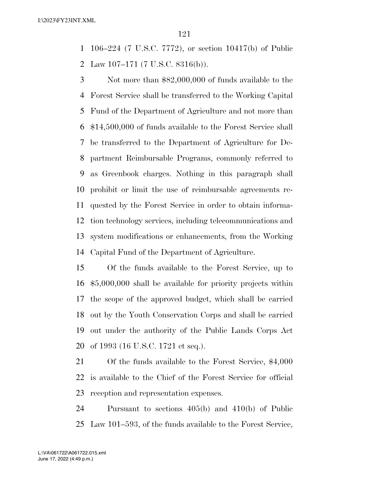106–224 (7 U.S.C. 7772), or section 10417(b) of Public

2 Law 107–171 (7 U.S.C. 8316(b)).

 Not more than \$82,000,000 of funds available to the Forest Service shall be transferred to the Working Capital Fund of the Department of Agriculture and not more than \$14,500,000 of funds available to the Forest Service shall be transferred to the Department of Agriculture for De- partment Reimbursable Programs, commonly referred to as Greenbook charges. Nothing in this paragraph shall prohibit or limit the use of reimbursable agreements re- quested by the Forest Service in order to obtain informa- tion technology services, including telecommunications and system modifications or enhancements, from the Working Capital Fund of the Department of Agriculture.

 Of the funds available to the Forest Service, up to \$5,000,000 shall be available for priority projects within the scope of the approved budget, which shall be carried out by the Youth Conservation Corps and shall be carried out under the authority of the Public Lands Corps Act of 1993 (16 U.S.C. 1721 et seq.).

 Of the funds available to the Forest Service, \$4,000 is available to the Chief of the Forest Service for official reception and representation expenses.

 Pursuant to sections 405(b) and 410(b) of Public Law 101–593, of the funds available to the Forest Service,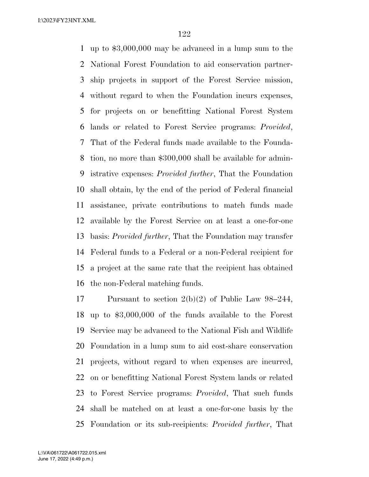up to \$3,000,000 may be advanced in a lump sum to the National Forest Foundation to aid conservation partner- ship projects in support of the Forest Service mission, without regard to when the Foundation incurs expenses, for projects on or benefitting National Forest System lands or related to Forest Service programs: *Provided*, That of the Federal funds made available to the Founda- tion, no more than \$300,000 shall be available for admin- istrative expenses: *Provided further*, That the Foundation shall obtain, by the end of the period of Federal financial assistance, private contributions to match funds made available by the Forest Service on at least a one-for-one basis: *Provided further*, That the Foundation may transfer Federal funds to a Federal or a non-Federal recipient for a project at the same rate that the recipient has obtained the non-Federal matching funds.

 Pursuant to section 2(b)(2) of Public Law 98–244, up to \$3,000,000 of the funds available to the Forest Service may be advanced to the National Fish and Wildlife Foundation in a lump sum to aid cost-share conservation projects, without regard to when expenses are incurred, on or benefitting National Forest System lands or related to Forest Service programs: *Provided*, That such funds shall be matched on at least a one-for-one basis by the Foundation or its sub-recipients: *Provided further*, That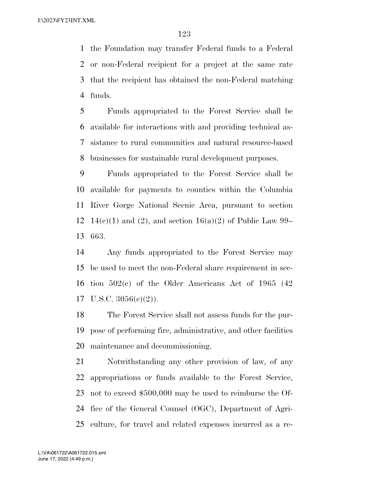the Foundation may transfer Federal funds to a Federal or non-Federal recipient for a project at the same rate that the recipient has obtained the non-Federal matching funds.

 Funds appropriated to the Forest Service shall be available for interactions with and providing technical as- sistance to rural communities and natural resource-based businesses for sustainable rural development purposes.

 Funds appropriated to the Forest Service shall be available for payments to counties within the Columbia River Gorge National Scenic Area, pursuant to section 12 14(c)(1) and (2), and section 16(a)(2) of Public Law 99– 663.

 Any funds appropriated to the Forest Service may be used to meet the non-Federal share requirement in sec- tion 502(c) of the Older Americans Act of 1965 (42 U.S.C. 3056(c)(2)).

 The Forest Service shall not assess funds for the pur- pose of performing fire, administrative, and other facilities maintenance and decommissioning.

 Notwithstanding any other provision of law, of any appropriations or funds available to the Forest Service, not to exceed \$500,000 may be used to reimburse the Of- fice of the General Counsel (OGC), Department of Agri-culture, for travel and related expenses incurred as a re-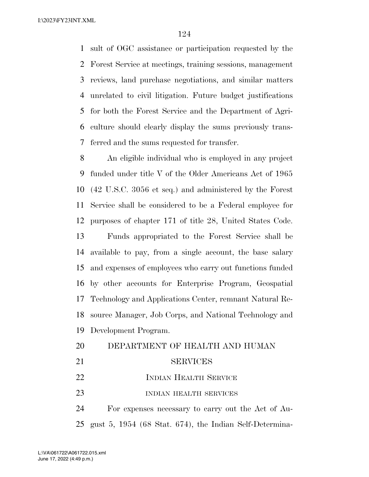sult of OGC assistance or participation requested by the Forest Service at meetings, training sessions, management reviews, land purchase negotiations, and similar matters unrelated to civil litigation. Future budget justifications for both the Forest Service and the Department of Agri- culture should clearly display the sums previously trans-ferred and the sums requested for transfer.

 An eligible individual who is employed in any project funded under title V of the Older Americans Act of 1965 (42 U.S.C. 3056 et seq.) and administered by the Forest Service shall be considered to be a Federal employee for purposes of chapter 171 of title 28, United States Code. Funds appropriated to the Forest Service shall be available to pay, from a single account, the base salary and expenses of employees who carry out functions funded by other accounts for Enterprise Program, Geospatial Technology and Applications Center, remnant Natural Re- source Manager, Job Corps, and National Technology and Development Program.

 DEPARTMENT OF HEALTH AND HUMAN SERVICES 22 INDIAN HEALTH SERVICE 23 INDIAN HEALTH SERVICES For expenses necessary to carry out the Act of Au-gust 5, 1954 (68 Stat. 674), the Indian Self-Determina-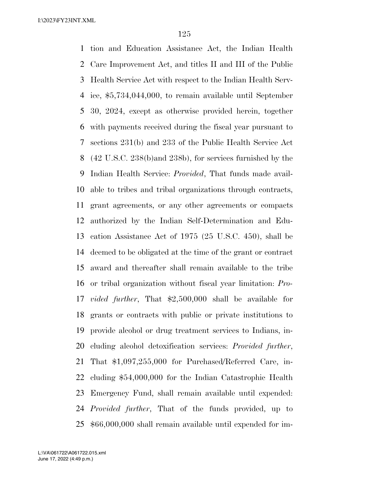tion and Education Assistance Act, the Indian Health Care Improvement Act, and titles II and III of the Public Health Service Act with respect to the Indian Health Serv- ice, \$5,734,044,000, to remain available until September 30, 2024, except as otherwise provided herein, together with payments received during the fiscal year pursuant to sections 231(b) and 233 of the Public Health Service Act (42 U.S.C. 238(b)and 238b), for services furnished by the Indian Health Service: *Provided*, That funds made avail- able to tribes and tribal organizations through contracts, grant agreements, or any other agreements or compacts authorized by the Indian Self-Determination and Edu- cation Assistance Act of 1975 (25 U.S.C. 450), shall be deemed to be obligated at the time of the grant or contract award and thereafter shall remain available to the tribe or tribal organization without fiscal year limitation: *Pro- vided further*, That \$2,500,000 shall be available for grants or contracts with public or private institutions to provide alcohol or drug treatment services to Indians, in- cluding alcohol detoxification services: *Provided further*, That \$1,097,255,000 for Purchased/Referred Care, in- cluding \$54,000,000 for the Indian Catastrophic Health Emergency Fund, shall remain available until expended: *Provided further*, That of the funds provided, up to \$66,000,000 shall remain available until expended for im-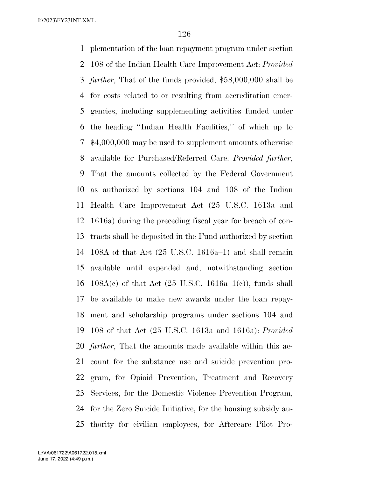plementation of the loan repayment program under section 108 of the Indian Health Care Improvement Act: *Provided further*, That of the funds provided, \$58,000,000 shall be for costs related to or resulting from accreditation emer- gencies, including supplementing activities funded under the heading ''Indian Health Facilities,'' of which up to \$4,000,000 may be used to supplement amounts otherwise available for Purchased/Referred Care: *Provided further*, That the amounts collected by the Federal Government as authorized by sections 104 and 108 of the Indian Health Care Improvement Act (25 U.S.C. 1613a and 1616a) during the preceding fiscal year for breach of con- tracts shall be deposited in the Fund authorized by section 108A of that Act (25 U.S.C. 1616a–1) and shall remain available until expended and, notwithstanding section 16 108A(c) of that Act  $(25 \text{ U.S.C. } 1616a-1(c))$ , funds shall be available to make new awards under the loan repay- ment and scholarship programs under sections 104 and 108 of that Act (25 U.S.C. 1613a and 1616a): *Provided further*, That the amounts made available within this ac- count for the substance use and suicide prevention pro- gram, for Opioid Prevention, Treatment and Recovery Services, for the Domestic Violence Prevention Program, for the Zero Suicide Initiative, for the housing subsidy au-thority for civilian employees, for Aftercare Pilot Pro-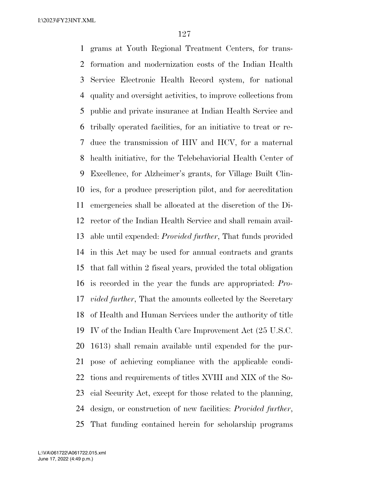grams at Youth Regional Treatment Centers, for trans- formation and modernization costs of the Indian Health Service Electronic Health Record system, for national quality and oversight activities, to improve collections from public and private insurance at Indian Health Service and tribally operated facilities, for an initiative to treat or re- duce the transmission of HIV and HCV, for a maternal health initiative, for the Telebehaviorial Health Center of Excellence, for Alzheimer's grants, for Village Built Clin- ics, for a produce prescription pilot, and for accreditation emergencies shall be allocated at the discretion of the Di- rector of the Indian Health Service and shall remain avail- able until expended: *Provided further*, That funds provided in this Act may be used for annual contracts and grants that fall within 2 fiscal years, provided the total obligation is recorded in the year the funds are appropriated: *Pro- vided further*, That the amounts collected by the Secretary of Health and Human Services under the authority of title IV of the Indian Health Care Improvement Act (25 U.S.C. 1613) shall remain available until expended for the pur- pose of achieving compliance with the applicable condi- tions and requirements of titles XVIII and XIX of the So- cial Security Act, except for those related to the planning, design, or construction of new facilities: *Provided further*, That funding contained herein for scholarship programs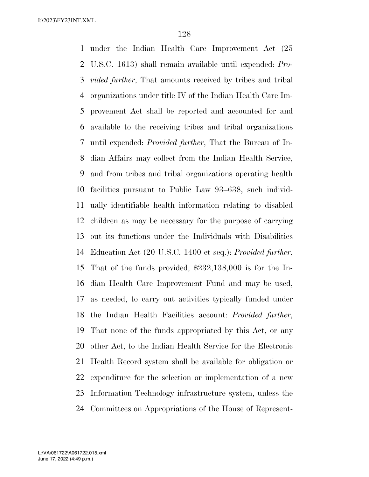under the Indian Health Care Improvement Act (25 U.S.C. 1613) shall remain available until expended: *Pro- vided further*, That amounts received by tribes and tribal organizations under title IV of the Indian Health Care Im- provement Act shall be reported and accounted for and available to the receiving tribes and tribal organizations until expended: *Provided further*, That the Bureau of In- dian Affairs may collect from the Indian Health Service, and from tribes and tribal organizations operating health facilities pursuant to Public Law 93–638, such individ- ually identifiable health information relating to disabled children as may be necessary for the purpose of carrying out its functions under the Individuals with Disabilities Education Act (20 U.S.C. 1400 et seq.): *Provided further*, That of the funds provided, \$232,138,000 is for the In- dian Health Care Improvement Fund and may be used, as needed, to carry out activities typically funded under the Indian Health Facilities account: *Provided further*, That none of the funds appropriated by this Act, or any other Act, to the Indian Health Service for the Electronic Health Record system shall be available for obligation or expenditure for the selection or implementation of a new Information Technology infrastructure system, unless the Committees on Appropriations of the House of Represent-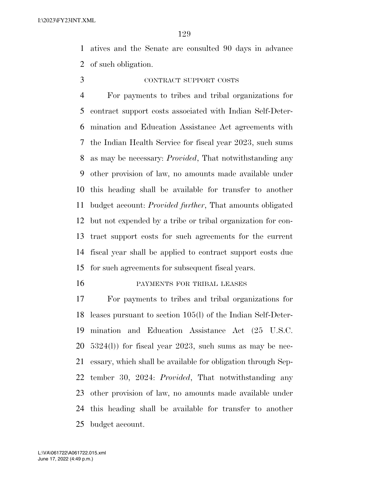atives and the Senate are consulted 90 days in advance of such obligation.

### CONTRACT SUPPORT COSTS

 For payments to tribes and tribal organizations for contract support costs associated with Indian Self-Deter- mination and Education Assistance Act agreements with the Indian Health Service for fiscal year 2023, such sums as may be necessary: *Provided*, That notwithstanding any other provision of law, no amounts made available under this heading shall be available for transfer to another budget account: *Provided further*, That amounts obligated but not expended by a tribe or tribal organization for con- tract support costs for such agreements for the current fiscal year shall be applied to contract support costs due for such agreements for subsequent fiscal years.

#### PAYMENTS FOR TRIBAL LEASES

 For payments to tribes and tribal organizations for leases pursuant to section 105(l) of the Indian Self-Deter- mination and Education Assistance Act (25 U.S.C. 5324(l)) for fiscal year 2023, such sums as may be nec- essary, which shall be available for obligation through Sep- tember 30, 2024: *Provided*, That notwithstanding any other provision of law, no amounts made available under this heading shall be available for transfer to another budget account.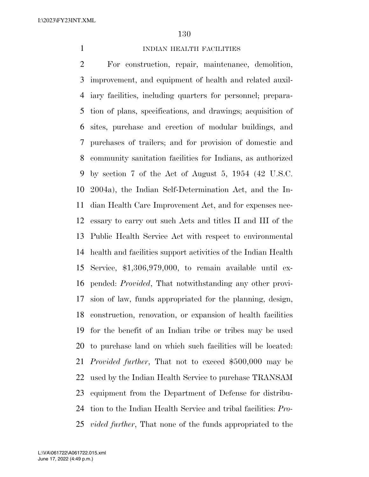#### **INDIAN HEALTH FACILITIES**

 For construction, repair, maintenance, demolition, improvement, and equipment of health and related auxil- iary facilities, including quarters for personnel; prepara- tion of plans, specifications, and drawings; acquisition of sites, purchase and erection of modular buildings, and purchases of trailers; and for provision of domestic and community sanitation facilities for Indians, as authorized by section 7 of the Act of August 5, 1954 (42 U.S.C. 2004a), the Indian Self-Determination Act, and the In- dian Health Care Improvement Act, and for expenses nec- essary to carry out such Acts and titles II and III of the Public Health Service Act with respect to environmental health and facilities support activities of the Indian Health Service, \$1,306,979,000, to remain available until ex- pended: *Provided*, That notwithstanding any other provi- sion of law, funds appropriated for the planning, design, construction, renovation, or expansion of health facilities for the benefit of an Indian tribe or tribes may be used to purchase land on which such facilities will be located: *Provided further*, That not to exceed \$500,000 may be used by the Indian Health Service to purchase TRANSAM equipment from the Department of Defense for distribu- tion to the Indian Health Service and tribal facilities: *Pro-vided further*, That none of the funds appropriated to the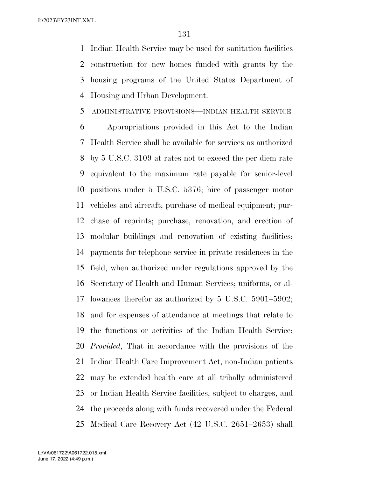Indian Health Service may be used for sanitation facilities construction for new homes funded with grants by the housing programs of the United States Department of Housing and Urban Development.

#### ADMINISTRATIVE PROVISIONS—INDIAN HEALTH SERVICE

 Appropriations provided in this Act to the Indian Health Service shall be available for services as authorized by 5 U.S.C. 3109 at rates not to exceed the per diem rate equivalent to the maximum rate payable for senior-level positions under 5 U.S.C. 5376; hire of passenger motor vehicles and aircraft; purchase of medical equipment; pur- chase of reprints; purchase, renovation, and erection of modular buildings and renovation of existing facilities; payments for telephone service in private residences in the field, when authorized under regulations approved by the Secretary of Health and Human Services; uniforms, or al- lowances therefor as authorized by 5 U.S.C. 5901–5902; and for expenses of attendance at meetings that relate to the functions or activities of the Indian Health Service: *Provided*, That in accordance with the provisions of the Indian Health Care Improvement Act, non-Indian patients may be extended health care at all tribally administered or Indian Health Service facilities, subject to charges, and the proceeds along with funds recovered under the Federal Medical Care Recovery Act (42 U.S.C. 2651–2653) shall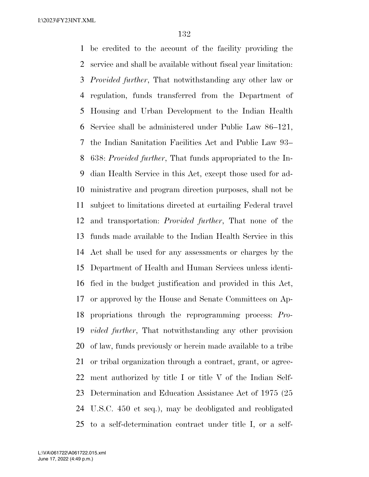be credited to the account of the facility providing the service and shall be available without fiscal year limitation: *Provided further*, That notwithstanding any other law or regulation, funds transferred from the Department of Housing and Urban Development to the Indian Health Service shall be administered under Public Law 86–121, the Indian Sanitation Facilities Act and Public Law 93– 638: *Provided further*, That funds appropriated to the In- dian Health Service in this Act, except those used for ad- ministrative and program direction purposes, shall not be subject to limitations directed at curtailing Federal travel and transportation: *Provided further*, That none of the funds made available to the Indian Health Service in this Act shall be used for any assessments or charges by the Department of Health and Human Services unless identi- fied in the budget justification and provided in this Act, or approved by the House and Senate Committees on Ap- propriations through the reprogramming process: *Pro- vided further*, That notwithstanding any other provision of law, funds previously or herein made available to a tribe or tribal organization through a contract, grant, or agree- ment authorized by title I or title V of the Indian Self- Determination and Education Assistance Act of 1975 (25 U.S.C. 450 et seq.), may be deobligated and reobligated to a self-determination contract under title I, or a self-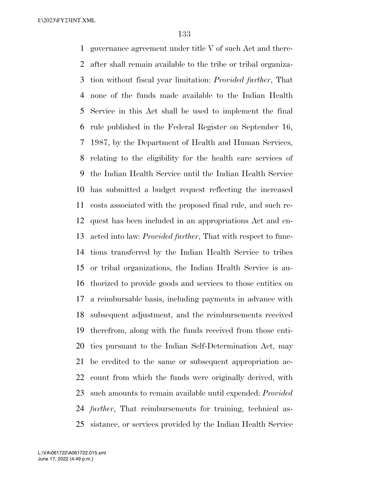governance agreement under title V of such Act and there- after shall remain available to the tribe or tribal organiza- tion without fiscal year limitation: *Provided further*, That none of the funds made available to the Indian Health Service in this Act shall be used to implement the final rule published in the Federal Register on September 16, 1987, by the Department of Health and Human Services, relating to the eligibility for the health care services of the Indian Health Service until the Indian Health Service has submitted a budget request reflecting the increased costs associated with the proposed final rule, and such re- quest has been included in an appropriations Act and en- acted into law: *Provided further*, That with respect to func- tions transferred by the Indian Health Service to tribes or tribal organizations, the Indian Health Service is au- thorized to provide goods and services to those entities on a reimbursable basis, including payments in advance with subsequent adjustment, and the reimbursements received therefrom, along with the funds received from those enti- ties pursuant to the Indian Self-Determination Act, may be credited to the same or subsequent appropriation ac- count from which the funds were originally derived, with such amounts to remain available until expended: *Provided further*, That reimbursements for training, technical as-sistance, or services provided by the Indian Health Service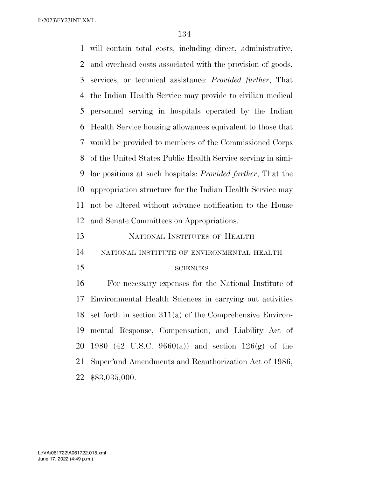will contain total costs, including direct, administrative, and overhead costs associated with the provision of goods, services, or technical assistance: *Provided further*, That the Indian Health Service may provide to civilian medical personnel serving in hospitals operated by the Indian Health Service housing allowances equivalent to those that would be provided to members of the Commissioned Corps of the United States Public Health Service serving in simi- lar positions at such hospitals: *Provided further*, That the appropriation structure for the Indian Health Service may not be altered without advance notification to the House and Senate Committees on Appropriations. NATIONAL INSTITUTES OF HEALTH NATIONAL INSTITUTE OF ENVIRONMENTAL HEALTH 15 SCIENCES For necessary expenses for the National Institute of Environmental Health Sciences in carrying out activities set forth in section 311(a) of the Comprehensive Environ-mental Response, Compensation, and Liability Act of

 1980 (42 U.S.C. 9660(a)) and section 126(g) of the Superfund Amendments and Reauthorization Act of 1986,

\$83,035,000.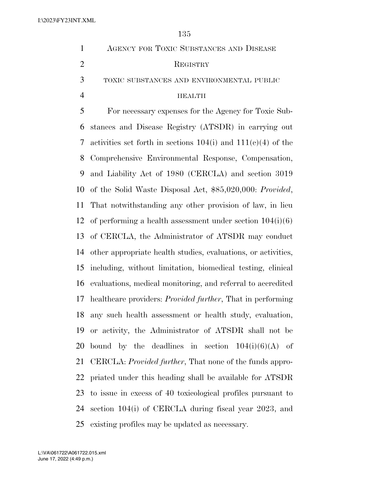| $\mathbf{1}$   | AGENCY FOR TOXIC SUBSTANCES AND DISEASE                            |
|----------------|--------------------------------------------------------------------|
| $\overline{2}$ | REGISTRY                                                           |
| 3              | TOXIC SUBSTANCES AND ENVIRONMENTAL PUBLIC                          |
| $\overline{4}$ | <b>HEALTH</b>                                                      |
| 5              | For necessary expenses for the Agency for Toxic Sub-               |
| 6              | stances and Disease Registry (ATSDR) in carrying out               |
| 7              | activities set forth in sections $104(i)$ and $111(e)(4)$ of the   |
| 8              | Comprehensive Environmental Response, Compensation,                |
| 9              | and Liability Act of 1980 (CERCLA) and section 3019                |
| 10             | of the Solid Waste Disposal Act, \$85,020,000: Provided,           |
| 11             | That notwithstanding any other provision of law, in lieu           |
| 12             | of performing a health assessment under section $104(i)(6)$        |
| 13             | of CERCLA, the Administrator of ATSDR may conduct                  |
| 14             | other appropriate health studies, evaluations, or activities,      |
| 15             | including, without limitation, biomedical testing, clinical        |
| 16             | evaluations, medical monitoring, and referral to accredited        |
| 17             | healthcare providers: <i>Provided further</i> , That in performing |
| 18             | any such health assessment or health study, evaluation,            |
| 19             | or activity, the Administrator of ATSDR shall not be               |
| 20             | bound by the deadlines in section $104(i)(6)(A)$ of                |
| 21             | CERCLA: <i>Provided further</i> , That none of the funds appro-    |
| 22             | priated under this heading shall be available for ATSDR            |
| 23             | to issue in excess of 40 toxicological profiles pursuant to        |
| 24             | section 104(i) of CERCLA during fiscal year 2023, and              |
| 25             | existing profiles may be updated as necessary.                     |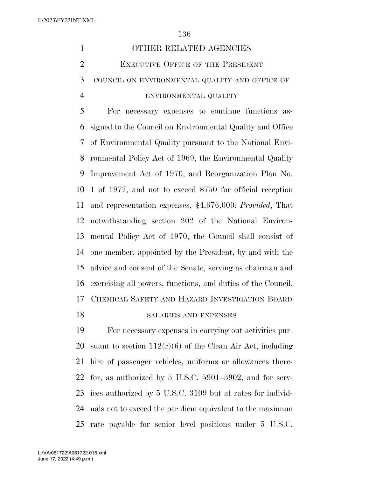|   | OTHER RELATED AGENCIES                           |
|---|--------------------------------------------------|
|   | <b>EXECUTIVE OFFICE OF THE PRESIDENT</b>         |
| 3 | COUNCIL ON ENVIRONMENTAL QUALITY AND OFFICE OF   |
|   | ENVIRONMENTAL QUALITY                            |
|   | For necessary expenses to continue functions as- |
|   |                                                  |

 signed to the Council on Environmental Quality and Office of Environmental Quality pursuant to the National Envi- ronmental Policy Act of 1969, the Environmental Quality Improvement Act of 1970, and Reorganization Plan No. 1 of 1977, and not to exceed \$750 for official reception and representation expenses, \$4,676,000: *Provided*, That notwithstanding section 202 of the National Environ- mental Policy Act of 1970, the Council shall consist of one member, appointed by the President, by and with the advice and consent of the Senate, serving as chairman and exercising all powers, functions, and duties of the Council. CHEMICAL SAFETY AND HAZARD INVESTIGATION BOARD

# 18 SALARIES AND EXPENSES

 For necessary expenses in carrying out activities pur-20 suant to section  $112(r)(6)$  of the Clean Air Act, including hire of passenger vehicles, uniforms or allowances there- for, as authorized by 5 U.S.C. 5901–5902, and for serv- ices authorized by 5 U.S.C. 3109 but at rates for individ- uals not to exceed the per diem equivalent to the maximum rate payable for senior level positions under 5 U.S.C.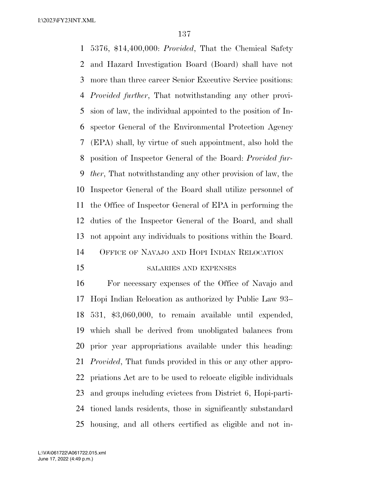5376, \$14,400,000: *Provided*, That the Chemical Safety and Hazard Investigation Board (Board) shall have not more than three career Senior Executive Service positions: *Provided further*, That notwithstanding any other provi- sion of law, the individual appointed to the position of In- spector General of the Environmental Protection Agency (EPA) shall, by virtue of such appointment, also hold the position of Inspector General of the Board: *Provided fur- ther*, That notwithstanding any other provision of law, the Inspector General of the Board shall utilize personnel of the Office of Inspector General of EPA in performing the duties of the Inspector General of the Board, and shall not appoint any individuals to positions within the Board. OFFICE OF NAVAJO AND HOPI INDIAN RELOCATION

#### SALARIES AND EXPENSES

 For necessary expenses of the Office of Navajo and Hopi Indian Relocation as authorized by Public Law 93– 531, \$3,060,000, to remain available until expended, which shall be derived from unobligated balances from prior year appropriations available under this heading: *Provided*, That funds provided in this or any other appro- priations Act are to be used to relocate eligible individuals and groups including evictees from District 6, Hopi-parti- tioned lands residents, those in significantly substandard housing, and all others certified as eligible and not in-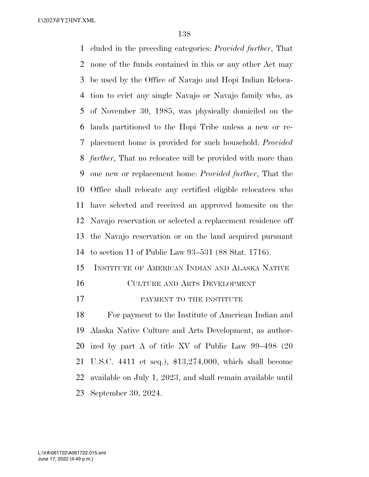cluded in the preceding categories: *Provided further*, That none of the funds contained in this or any other Act may be used by the Office of Navajo and Hopi Indian Reloca- tion to evict any single Navajo or Navajo family who, as of November 30, 1985, was physically domiciled on the lands partitioned to the Hopi Tribe unless a new or re- placement home is provided for such household: *Provided further*, That no relocatee will be provided with more than one new or replacement home: *Provided further*, That the Office shall relocate any certified eligible relocatees who have selected and received an approved homesite on the Navajo reservation or selected a replacement residence off the Navajo reservation or on the land acquired pursuant to section 11 of Public Law 93–531 (88 Stat. 1716). INSTITUTE OF AMERICAN INDIAN AND ALASKA NATIVE

- CULTURE AND ARTS DEVELOPMENT
- **PAYMENT TO THE INSTITUTE**

 For payment to the Institute of American Indian and Alaska Native Culture and Arts Development, as author- ized by part A of title XV of Public Law 99–498 (20 U.S.C. 4411 et seq.), \$13,274,000, which shall become available on July 1, 2023, and shall remain available until September 30, 2024.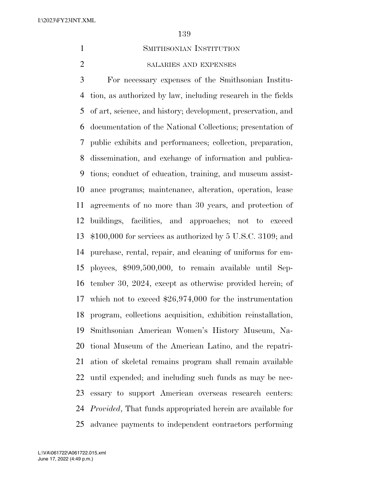## SMITHSONIAN INSTITUTION

SALARIES AND EXPENSES

 For necessary expenses of the Smithsonian Institu- tion, as authorized by law, including research in the fields of art, science, and history; development, preservation, and documentation of the National Collections; presentation of public exhibits and performances; collection, preparation, dissemination, and exchange of information and publica- tions; conduct of education, training, and museum assist- ance programs; maintenance, alteration, operation, lease agreements of no more than 30 years, and protection of buildings, facilities, and approaches; not to exceed \$100,000 for services as authorized by 5 U.S.C. 3109; and purchase, rental, repair, and cleaning of uniforms for em- ployees, \$909,500,000, to remain available until Sep- tember 30, 2024, except as otherwise provided herein; of which not to exceed \$26,974,000 for the instrumentation program, collections acquisition, exhibition reinstallation, Smithsonian American Women's History Museum, Na- tional Museum of the American Latino, and the repatri- ation of skeletal remains program shall remain available until expended; and including such funds as may be nec- essary to support American overseas research centers: *Provided*, That funds appropriated herein are available for advance payments to independent contractors performing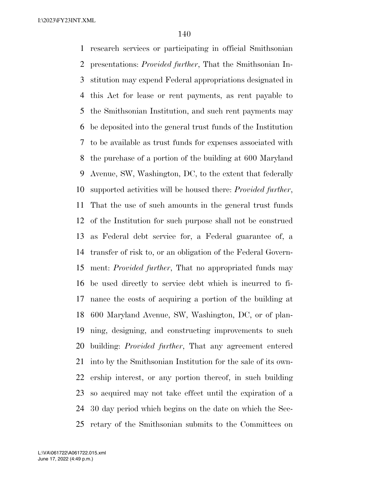research services or participating in official Smithsonian presentations: *Provided further*, That the Smithsonian In- stitution may expend Federal appropriations designated in this Act for lease or rent payments, as rent payable to the Smithsonian Institution, and such rent payments may be deposited into the general trust funds of the Institution to be available as trust funds for expenses associated with the purchase of a portion of the building at 600 Maryland Avenue, SW, Washington, DC, to the extent that federally supported activities will be housed there: *Provided further*, That the use of such amounts in the general trust funds of the Institution for such purpose shall not be construed as Federal debt service for, a Federal guarantee of, a transfer of risk to, or an obligation of the Federal Govern- ment: *Provided further*, That no appropriated funds may be used directly to service debt which is incurred to fi- nance the costs of acquiring a portion of the building at 600 Maryland Avenue, SW, Washington, DC, or of plan- ning, designing, and constructing improvements to such building: *Provided further*, That any agreement entered into by the Smithsonian Institution for the sale of its own- ership interest, or any portion thereof, in such building so acquired may not take effect until the expiration of a 30 day period which begins on the date on which the Sec-retary of the Smithsonian submits to the Committees on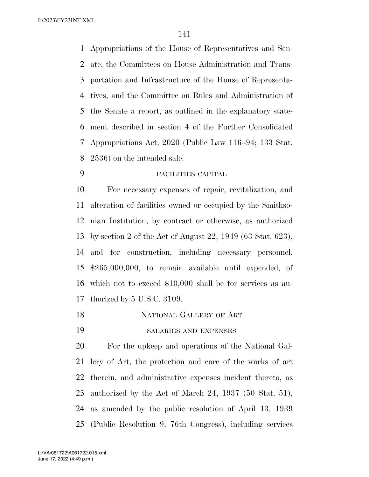Appropriations of the House of Representatives and Sen- ate, the Committees on House Administration and Trans- portation and Infrastructure of the House of Representa- tives, and the Committee on Rules and Administration of the Senate a report, as outlined in the explanatory state- ment described in section 4 of the Further Consolidated Appropriations Act, 2020 (Public Law 116–94; 133 Stat. 2536) on the intended sale.

FACILITIES CAPITAL

 For necessary expenses of repair, revitalization, and alteration of facilities owned or occupied by the Smithso- nian Institution, by contract or otherwise, as authorized by section 2 of the Act of August 22, 1949 (63 Stat. 623), and for construction, including necessary personnel, \$265,000,000, to remain available until expended, of which not to exceed \$10,000 shall be for services as au-thorized by 5 U.S.C. 3109.

- NATIONAL GALLERY OF ART
- SALARIES AND EXPENSES

 For the upkeep and operations of the National Gal- lery of Art, the protection and care of the works of art therein, and administrative expenses incident thereto, as authorized by the Act of March 24, 1937 (50 Stat. 51), as amended by the public resolution of April 13, 1939 (Public Resolution 9, 76th Congress), including services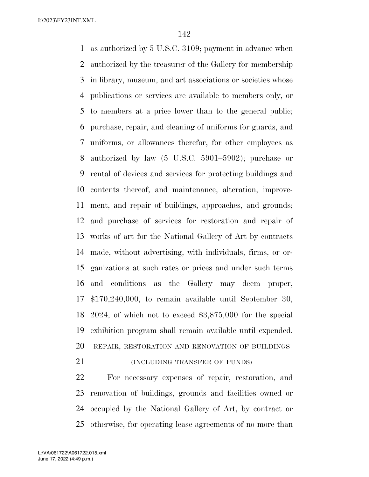as authorized by 5 U.S.C. 3109; payment in advance when authorized by the treasurer of the Gallery for membership in library, museum, and art associations or societies whose publications or services are available to members only, or to members at a price lower than to the general public; purchase, repair, and cleaning of uniforms for guards, and uniforms, or allowances therefor, for other employees as authorized by law (5 U.S.C. 5901–5902); purchase or rental of devices and services for protecting buildings and contents thereof, and maintenance, alteration, improve- ment, and repair of buildings, approaches, and grounds; and purchase of services for restoration and repair of works of art for the National Gallery of Art by contracts made, without advertising, with individuals, firms, or or- ganizations at such rates or prices and under such terms and conditions as the Gallery may deem proper, \$170,240,000, to remain available until September 30, 2024, of which not to exceed \$3,875,000 for the special exhibition program shall remain available until expended. REPAIR, RESTORATION AND RENOVATION OF BUILDINGS

#### **(INCLUDING TRANSFER OF FUNDS)**

 For necessary expenses of repair, restoration, and renovation of buildings, grounds and facilities owned or occupied by the National Gallery of Art, by contract or otherwise, for operating lease agreements of no more than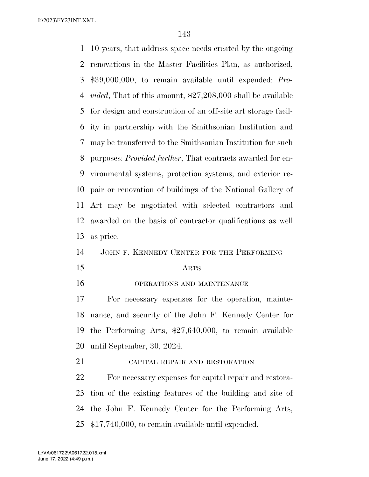10 years, that address space needs created by the ongoing renovations in the Master Facilities Plan, as authorized, \$39,000,000, to remain available until expended: *Pro- vided*, That of this amount, \$27,208,000 shall be available for design and construction of an off-site art storage facil- ity in partnership with the Smithsonian Institution and may be transferred to the Smithsonian Institution for such purposes: *Provided further*, That contracts awarded for en- vironmental systems, protection systems, and exterior re- pair or renovation of buildings of the National Gallery of Art may be negotiated with selected contractors and awarded on the basis of contractor qualifications as well as price. JOHN F. KENNEDY CENTER FOR THE PERFORMING

- 
- 

#### ARTS

OPERATIONS AND MAINTENANCE

 For necessary expenses for the operation, mainte- nance, and security of the John F. Kennedy Center for the Performing Arts, \$27,640,000, to remain available until September, 30, 2024.

CAPITAL REPAIR AND RESTORATION

 For necessary expenses for capital repair and restora- tion of the existing features of the building and site of the John F. Kennedy Center for the Performing Arts, \$17,740,000, to remain available until expended.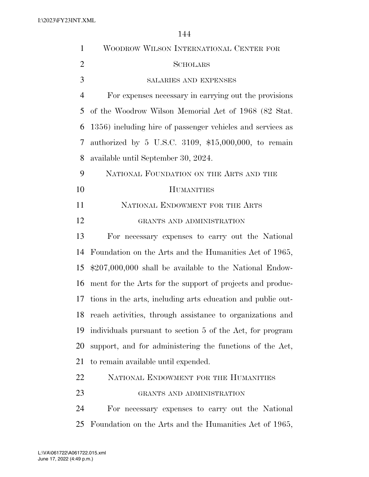| $\mathbf{1}$   | WOODROW WILSON INTERNATIONAL CENTER FOR                     |
|----------------|-------------------------------------------------------------|
| $\overline{2}$ | SCHOLARS                                                    |
| 3              | SALARIES AND EXPENSES                                       |
| $\overline{4}$ | For expenses necessary in carrying out the provisions       |
| 5              | of the Woodrow Wilson Memorial Act of 1968 (82 Stat.        |
| 6              | 1356) including hire of passenger vehicles and services as  |
| 7              | authorized by 5 U.S.C. 3109, $$15,000,000$ , to remain      |
| 8              | available until September 30, 2024.                         |
| 9              | NATIONAL FOUNDATION ON THE ARTS AND THE                     |
| 10             | <b>HUMANITIES</b>                                           |
| 11             | NATIONAL ENDOWMENT FOR THE ARTS                             |
| 12             | GRANTS AND ADMINISTRATION                                   |
| 13             | For necessary expenses to carry out the National            |
| 14             | Foundation on the Arts and the Humanities Act of 1965,      |
| 15             | $$207,000,000$ shall be available to the National Endow-    |
| 16             | ment for the Arts for the support of projects and produc-   |
| 17             | tions in the arts, including arts education and public out- |
| 18             | reach activities, through assistance to organizations and   |
| 19             | individuals pursuant to section 5 of the Act, for program   |
| 20             | support, and for administering the functions of the Act,    |
| 21             | to remain available until expended.                         |
| 22             | NATIONAL ENDOWMENT FOR THE HUMANITIES                       |
| 23             | GRANTS AND ADMINISTRATION                                   |
| 24             | For necessary expenses to carry out the National            |
| 25             | Foundation on the Arts and the Humanities Act of 1965,      |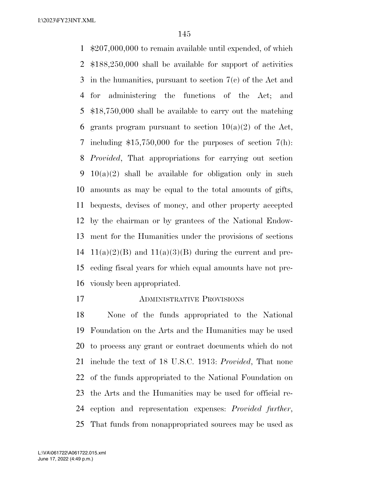\$207,000,000 to remain available until expended, of which \$188,250,000 shall be available for support of activities in the humanities, pursuant to section 7(c) of the Act and for administering the functions of the Act; and \$18,750,000 shall be available to carry out the matching 6 grants program pursuant to section  $10(a)(2)$  of the Act, including \$15,750,000 for the purposes of section 7(h): *Provided*, That appropriations for carrying out section 10(a)(2) shall be available for obligation only in such amounts as may be equal to the total amounts of gifts, bequests, devises of money, and other property accepted by the chairman or by grantees of the National Endow- ment for the Humanities under the provisions of sections  $11(a)(2)(B)$  and  $11(a)(3)(B)$  during the current and pre- ceding fiscal years for which equal amounts have not pre-viously been appropriated.

ADMINISTRATIVE PROVISIONS

 None of the funds appropriated to the National Foundation on the Arts and the Humanities may be used to process any grant or contract documents which do not include the text of 18 U.S.C. 1913: *Provided*, That none of the funds appropriated to the National Foundation on the Arts and the Humanities may be used for official re- ception and representation expenses: *Provided further*, That funds from nonappropriated sources may be used as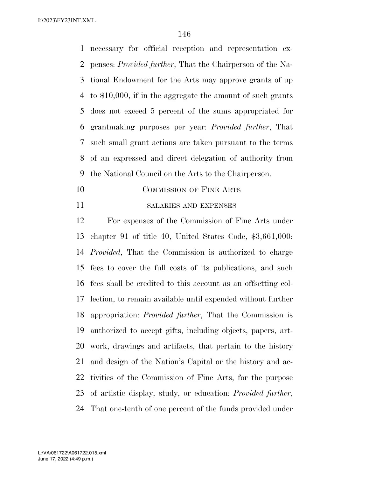necessary for official reception and representation ex- penses: *Provided further*, That the Chairperson of the Na- tional Endowment for the Arts may approve grants of up to \$10,000, if in the aggregate the amount of such grants does not exceed 5 percent of the sums appropriated for grantmaking purposes per year: *Provided further*, That such small grant actions are taken pursuant to the terms of an expressed and direct delegation of authority from the National Council on the Arts to the Chairperson.

- 10 COMMISSION OF FINE ARTS
- SALARIES AND EXPENSES

 For expenses of the Commission of Fine Arts under chapter 91 of title 40, United States Code, \$3,661,000: *Provided*, That the Commission is authorized to charge fees to cover the full costs of its publications, and such fees shall be credited to this account as an offsetting col- lection, to remain available until expended without further appropriation: *Provided further*, That the Commission is authorized to accept gifts, including objects, papers, art- work, drawings and artifacts, that pertain to the history and design of the Nation's Capital or the history and ac- tivities of the Commission of Fine Arts, for the purpose of artistic display, study, or education: *Provided further*, That one-tenth of one percent of the funds provided under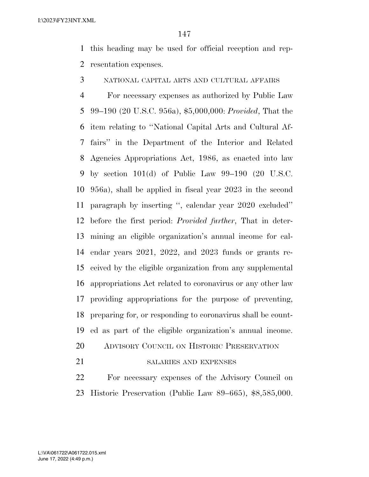this heading may be used for official reception and rep-resentation expenses.

NATIONAL CAPITAL ARTS AND CULTURAL AFFAIRS

 For necessary expenses as authorized by Public Law 99–190 (20 U.S.C. 956a), \$5,000,000: *Provided*, That the item relating to ''National Capital Arts and Cultural Af- fairs'' in the Department of the Interior and Related Agencies Appropriations Act, 1986, as enacted into law by section 101(d) of Public Law 99–190 (20 U.S.C. 956a), shall be applied in fiscal year 2023 in the second paragraph by inserting '', calendar year 2020 excluded'' before the first period: *Provided further*, That in deter- mining an eligible organization's annual income for cal- endar years 2021, 2022, and 2023 funds or grants re- ceived by the eligible organization from any supplemental appropriations Act related to coronavirus or any other law providing appropriations for the purpose of preventing, preparing for, or responding to coronavirus shall be count-ed as part of the eligible organization's annual income.

- 20 ADVISORY COUNCIL ON HISTORIC PRESERVATION
- 

# 21 SALARIES AND EXPENSES

 For necessary expenses of the Advisory Council on Historic Preservation (Public Law 89–665), \$8,585,000.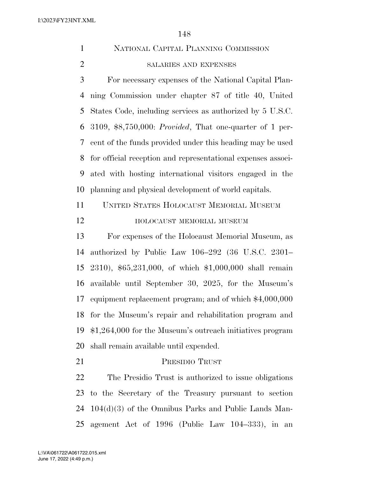|                | NATIONAL CAPITAL PLANNING COMMISSION |
|----------------|--------------------------------------|
| $\overline{2}$ | <b>SALARIES AND EXPENSES</b>         |

 For necessary expenses of the National Capital Plan- ning Commission under chapter 87 of title 40, United States Code, including services as authorized by 5 U.S.C. 3109, \$8,750,000: *Provided*, That one-quarter of 1 per- cent of the funds provided under this heading may be used for official reception and representational expenses associ- ated with hosting international visitors engaged in the planning and physical development of world capitals.

 UNITED STATES HOLOCAUST MEMORIAL MUSEUM HOLOCAUST MEMORIAL MUSEUM

 For expenses of the Holocaust Memorial Museum, as authorized by Public Law 106–292 (36 U.S.C. 2301– 2310), \$65,231,000, of which \$1,000,000 shall remain available until September 30, 2025, for the Museum's equipment replacement program; and of which \$4,000,000 for the Museum's repair and rehabilitation program and \$1,264,000 for the Museum's outreach initiatives program shall remain available until expended.

PRESIDIO TRUST

 The Presidio Trust is authorized to issue obligations to the Secretary of the Treasury pursuant to section 104(d)(3) of the Omnibus Parks and Public Lands Man-agement Act of 1996 (Public Law 104–333), in an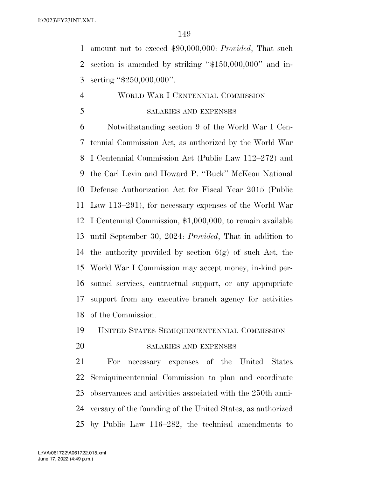amount not to exceed \$90,000,000: *Provided*, That such section is amended by striking ''\$150,000,000'' and in-serting ''\$250,000,000''.

# WORLD WAR I CENTENNIAL COMMISSION SALARIES AND EXPENSES

 Notwithstanding section 9 of the World War I Cen- tennial Commission Act, as authorized by the World War I Centennial Commission Act (Public Law 112–272) and the Carl Levin and Howard P. ''Buck'' McKeon National Defense Authorization Act for Fiscal Year 2015 (Public Law 113–291), for necessary expenses of the World War I Centennial Commission, \$1,000,000, to remain available until September 30, 2024: *Provided*, That in addition to 14 the authority provided by section  $6(g)$  of such Act, the World War I Commission may accept money, in-kind per- sonnel services, contractual support, or any appropriate support from any executive branch agency for activities of the Commission.

## UNITED STATES SEMIQUINCENTENNIAL COMMISSION

## SALARIES AND EXPENSES

 For necessary expenses of the United States Semiquincentennial Commission to plan and coordinate observances and activities associated with the 250th anni- versary of the founding of the United States, as authorized by Public Law 116–282, the technical amendments to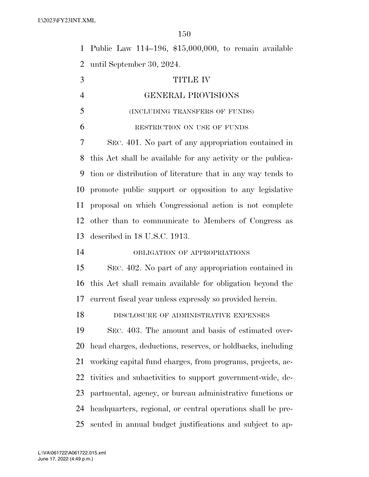Public Law 114–196, \$15,000,000, to remain available until September 30, 2024.

| 3              | <b>TITLE IV</b>                                              |
|----------------|--------------------------------------------------------------|
| $\overline{4}$ | GENERAL PROVISIONS                                           |
| 5              | (INCLUDING TRANSFERS OF FUNDS)                               |
| 6              | RESTRICTION ON USE OF FUNDS                                  |
| 7              | SEC. 401. No part of any appropriation contained in          |
| 8              | this Act shall be available for any activity or the publica- |
| 9              | tion or distribution of literature that in any way tends to  |
| 10             | promote public support or opposition to any legislative      |
| 11             | proposal on which Congressional action is not complete       |
| 12             | other than to communicate to Members of Congress as          |
| 13             | described in 18 U.S.C. 1913.                                 |
| 14             | OBLIGATION OF APPROPRIATIONS                                 |
| 15             | SEC. 402. No part of any appropriation contained in          |
| 16             | this Act shall remain available for obligation beyond the    |
| 17             | current fiscal year unless expressly so provided herein.     |
| 18             | DISCLOSURE OF ADMINISTRATIVE EXPENSES                        |
| 19             | SEC. 403. The amount and basis of estimated over-            |
| 20             | head charges, deductions, reserves, or holdbacks, including  |
| 21             | working capital fund charges, from programs, projects, ac-   |
| 22             | tivities and subactivities to support government-wide, de-   |
| 23             | partmental, agency, or bureau administrative functions or    |
| 24             | headquarters, regional, or central operations shall be pre-  |
| 25             | sented in annual budget justifications and subject to ap-    |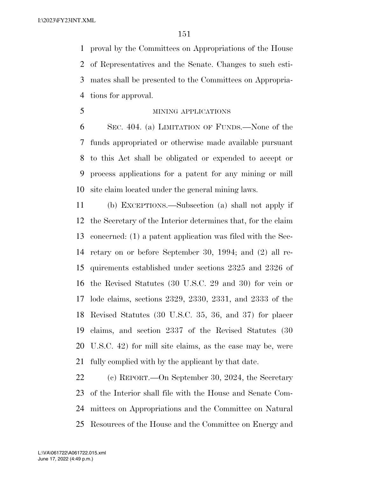proval by the Committees on Appropriations of the House of Representatives and the Senate. Changes to such esti- mates shall be presented to the Committees on Appropria-tions for approval.

MINING APPLICATIONS

 SEC. 404. (a) LIMITATION OF FUNDS.—None of the funds appropriated or otherwise made available pursuant to this Act shall be obligated or expended to accept or process applications for a patent for any mining or mill site claim located under the general mining laws.

 (b) EXCEPTIONS.—Subsection (a) shall not apply if the Secretary of the Interior determines that, for the claim concerned: (1) a patent application was filed with the Sec- retary on or before September 30, 1994; and (2) all re- quirements established under sections 2325 and 2326 of the Revised Statutes (30 U.S.C. 29 and 30) for vein or lode claims, sections 2329, 2330, 2331, and 2333 of the Revised Statutes (30 U.S.C. 35, 36, and 37) for placer claims, and section 2337 of the Revised Statutes (30 U.S.C. 42) for mill site claims, as the case may be, were fully complied with by the applicant by that date.

 (c) REPORT.—On September 30, 2024, the Secretary of the Interior shall file with the House and Senate Com- mittees on Appropriations and the Committee on Natural Resources of the House and the Committee on Energy and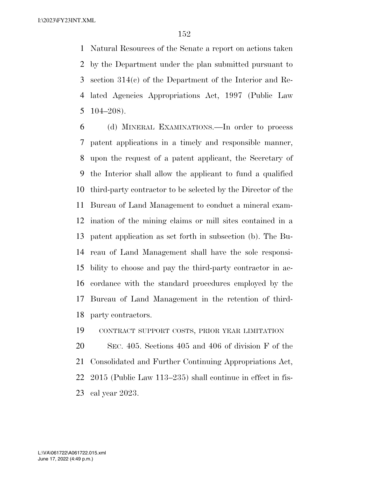Natural Resources of the Senate a report on actions taken by the Department under the plan submitted pursuant to section 314(c) of the Department of the Interior and Re- lated Agencies Appropriations Act, 1997 (Public Law 104–208).

 (d) MINERAL EXAMINATIONS.—In order to process patent applications in a timely and responsible manner, upon the request of a patent applicant, the Secretary of the Interior shall allow the applicant to fund a qualified third-party contractor to be selected by the Director of the Bureau of Land Management to conduct a mineral exam- ination of the mining claims or mill sites contained in a patent application as set forth in subsection (b). The Bu- reau of Land Management shall have the sole responsi- bility to choose and pay the third-party contractor in ac- cordance with the standard procedures employed by the Bureau of Land Management in the retention of third-party contractors.

CONTRACT SUPPORT COSTS, PRIOR YEAR LIMITATION

 SEC. 405. Sections 405 and 406 of division F of the Consolidated and Further Continuing Appropriations Act, 2015 (Public Law 113–235) shall continue in effect in fis-cal year 2023.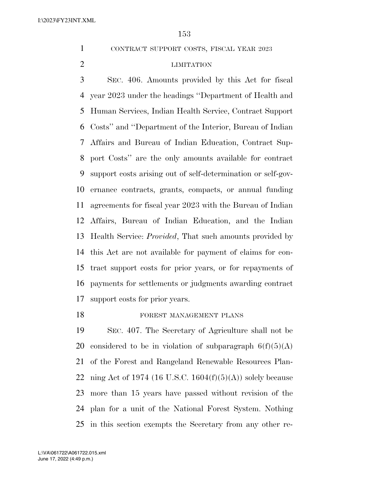CONTRACT SUPPORT COSTS, FISCAL YEAR 2023

#### LIMITATION

 SEC. 406. Amounts provided by this Act for fiscal year 2023 under the headings ''Department of Health and Human Services, Indian Health Service, Contract Support Costs'' and ''Department of the Interior, Bureau of Indian Affairs and Bureau of Indian Education, Contract Sup- port Costs'' are the only amounts available for contract support costs arising out of self-determination or self-gov- ernance contracts, grants, compacts, or annual funding agreements for fiscal year 2023 with the Bureau of Indian Affairs, Bureau of Indian Education, and the Indian Health Service: *Provided*, That such amounts provided by this Act are not available for payment of claims for con- tract support costs for prior years, or for repayments of payments for settlements or judgments awarding contract support costs for prior years.

#### 18 FOREST MANAGEMENT PLANS

 SEC. 407. The Secretary of Agriculture shall not be 20 considered to be in violation of subparagraph  $6(f)(5)(A)$  of the Forest and Rangeland Renewable Resources Plan-22 ning Act of 1974 (16 U.S.C. 1604 $(f)(5)(A)$ ) solely because more than 15 years have passed without revision of the plan for a unit of the National Forest System. Nothing in this section exempts the Secretary from any other re-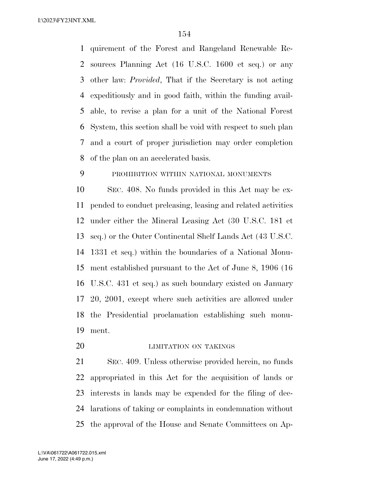quirement of the Forest and Rangeland Renewable Re- sources Planning Act (16 U.S.C. 1600 et seq.) or any other law: *Provided*, That if the Secretary is not acting expeditiously and in good faith, within the funding avail- able, to revise a plan for a unit of the National Forest System, this section shall be void with respect to such plan and a court of proper jurisdiction may order completion of the plan on an accelerated basis.

## PROHIBITION WITHIN NATIONAL MONUMENTS

 SEC. 408. No funds provided in this Act may be ex- pended to conduct preleasing, leasing and related activities under either the Mineral Leasing Act (30 U.S.C. 181 et seq.) or the Outer Continental Shelf Lands Act (43 U.S.C. 1331 et seq.) within the boundaries of a National Monu- ment established pursuant to the Act of June 8, 1906 (16 U.S.C. 431 et seq.) as such boundary existed on January 20, 2001, except where such activities are allowed under the Presidential proclamation establishing such monu-ment.

20 LIMITATION ON TAKINGS

 SEC. 409. Unless otherwise provided herein, no funds appropriated in this Act for the acquisition of lands or interests in lands may be expended for the filing of dec- larations of taking or complaints in condemnation without the approval of the House and Senate Committees on Ap-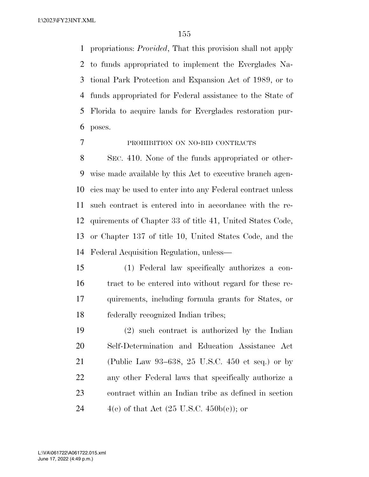propriations: *Provided*, That this provision shall not apply to funds appropriated to implement the Everglades Na- tional Park Protection and Expansion Act of 1989, or to funds appropriated for Federal assistance to the State of Florida to acquire lands for Everglades restoration pur-poses.

#### PROHIBITION ON NO-BID CONTRACTS

 SEC. 410. None of the funds appropriated or other- wise made available by this Act to executive branch agen- cies may be used to enter into any Federal contract unless such contract is entered into in accordance with the re- quirements of Chapter 33 of title 41, United States Code, or Chapter 137 of title 10, United States Code, and the Federal Acquisition Regulation, unless—

 (1) Federal law specifically authorizes a con- tract to be entered into without regard for these re- quirements, including formula grants for States, or federally recognized Indian tribes;

 (2) such contract is authorized by the Indian Self-Determination and Education Assistance Act (Public Law 93–638, 25 U.S.C. 450 et seq.) or by any other Federal laws that specifically authorize a contract within an Indian tribe as defined in section  $4(e)$  of that Act  $(25 \text{ U.S.C. } 450b(e))$ ; or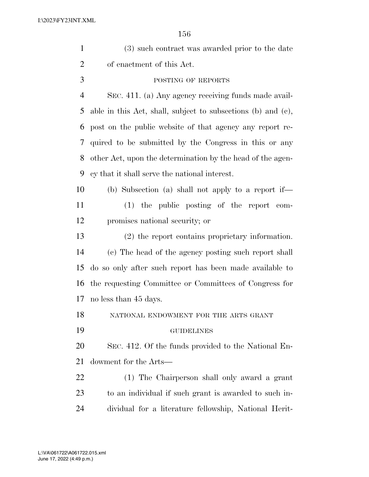| $\mathbf{1}$   | (3) such contract was awarded prior to the date              |
|----------------|--------------------------------------------------------------|
| $\overline{2}$ | of enactment of this Act.                                    |
| 3              | POSTING OF REPORTS                                           |
| $\overline{4}$ | SEC. 411. (a) Any agency receiving funds made avail-         |
| 5              | able in this Act, shall, subject to subsections (b) and (c), |
| 6              | post on the public website of that agency any report re-     |
| 7              | quired to be submitted by the Congress in this or any        |
| 8              | other Act, upon the determination by the head of the agen-   |
| 9              | cy that it shall serve the national interest.                |
| 10             | (b) Subsection (a) shall not apply to a report if—           |
| 11             | $(1)$ the public posting of the report com-                  |
| 12             | promises national security; or                               |
| 13             | (2) the report contains proprietary information.             |
| 14             | (c) The head of the agency posting such report shall         |
| 15             | do so only after such report has been made available to      |
| 16             | the requesting Committee or Committees of Congress for       |
| 17             | no less than 45 days.                                        |
| 18             | NATIONAL ENDOWMENT FOR THE ARTS GRANT                        |
| 19             | <b>GUIDELINES</b>                                            |
| 20             | SEC. 412. Of the funds provided to the National En-          |
| 21             | dowment for the Arts—                                        |
| 22             | (1) The Chairperson shall only award a grant                 |
| 23             | to an individual if such grant is awarded to such in-        |
| 24             | dividual for a literature fellowship, National Herit-        |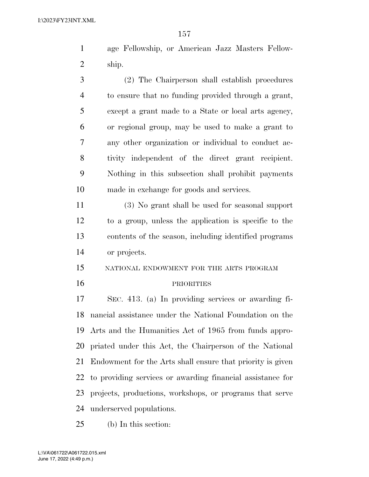age Fellowship, or American Jazz Masters Fellow-ship.

 (2) The Chairperson shall establish procedures to ensure that no funding provided through a grant, except a grant made to a State or local arts agency, or regional group, may be used to make a grant to any other organization or individual to conduct ac- tivity independent of the direct grant recipient. Nothing in this subsection shall prohibit payments made in exchange for goods and services.

 (3) No grant shall be used for seasonal support to a group, unless the application is specific to the contents of the season, including identified programs or projects.

- NATIONAL ENDOWMENT FOR THE ARTS PROGRAM
- 

#### PRIORITIES

 SEC. 413. (a) In providing services or awarding fi- nancial assistance under the National Foundation on the Arts and the Humanities Act of 1965 from funds appro- priated under this Act, the Chairperson of the National Endowment for the Arts shall ensure that priority is given to providing services or awarding financial assistance for projects, productions, workshops, or programs that serve underserved populations.

(b) In this section: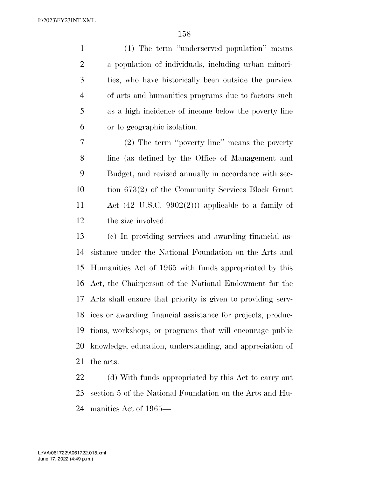(1) The term ''underserved population'' means a population of individuals, including urban minori- ties, who have historically been outside the purview of arts and humanities programs due to factors such as a high incidence of income below the poverty line or to geographic isolation.

 (2) The term ''poverty line'' means the poverty line (as defined by the Office of Management and Budget, and revised annually in accordance with sec- tion 673(2) of the Community Services Block Grant Act (42 U.S.C. 9902(2))) applicable to a family of the size involved.

 (c) In providing services and awarding financial as- sistance under the National Foundation on the Arts and Humanities Act of 1965 with funds appropriated by this Act, the Chairperson of the National Endowment for the Arts shall ensure that priority is given to providing serv- ices or awarding financial assistance for projects, produc- tions, workshops, or programs that will encourage public knowledge, education, understanding, and appreciation of the arts.

22 (d) With funds appropriated by this Act to carry out section 5 of the National Foundation on the Arts and Hu-manities Act of 1965—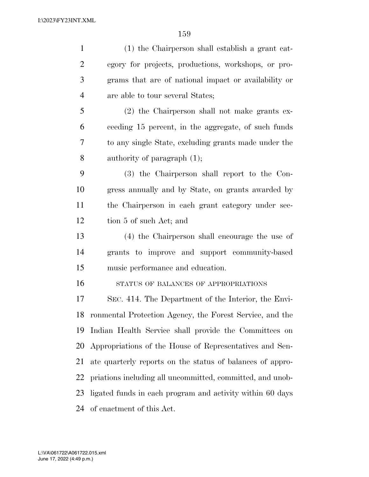| $\mathbf{1}$   | (1) the Chairperson shall establish a grant cat-          |
|----------------|-----------------------------------------------------------|
| $\overline{2}$ | egory for projects, productions, workshops, or pro-       |
| 3              | grams that are of national impact or availability or      |
| 4              | are able to tour several States;                          |
| 5              | (2) the Chairperson shall not make grants ex-             |
| 6              | ceeding 15 percent, in the aggregate, of such funds       |
| 7              | to any single State, excluding grants made under the      |
| 8              | authority of paragraph $(1)$ ;                            |
| 9              | (3) the Chairperson shall report to the Con-              |
| 10             | gress annually and by State, on grants awarded by         |
| 11             | the Chairperson in each grant category under sec-         |
| 12             | tion 5 of such Act; and                                   |
| 13             | (4) the Chairperson shall encourage the use of            |
| 14             | grants to improve and support community-based             |
| 15             | music performance and education.                          |
| 16             | STATUS OF BALANCES OF APPROPRIATIONS                      |
| 17             | SEC. 414. The Department of the Interior, the Envi-       |
| 18             | ronmental Protection Agency, the Forest Service, and the  |
| 19             | Indian Health Service shall provide the Committees on     |
| 20             | Appropriations of the House of Representatives and Sen-   |
| 21             | ate quarterly reports on the status of balances of appro- |
| 22             | priations including all uncommitted, committed, and unob- |
| 23             | ligated funds in each program and activity within 60 days |
| 24             | of enactment of this Act.                                 |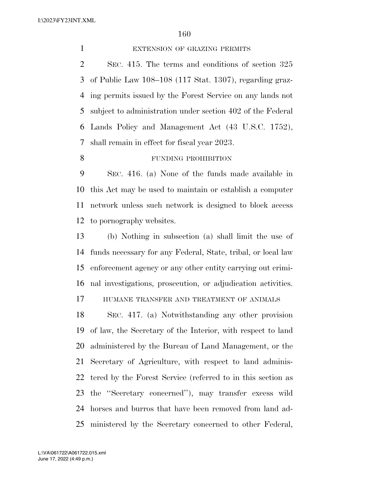1 EXTENSION OF GRAZING PERMITS

 SEC. 415. The terms and conditions of section 325 of Public Law 108–108 (117 Stat. 1307), regarding graz- ing permits issued by the Forest Service on any lands not subject to administration under section 402 of the Federal Lands Policy and Management Act (43 U.S.C. 1752), shall remain in effect for fiscal year 2023.

8 FUNDING PROHIBITION

 SEC. 416. (a) None of the funds made available in this Act may be used to maintain or establish a computer network unless such network is designed to block access to pornography websites.

 (b) Nothing in subsection (a) shall limit the use of funds necessary for any Federal, State, tribal, or local law enforcement agency or any other entity carrying out crimi-nal investigations, prosecution, or adjudication activities.

HUMANE TRANSFER AND TREATMENT OF ANIMALS

 SEC. 417. (a) Notwithstanding any other provision of law, the Secretary of the Interior, with respect to land administered by the Bureau of Land Management, or the Secretary of Agriculture, with respect to land adminis- tered by the Forest Service (referred to in this section as the ''Secretary concerned''), may transfer excess wild horses and burros that have been removed from land ad-ministered by the Secretary concerned to other Federal,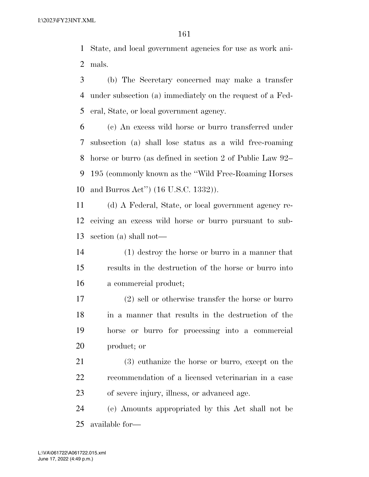State, and local government agencies for use as work ani-mals.

 (b) The Secretary concerned may make a transfer under subsection (a) immediately on the request of a Fed-eral, State, or local government agency.

 (c) An excess wild horse or burro transferred under subsection (a) shall lose status as a wild free-roaming horse or burro (as defined in section 2 of Public Law 92– 195 (commonly known as the ''Wild Free-Roaming Horses and Burros Act'') (16 U.S.C. 1332)).

 (d) A Federal, State, or local government agency re- ceiving an excess wild horse or burro pursuant to sub-section (a) shall not—

 (1) destroy the horse or burro in a manner that results in the destruction of the horse or burro into a commercial product;

 (2) sell or otherwise transfer the horse or burro in a manner that results in the destruction of the horse or burro for processing into a commercial product; or

 (3) euthanize the horse or burro, except on the recommendation of a licensed veterinarian in a case of severe injury, illness, or advanced age.

 (e) Amounts appropriated by this Act shall not be available for—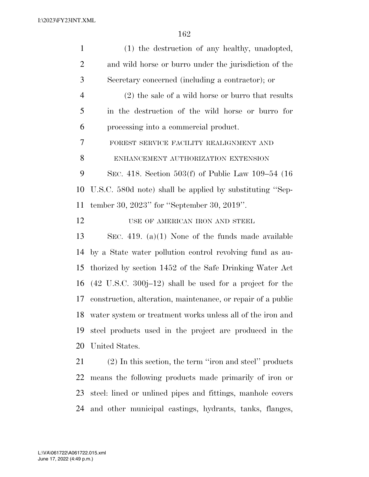| $\mathbf{1}$   | (1) the destruction of any healthy, unadopted,                     |
|----------------|--------------------------------------------------------------------|
| $\overline{2}$ | and wild horse or burro under the jurisdiction of the              |
| 3              | Secretary concerned (including a contractor); or                   |
| $\overline{4}$ | $(2)$ the sale of a wild horse or burro that results               |
| 5              | in the destruction of the wild horse or burro for                  |
| 6              | processing into a commercial product.                              |
| 7              | FOREST SERVICE FACILITY REALIGNMENT AND                            |
| 8              | ENHANCEMENT AUTHORIZATION EXTENSION                                |
| 9              | SEC. 418. Section 503(f) of Public Law 109–54 (16                  |
| 10             | U.S.C. 580d note) shall be applied by substituting "Sep-           |
| 11             | tember 30, 2023" for "September 30, 2019".                         |
| 12             | USE OF AMERICAN IRON AND STEEL                                     |
| 13             | SEC. 419. (a)(1) None of the funds made available                  |
| 14             | by a State water pollution control revolving fund as au-           |
| 15             | thorized by section 1452 of the Safe Drinking Water Act            |
| 16             | $(42 \text{ U.S.C. } 300j-12)$ shall be used for a project for the |
| 17             | construction, alteration, maintenance, or repair of a public       |
| 18             | water system or treatment works unless all of the iron and         |
| 19             | steel products used in the project are produced in the             |
| 20             | United States.                                                     |
| 21             | (2) In this section, the term "iron and steel" products            |
| 22             | means the following products made primarily of iron or             |
| 23             | steel: lined or unlined pipes and fittings, manhole covers         |

and other municipal castings, hydrants, tanks, flanges,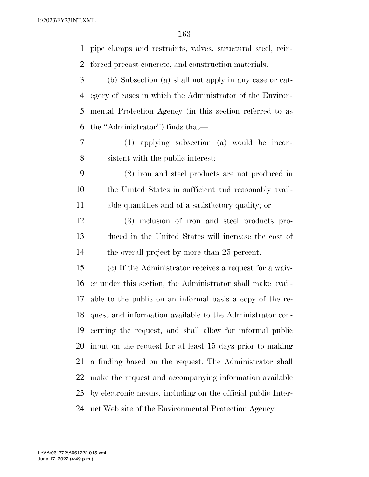pipe clamps and restraints, valves, structural steel, rein- forced precast concrete, and construction materials. (b) Subsection (a) shall not apply in any case or cat- egory of cases in which the Administrator of the Environ- mental Protection Agency (in this section referred to as the ''Administrator'') finds that— (1) applying subsection (a) would be incon- sistent with the public interest; (2) iron and steel products are not produced in the United States in sufficient and reasonably avail- able quantities and of a satisfactory quality; or (3) inclusion of iron and steel products pro- duced in the United States will increase the cost of 14 the overall project by more than 25 percent. (c) If the Administrator receives a request for a waiv- er under this section, the Administrator shall make avail- able to the public on an informal basis a copy of the re- quest and information available to the Administrator con- cerning the request, and shall allow for informal public input on the request for at least 15 days prior to making a finding based on the request. The Administrator shall make the request and accompanying information available by electronic means, including on the official public Inter-net Web site of the Environmental Protection Agency.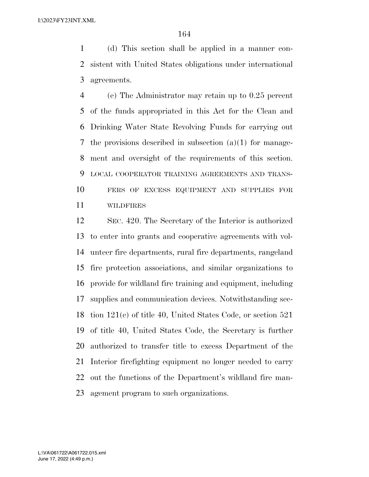(d) This section shall be applied in a manner con- sistent with United States obligations under international agreements.

 (e) The Administrator may retain up to 0.25 percent of the funds appropriated in this Act for the Clean and Drinking Water State Revolving Funds for carrying out the provisions described in subsection (a)(1) for manage- ment and oversight of the requirements of this section. LOCAL COOPERATOR TRAINING AGREEMENTS AND TRANS- FERS OF EXCESS EQUIPMENT AND SUPPLIES FOR WILDFIRES

 SEC. 420. The Secretary of the Interior is authorized to enter into grants and cooperative agreements with vol- unteer fire departments, rural fire departments, rangeland fire protection associations, and similar organizations to provide for wildland fire training and equipment, including supplies and communication devices. Notwithstanding sec- tion 121(c) of title 40, United States Code, or section 521 of title 40, United States Code, the Secretary is further authorized to transfer title to excess Department of the Interior firefighting equipment no longer needed to carry out the functions of the Department's wildland fire man-agement program to such organizations.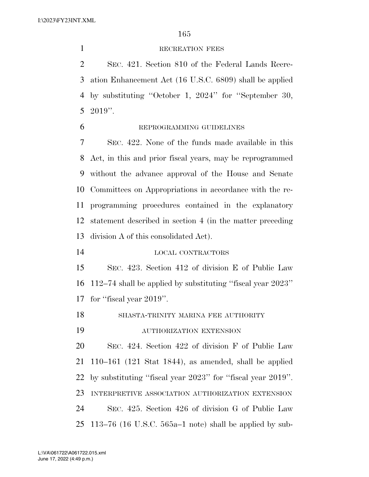1 RECREATION FEES

 SEC. 421. Section 810 of the Federal Lands Recre- ation Enhancement Act (16 U.S.C. 6809) shall be applied by substituting ''October 1, 2024'' for ''September 30, 2019''.

### REPROGRAMMING GUIDELINES

 SEC. 422. None of the funds made available in this Act, in this and prior fiscal years, may be reprogrammed without the advance approval of the House and Senate Committees on Appropriations in accordance with the re- programming procedures contained in the explanatory statement described in section 4 (in the matter preceding division A of this consolidated Act).

LOCAL CONTRACTORS

 SEC. 423. Section 412 of division E of Public Law 112–74 shall be applied by substituting ''fiscal year 2023'' for ''fiscal year 2019''.

SHASTA-TRINITY MARINA FEE AUTHORITY

AUTHORIZATION EXTENSION

 SEC. 424. Section 422 of division F of Public Law 110–161 (121 Stat 1844), as amended, shall be applied by substituting ''fiscal year 2023'' for ''fiscal year 2019''. INTERPRETIVE ASSOCIATION AUTHORIZATION EXTENSION SEC. 425. Section 426 of division G of Public Law 113–76 (16 U.S.C. 565a–1 note) shall be applied by sub-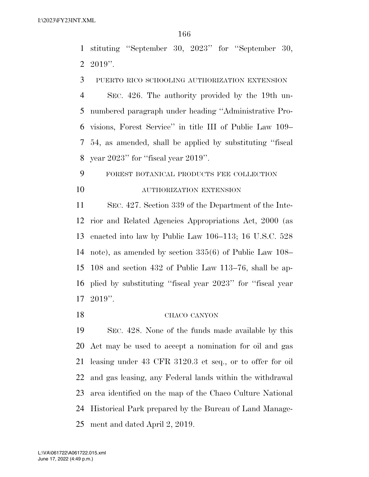stituting ''September 30, 2023'' for ''September 30, 2019''.

PUERTO RICO SCHOOLING AUTHORIZATION EXTENSION

 SEC. 426. The authority provided by the 19th un- numbered paragraph under heading ''Administrative Pro- visions, Forest Service'' in title III of Public Law 109– 54, as amended, shall be applied by substituting ''fiscal year 2023'' for ''fiscal year 2019''.

 FOREST BOTANICAL PRODUCTS FEE COLLECTION AUTHORIZATION EXTENSION

 SEC. 427. Section 339 of the Department of the Inte- rior and Related Agencies Appropriations Act, 2000 (as enacted into law by Public Law 106–113; 16 U.S.C. 528 note), as amended by section 335(6) of Public Law 108– 108 and section 432 of Public Law 113–76, shall be ap- plied by substituting ''fiscal year 2023'' for ''fiscal year 2019''.

#### CHACO CANYON

 SEC. 428. None of the funds made available by this Act may be used to accept a nomination for oil and gas leasing under 43 CFR 3120.3 et seq., or to offer for oil and gas leasing, any Federal lands within the withdrawal area identified on the map of the Chaco Culture National Historical Park prepared by the Bureau of Land Manage-ment and dated April 2, 2019.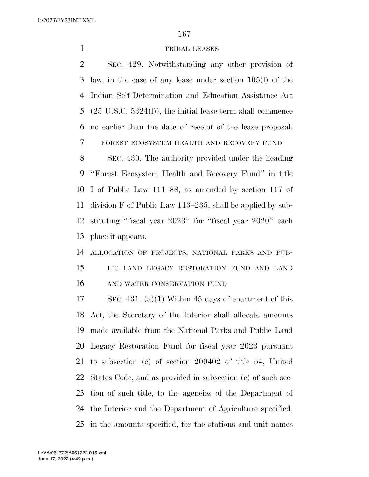#### TRIBAL LEASES

 SEC. 429. Notwithstanding any other provision of law, in the case of any lease under section 105(l) of the Indian Self-Determination and Education Assistance Act (25 U.S.C. 5324(l)), the initial lease term shall commence no earlier than the date of receipt of the lease proposal. FOREST ECOSYSTEM HEALTH AND RECOVERY FUND

 SEC. 430. The authority provided under the heading ''Forest Ecosystem Health and Recovery Fund'' in title I of Public Law 111–88, as amended by section 117 of division F of Public Law 113–235, shall be applied by sub- stituting ''fiscal year 2023'' for ''fiscal year 2020'' each place it appears.

 ALLOCATION OF PROJECTS, NATIONAL PARKS AND PUB- LIC LAND LEGACY RESTORATION FUND AND LAND AND WATER CONSERVATION FUND

 SEC. 431. (a)(1) Within 45 days of enactment of this Act, the Secretary of the Interior shall allocate amounts made available from the National Parks and Public Land Legacy Restoration Fund for fiscal year 2023 pursuant to subsection (c) of section 200402 of title 54, United States Code, and as provided in subsection (e) of such sec- tion of such title, to the agencies of the Department of the Interior and the Department of Agriculture specified, in the amounts specified, for the stations and unit names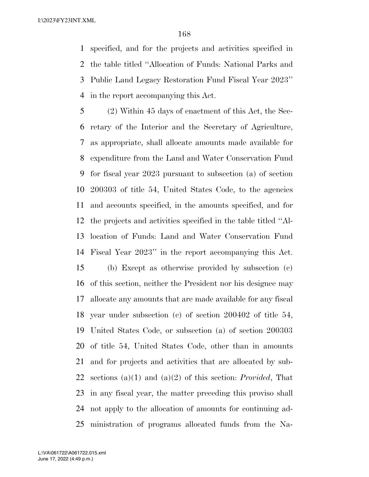specified, and for the projects and activities specified in the table titled ''Allocation of Funds: National Parks and Public Land Legacy Restoration Fund Fiscal Year 2023'' in the report accompanying this Act.

 (2) Within 45 days of enactment of this Act, the Sec- retary of the Interior and the Secretary of Agriculture, as appropriate, shall allocate amounts made available for expenditure from the Land and Water Conservation Fund for fiscal year 2023 pursuant to subsection (a) of section 200303 of title 54, United States Code, to the agencies and accounts specified, in the amounts specified, and for the projects and activities specified in the table titled ''Al- location of Funds: Land and Water Conservation Fund Fiscal Year 2023'' in the report accompanying this Act. (b) Except as otherwise provided by subsection (c) of this section, neither the President nor his designee may allocate any amounts that are made available for any fiscal year under subsection (c) of section 200402 of title 54, United States Code, or subsection (a) of section 200303 of title 54, United States Code, other than in amounts and for projects and activities that are allocated by sub- sections (a)(1) and (a)(2) of this section: *Provided*, That in any fiscal year, the matter preceding this proviso shall not apply to the allocation of amounts for continuing ad-ministration of programs allocated funds from the Na-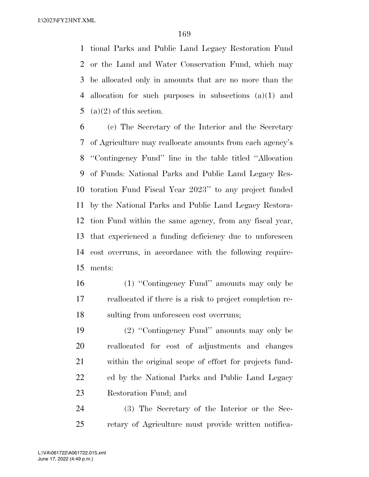tional Parks and Public Land Legacy Restoration Fund or the Land and Water Conservation Fund, which may be allocated only in amounts that are no more than the allocation for such purposes in subsections (a)(1) and 5 (a)(2) of this section.

 (c) The Secretary of the Interior and the Secretary of Agriculture may reallocate amounts from each agency's ''Contingency Fund'' line in the table titled ''Allocation of Funds: National Parks and Public Land Legacy Res- toration Fund Fiscal Year 2023'' to any project funded by the National Parks and Public Land Legacy Restora- tion Fund within the same agency, from any fiscal year, that experienced a funding deficiency due to unforeseen cost overruns, in accordance with the following require-ments:

16 (1) "Contingency Fund" amounts may only be reallocated if there is a risk to project completion re-sulting from unforeseen cost overruns;

 (2) ''Contingency Fund'' amounts may only be reallocated for cost of adjustments and changes within the original scope of effort for projects fund- ed by the National Parks and Public Land Legacy Restoration Fund; and

 (3) The Secretary of the Interior or the Sec-retary of Agriculture must provide written notifica-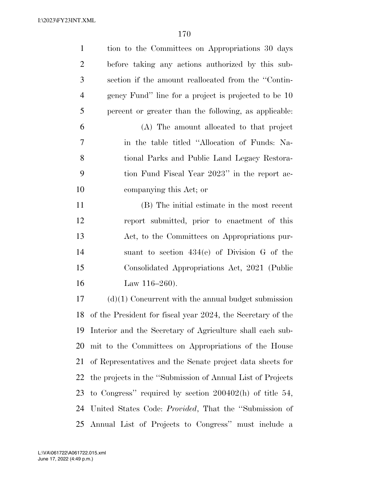| $\mathbf{1}$   | tion to the Committees on Appropriations 30 days              |
|----------------|---------------------------------------------------------------|
| $\overline{2}$ | before taking any actions authorized by this sub-             |
| 3              | section if the amount reallocated from the "Contin-           |
| $\overline{4}$ | gency Fund" line for a project is projected to be 10          |
| 5              | percent or greater than the following, as applicable:         |
| 6              | (A) The amount allocated to that project                      |
| 7              | in the table titled "Allocation of Funds: Na-                 |
| 8              | tional Parks and Public Land Legacy Restora-                  |
| 9              | tion Fund Fiscal Year 2023" in the report ac-                 |
| 10             | companying this Act; or                                       |
| 11             | (B) The initial estimate in the most recent                   |
| 12             | report submitted, prior to enactment of this                  |
| 13             | Act, to the Committees on Appropriations pur-                 |
| 14             | suant to section $434(e)$ of Division G of the                |
| 15             | Consolidated Appropriations Act, 2021 (Public                 |
| 16             | Law $116-260$ .                                               |
| 17             | $(d)(1)$ Concurrent with the annual budget submission         |
| 18             | of the President for fiscal year 2024, the Secretary of the   |
| 19             | Interior and the Secretary of Agriculture shall each sub-     |
| 20             | mit to the Committees on Appropriations of the House          |
| 21             | of Representatives and the Senate project data sheets for     |
| 22             | the projects in the "Submission of Annual List of Projects"   |
| 23             | to Congress" required by section $200402(h)$ of title 54,     |
| 24             | United States Code: <i>Provided</i> , That the "Submission of |
|                | 25 Annual List of Projects to Congress" must include a        |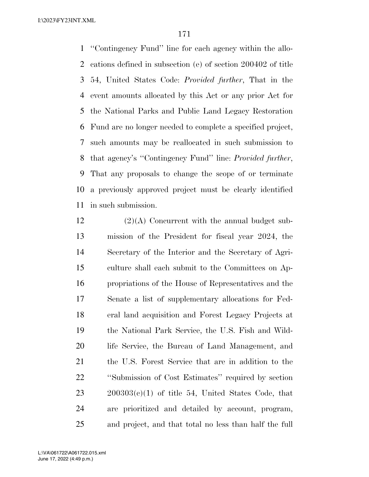''Contingency Fund'' line for each agency within the allo- cations defined in subsection (e) of section 200402 of title 54, United States Code: *Provided further*, That in the event amounts allocated by this Act or any prior Act for the National Parks and Public Land Legacy Restoration Fund are no longer needed to complete a specified project, such amounts may be reallocated in such submission to that agency's ''Contingency Fund'' line: *Provided further*, That any proposals to change the scope of or terminate a previously approved project must be clearly identified in such submission.

 (2)(A) Concurrent with the annual budget sub- mission of the President for fiscal year 2024, the Secretary of the Interior and the Secretary of Agri- culture shall each submit to the Committees on Ap- propriations of the House of Representatives and the Senate a list of supplementary allocations for Fed- eral land acquisition and Forest Legacy Projects at the National Park Service, the U.S. Fish and Wild- life Service, the Bureau of Land Management, and the U.S. Forest Service that are in addition to the ''Submission of Cost Estimates'' required by section  $23 \qquad 200303(c)(1)$  of title 54, United States Code, that are prioritized and detailed by account, program, and project, and that total no less than half the full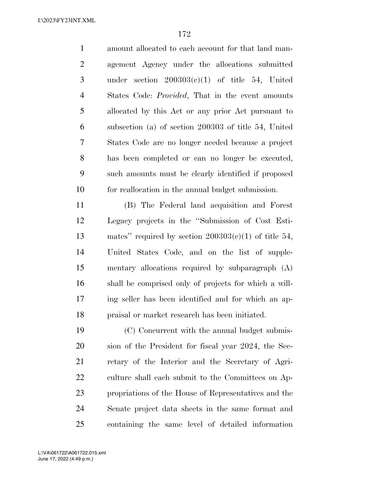amount allocated to each account for that land man- agement Agency under the allocations submitted under section 200303(c)(1) of title 54, United States Code: *Provided*, That in the event amounts allocated by this Act or any prior Act pursuant to subsection (a) of section 200303 of title 54, United States Code are no longer needed because a project has been completed or can no longer be executed, such amounts must be clearly identified if proposed for reallocation in the annual budget submission.

 (B) The Federal land acquisition and Forest Legacy projects in the ''Submission of Cost Esti- mates'' required by section 200303(c)(1) of title 54, United States Code, and on the list of supple- mentary allocations required by subparagraph (A) shall be comprised only of projects for which a will- ing seller has been identified and for which an ap-praisal or market research has been initiated.

 (C) Concurrent with the annual budget submis- sion of the President for fiscal year 2024, the Sec- retary of the Interior and the Secretary of Agri- culture shall each submit to the Committees on Ap- propriations of the House of Representatives and the Senate project data sheets in the same format and containing the same level of detailed information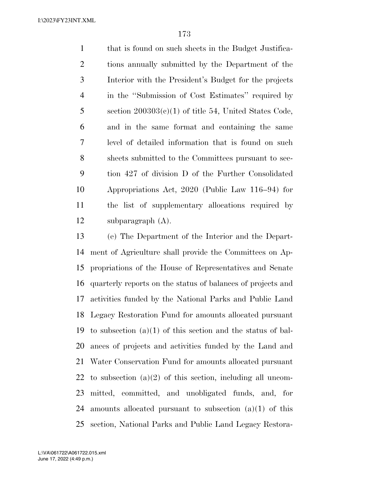that is found on such sheets in the Budget Justifica- tions annually submitted by the Department of the Interior with the President's Budget for the projects in the ''Submission of Cost Estimates'' required by 5 section  $200303(c)(1)$  of title 54, United States Code, and in the same format and containing the same level of detailed information that is found on such sheets submitted to the Committees pursuant to sec- tion 427 of division D of the Further Consolidated Appropriations Act, 2020 (Public Law 116–94) for the list of supplementary allocations required by subparagraph (A).

 (e) The Department of the Interior and the Depart- ment of Agriculture shall provide the Committees on Ap- propriations of the House of Representatives and Senate quarterly reports on the status of balances of projects and activities funded by the National Parks and Public Land Legacy Restoration Fund for amounts allocated pursuant 19 to subsection  $(a)(1)$  of this section and the status of bal- ances of projects and activities funded by the Land and Water Conservation Fund for amounts allocated pursuant 22 to subsection  $(a)(2)$  of this section, including all uncom- mitted, committed, and unobligated funds, and, for amounts allocated pursuant to subsection (a)(1) of this section, National Parks and Public Land Legacy Restora-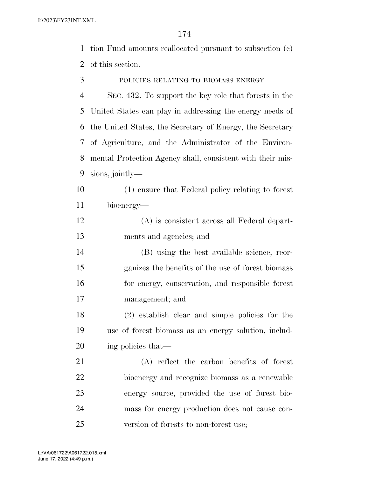tion Fund amounts reallocated pursuant to subsection (c) of this section.

POLICIES RELATING TO BIOMASS ENERGY

 SEC. 432. To support the key role that forests in the United States can play in addressing the energy needs of the United States, the Secretary of Energy, the Secretary of Agriculture, and the Administrator of the Environ- mental Protection Agency shall, consistent with their mis-sions, jointly—

 (1) ensure that Federal policy relating to forest bioenergy—

 (A) is consistent across all Federal depart-ments and agencies; and

 (B) using the best available science, reor- ganizes the benefits of the use of forest biomass for energy, conservation, and responsible forest management; and

 (2) establish clear and simple policies for the use of forest biomass as an energy solution, includ-ing policies that—

 (A) reflect the carbon benefits of forest bioenergy and recognize biomass as a renewable energy source, provided the use of forest bio- mass for energy production does not cause con-version of forests to non-forest use;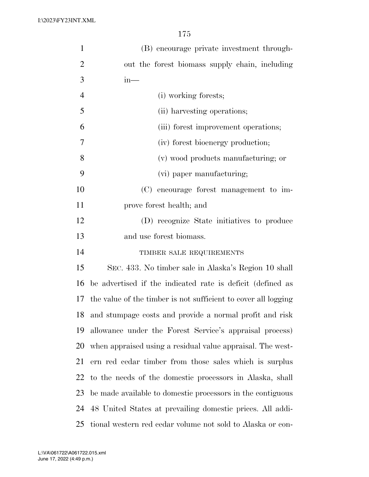| $\mathbf{1}$   | (B) encourage private investment through-                      |
|----------------|----------------------------------------------------------------|
| $\overline{2}$ | out the forest biomass supply chain, including                 |
| 3              | $in-$                                                          |
| $\overline{4}$ | (i) working forests;                                           |
| 5              | (ii) harvesting operations;                                    |
| 6              | (iii) forest improvement operations;                           |
| 7              | (iv) forest bioenergy production;                              |
| 8              | (v) wood products manufacturing; or                            |
| 9              | (vi) paper manufacturing;                                      |
| 10             | (C) encourage forest management to im-                         |
| 11             | prove forest health; and                                       |
| 12             | (D) recognize State initiatives to produce                     |
| 13             | and use forest biomass.                                        |
| 14             | TIMBER SALE REQUIREMENTS                                       |
| 15             | SEC. 433. No timber sale in Alaska's Region 10 shall           |
| 16             | be advertised if the indicated rate is deficit (defined as     |
| 17             | the value of the timber is not sufficient to cover all logging |
| 18             | and stumpage costs and provide a normal profit and risk        |
| 19             | allowance under the Forest Service's appraisal process)        |
| 20             | when appraised using a residual value appraisal. The west-     |
| 21             | ern red cedar timber from those sales which is surplus         |
| 22             | to the needs of the domestic processors in Alaska, shall       |
| 23             | be made available to domestic processors in the contiguous     |
| 24             | 48 United States at prevailing domestic prices. All addi-      |
| 25             | tional western red cedar volume not sold to Alaska or con-     |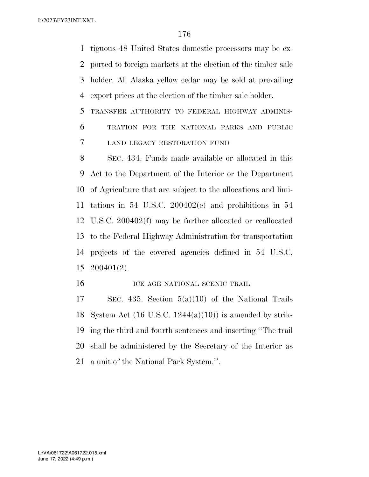tiguous 48 United States domestic processors may be ex- ported to foreign markets at the election of the timber sale holder. All Alaska yellow cedar may be sold at prevailing export prices at the election of the timber sale holder.

 TRANSFER AUTHORITY TO FEDERAL HIGHWAY ADMINIS- TRATION FOR THE NATIONAL PARKS AND PUBLIC LAND LEGACY RESTORATION FUND

 SEC. 434. Funds made available or allocated in this Act to the Department of the Interior or the Department of Agriculture that are subject to the allocations and limi- tations in 54 U.S.C. 200402(e) and prohibitions in 54 U.S.C. 200402(f) may be further allocated or reallocated to the Federal Highway Administration for transportation projects of the covered agencies defined in 54 U.S.C. 200401(2).

**ICE AGE NATIONAL SCENIC TRAIL** 

 SEC. 435. Section 5(a)(10) of the National Trails 18 System Act  $(16 \text{ U.S.C. } 1244(a)(10))$  is amended by strik- ing the third and fourth sentences and inserting ''The trail shall be administered by the Secretary of the Interior as a unit of the National Park System.''.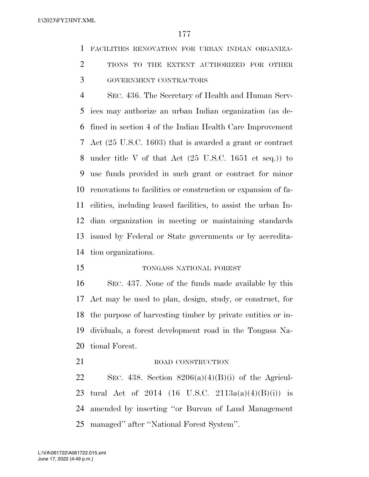FACILITIES RENOVATION FOR URBAN INDIAN ORGANIZA-

2 TIONS TO THE EXTENT AUTHORIZED FOR OTHER

GOVERNMENT CONTRACTORS

 SEC. 436. The Secretary of Health and Human Serv- ices may authorize an urban Indian organization (as de- fined in section 4 of the Indian Health Care Improvement Act (25 U.S.C. 1603) that is awarded a grant or contract under title V of that Act (25 U.S.C. 1651 et seq.)) to use funds provided in such grant or contract for minor renovations to facilities or construction or expansion of fa- cilities, including leased facilities, to assist the urban In- dian organization in meeting or maintaining standards issued by Federal or State governments or by accredita-tion organizations.

TONGASS NATIONAL FOREST

 SEC. 437. None of the funds made available by this Act may be used to plan, design, study, or construct, for the purpose of harvesting timber by private entities or in- dividuals, a forest development road in the Tongass Na-tional Forest.

21 ROAD CONSTRUCTION 22 SEC. 438. Section  $8206(a)(4)(B)(i)$  of the Agricul-23 tural Act of 2014 (16 U.S.C. 2113a(a)(4)(B)(i)) is amended by inserting ''or Bureau of Land Management managed'' after ''National Forest System''.